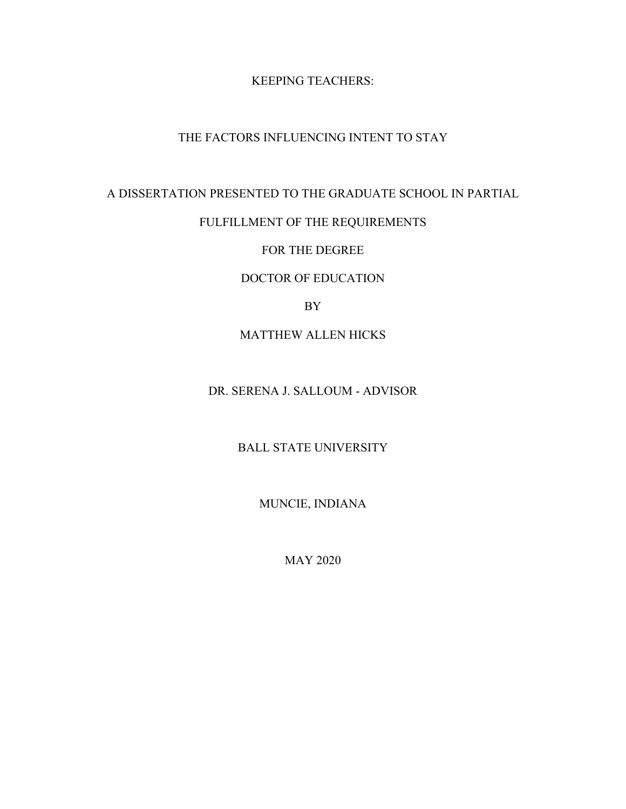# KEEPING TEACHERS:

# THE FACTORS INFLUENCING INTENT TO STAY

# A DISSERTATION PRESENTED TO THE GRADUATE SCHOOL IN PARTIAL

# FULFILLMENT OF THE REQUIREMENTS

# FOR THE DEGREE

# DOCTOR OF EDUCATION

# BY

# MATTHEW ALLEN HICKS

# DR. SERENA J. SALLOUM - ADVISOR

# BALL STATE UNIVERSITY

# MUNCIE, INDIANA

## MAY 2020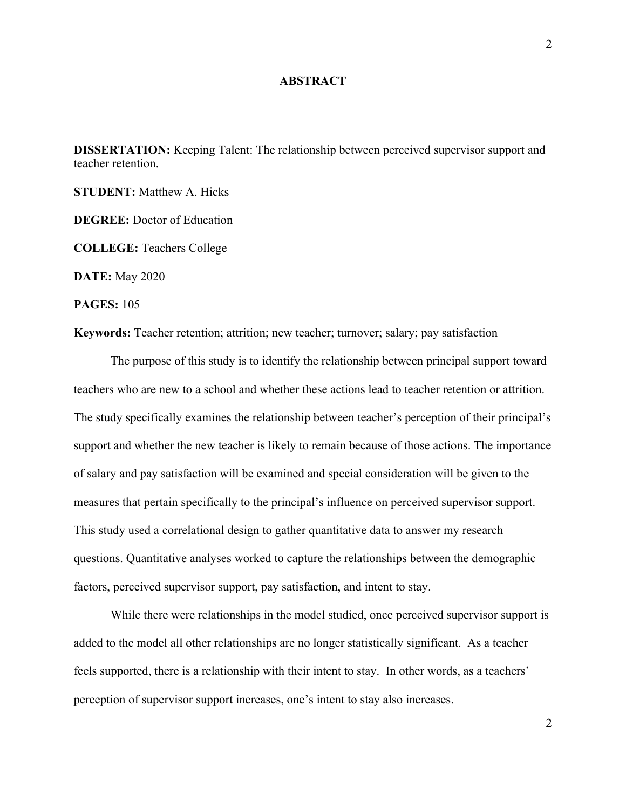### **ABSTRACT**

**DISSERTATION:** Keeping Talent: The relationship between perceived supervisor support and teacher retention.

**STUDENT:** Matthew A. Hicks

**DEGREE:** Doctor of Education

**COLLEGE:** Teachers College

**DATE:** May 2020

**PAGES:** 105

**Keywords:** Teacher retention; attrition; new teacher; turnover; salary; pay satisfaction

The purpose of this study is to identify the relationship between principal support toward teachers who are new to a school and whether these actions lead to teacher retention or attrition. The study specifically examines the relationship between teacher's perception of their principal's support and whether the new teacher is likely to remain because of those actions. The importance of salary and pay satisfaction will be examined and special consideration will be given to the measures that pertain specifically to the principal's influence on perceived supervisor support. This study used a correlational design to gather quantitative data to answer my research questions. Quantitative analyses worked to capture the relationships between the demographic factors, perceived supervisor support, pay satisfaction, and intent to stay.

While there were relationships in the model studied, once perceived supervisor support is added to the model all other relationships are no longer statistically significant. As a teacher feels supported, there is a relationship with their intent to stay. In other words, as a teachers' perception of supervisor support increases, one's intent to stay also increases.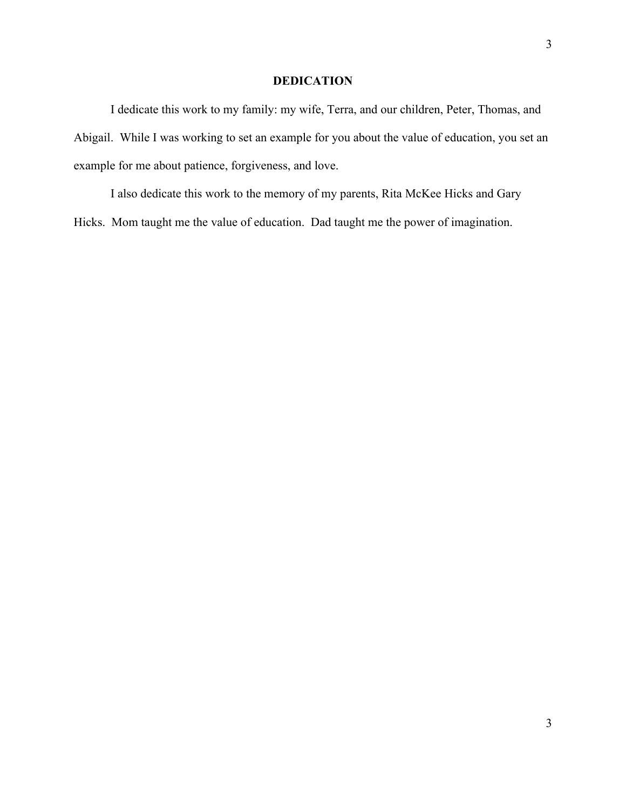### **DEDICATION**

I dedicate this work to my family: my wife, Terra, and our children, Peter, Thomas, and Abigail. While I was working to set an example for you about the value of education, you set an example for me about patience, forgiveness, and love.

I also dedicate this work to the memory of my parents, Rita McKee Hicks and Gary Hicks. Mom taught me the value of education. Dad taught me the power of imagination.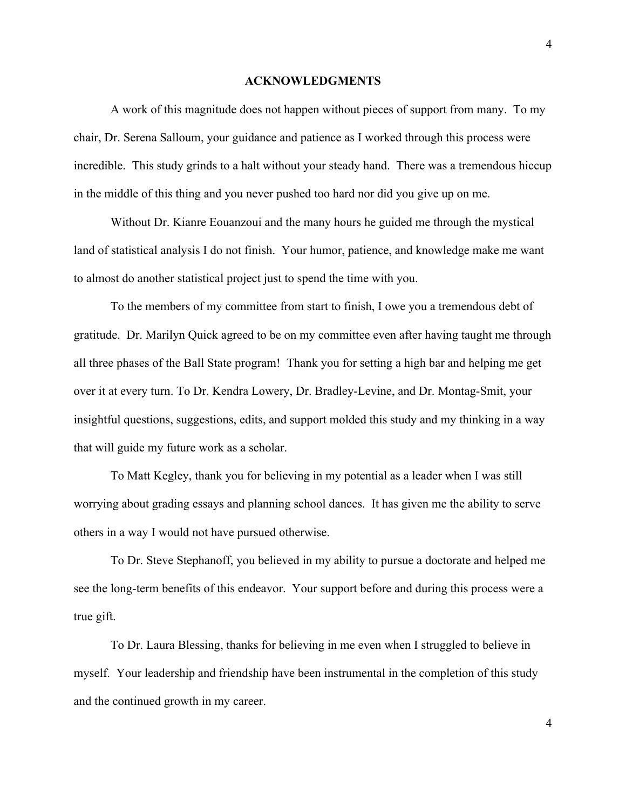#### **ACKNOWLEDGMENTS**

A work of this magnitude does not happen without pieces of support from many. To my chair, Dr. Serena Salloum, your guidance and patience as I worked through this process were incredible. This study grinds to a halt without your steady hand. There was a tremendous hiccup in the middle of this thing and you never pushed too hard nor did you give up on me.

Without Dr. Kianre Eouanzoui and the many hours he guided me through the mystical land of statistical analysis I do not finish. Your humor, patience, and knowledge make me want to almost do another statistical project just to spend the time with you.

To the members of my committee from start to finish, I owe you a tremendous debt of gratitude. Dr. Marilyn Quick agreed to be on my committee even after having taught me through all three phases of the Ball State program! Thank you for setting a high bar and helping me get over it at every turn. To Dr. Kendra Lowery, Dr. Bradley-Levine, and Dr. Montag-Smit, your insightful questions, suggestions, edits, and support molded this study and my thinking in a way that will guide my future work as a scholar.

To Matt Kegley, thank you for believing in my potential as a leader when I was still worrying about grading essays and planning school dances. It has given me the ability to serve others in a way I would not have pursued otherwise.

To Dr. Steve Stephanoff, you believed in my ability to pursue a doctorate and helped me see the long-term benefits of this endeavor. Your support before and during this process were a true gift.

To Dr. Laura Blessing, thanks for believing in me even when I struggled to believe in myself. Your leadership and friendship have been instrumental in the completion of this study and the continued growth in my career.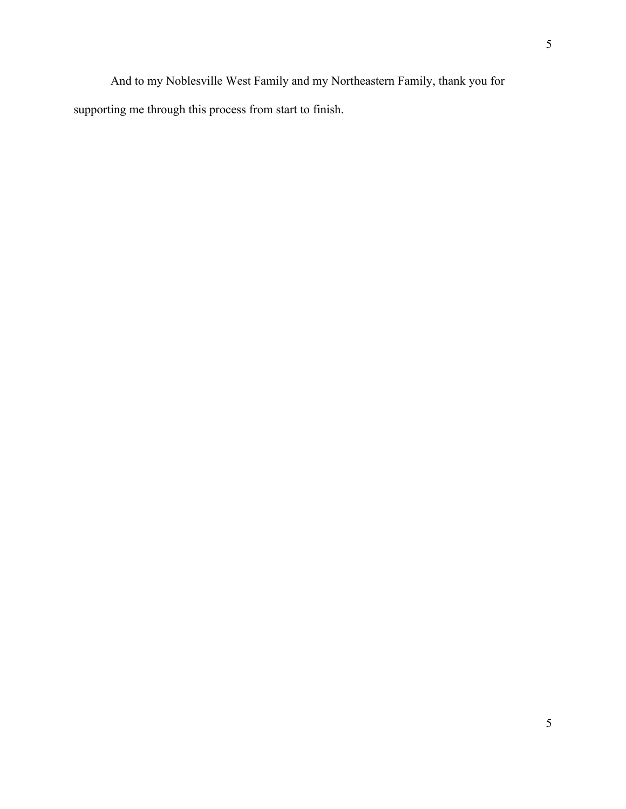And to my Noblesville West Family and my Northeastern Family, thank you for supporting me through this process from start to finish.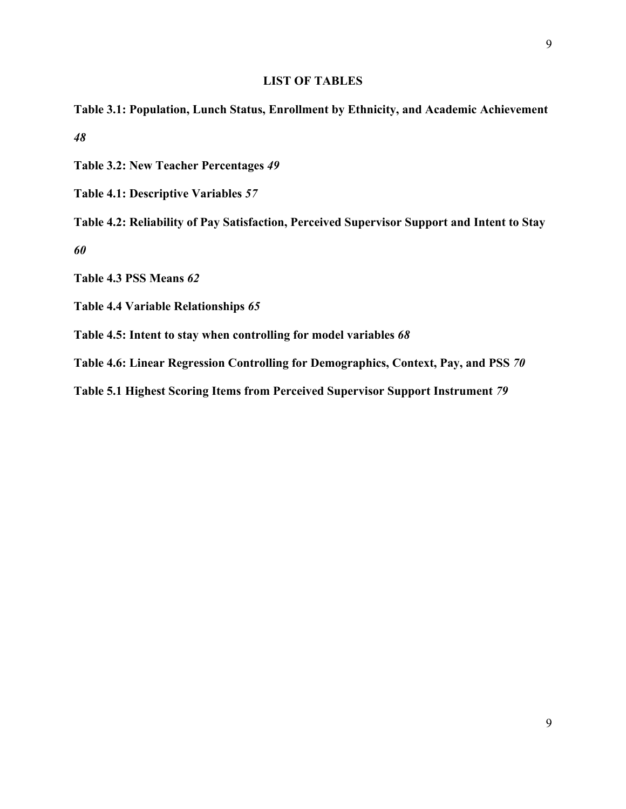### **LIST OF TABLES**

- **Table 3.1: Population, Lunch Status, Enrollment by Ethnicity, and Academic Achievement** *48*
- **Table 3.2: New Teacher Percentages** *49*
- **Table 4.1: Descriptive Variables** *57*

**Table 4.2: Reliability of Pay Satisfaction, Perceived Supervisor Support and Intent to Stay** *60*

**Table 4.3 PSS Means** *62*

**Table 4.4 Variable Relationships** *65*

**Table 4.5: Intent to stay when controlling for model variables** *68*

**Table 4.6: Linear Regression Controlling for Demographics, Context, Pay, and PSS** *70*

**Table 5.1 Highest Scoring Items from Perceived Supervisor Support Instrument** *79*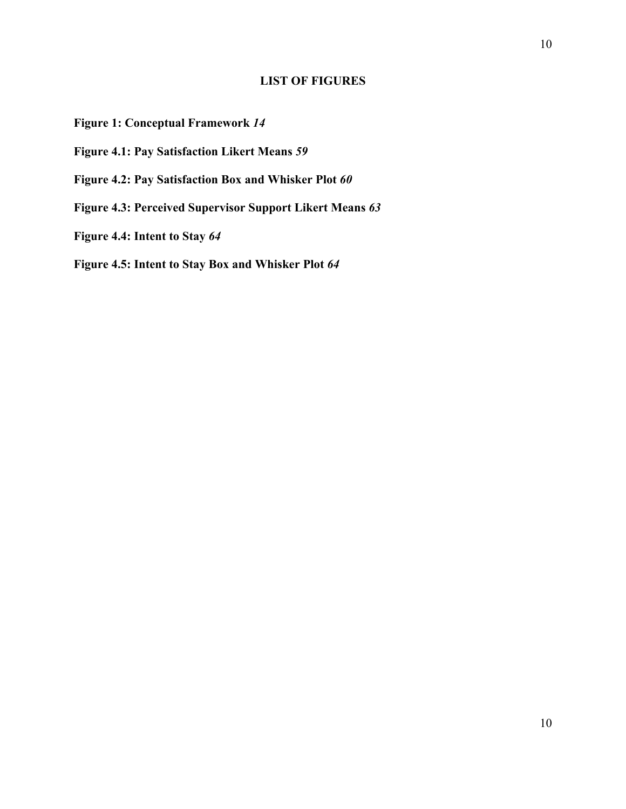# **LIST OF FIGURES**

# **Figure 1: Conceptual Framework** *14*

- **Figure 4.1: Pay Satisfaction Likert Means** *59*
- **Figure 4.2: Pay Satisfaction Box and Whisker Plot** *60*
- **Figure 4.3: Perceived Supervisor Support Likert Means** *63*
- **Figure 4.4: Intent to Stay** *64*

**Figure 4.5: Intent to Stay Box and Whisker Plot** *64*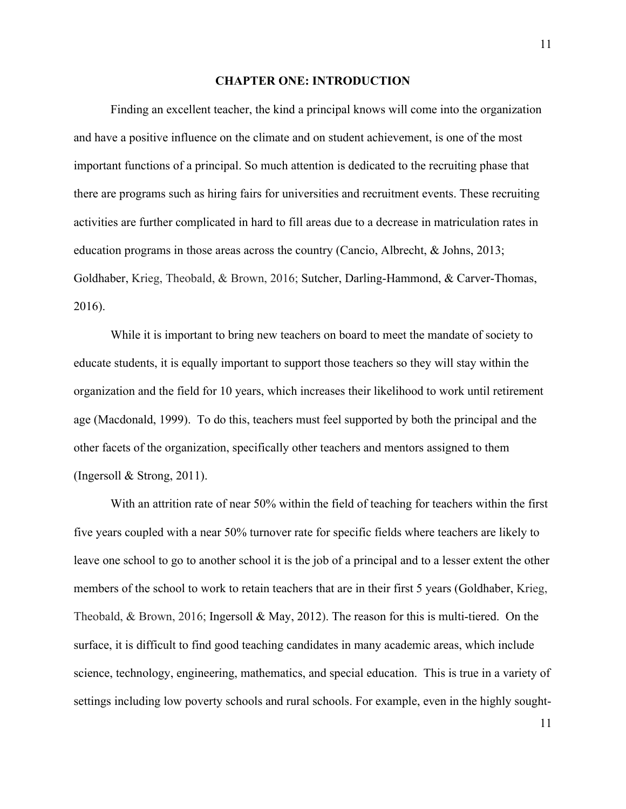#### **CHAPTER ONE: INTRODUCTION**

Finding an excellent teacher, the kind a principal knows will come into the organization and have a positive influence on the climate and on student achievement, is one of the most important functions of a principal. So much attention is dedicated to the recruiting phase that there are programs such as hiring fairs for universities and recruitment events. These recruiting activities are further complicated in hard to fill areas due to a decrease in matriculation rates in education programs in those areas across the country (Cancio, Albrecht, & Johns, 2013; Goldhaber, Krieg, Theobald, & Brown, 2016; Sutcher, Darling-Hammond, & Carver-Thomas, 2016).

While it is important to bring new teachers on board to meet the mandate of society to educate students, it is equally important to support those teachers so they will stay within the organization and the field for 10 years, which increases their likelihood to work until retirement age (Macdonald, 1999). To do this, teachers must feel supported by both the principal and the other facets of the organization, specifically other teachers and mentors assigned to them (Ingersoll & Strong, 2011).

With an attrition rate of near 50% within the field of teaching for teachers within the first five years coupled with a near 50% turnover rate for specific fields where teachers are likely to leave one school to go to another school it is the job of a principal and to a lesser extent the other members of the school to work to retain teachers that are in their first 5 years (Goldhaber, Krieg, Theobald, & Brown, 2016; Ingersoll & May, 2012). The reason for this is multi-tiered. On the surface, it is difficult to find good teaching candidates in many academic areas, which include science, technology, engineering, mathematics, and special education. This is true in a variety of settings including low poverty schools and rural schools. For example, even in the highly sought-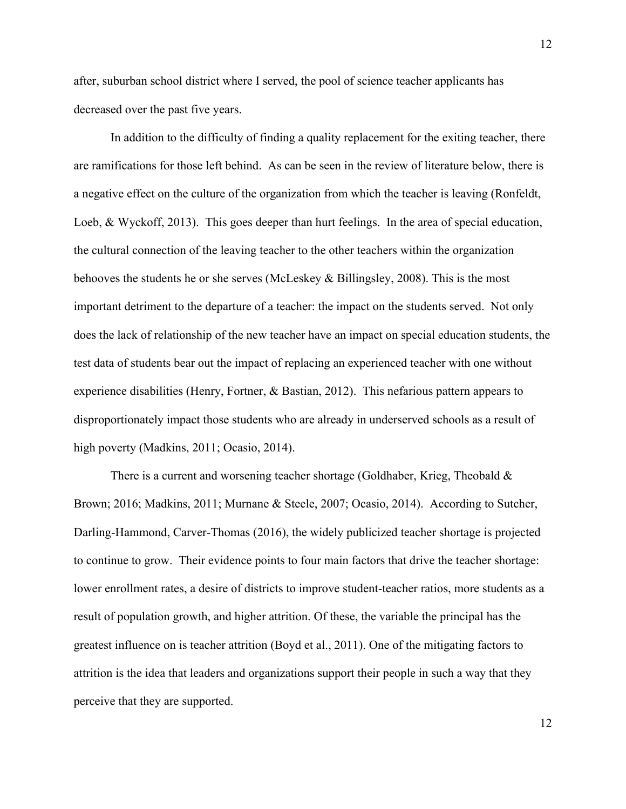after, suburban school district where I served, the pool of science teacher applicants has decreased over the past five years.

In addition to the difficulty of finding a quality replacement for the exiting teacher, there are ramifications for those left behind. As can be seen in the review of literature below, there is a negative effect on the culture of the organization from which the teacher is leaving (Ronfeldt, Loeb, & Wyckoff, 2013). This goes deeper than hurt feelings. In the area of special education, the cultural connection of the leaving teacher to the other teachers within the organization behooves the students he or she serves (McLeskey & Billingsley, 2008). This is the most important detriment to the departure of a teacher: the impact on the students served. Not only does the lack of relationship of the new teacher have an impact on special education students, the test data of students bear out the impact of replacing an experienced teacher with one without experience disabilities (Henry, Fortner, & Bastian, 2012). This nefarious pattern appears to disproportionately impact those students who are already in underserved schools as a result of high poverty (Madkins, 2011; Ocasio, 2014).

There is a current and worsening teacher shortage (Goldhaber, Krieg, Theobald & Brown; 2016; Madkins, 2011; Murnane & Steele, 2007; Ocasio, 2014). According to Sutcher, Darling-Hammond, Carver-Thomas (2016), the widely publicized teacher shortage is projected to continue to grow. Their evidence points to four main factors that drive the teacher shortage: lower enrollment rates, a desire of districts to improve student-teacher ratios, more students as a result of population growth, and higher attrition. Of these, the variable the principal has the greatest influence on is teacher attrition (Boyd et al., 2011). One of the mitigating factors to attrition is the idea that leaders and organizations support their people in such a way that they perceive that they are supported.

12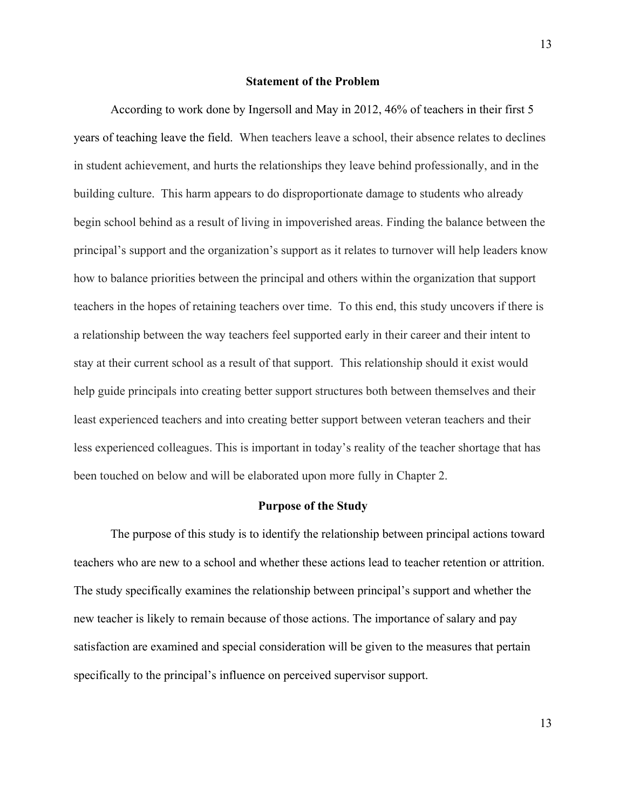### **Statement of the Problem**

According to work done by Ingersoll and May in 2012, 46% of teachers in their first 5 years of teaching leave the field. When teachers leave a school, their absence relates to declines in student achievement, and hurts the relationships they leave behind professionally, and in the building culture. This harm appears to do disproportionate damage to students who already begin school behind as a result of living in impoverished areas. Finding the balance between the principal's support and the organization's support as it relates to turnover will help leaders know how to balance priorities between the principal and others within the organization that support teachers in the hopes of retaining teachers over time. To this end, this study uncovers if there is a relationship between the way teachers feel supported early in their career and their intent to stay at their current school as a result of that support. This relationship should it exist would help guide principals into creating better support structures both between themselves and their least experienced teachers and into creating better support between veteran teachers and their less experienced colleagues. This is important in today's reality of the teacher shortage that has been touched on below and will be elaborated upon more fully in Chapter 2.

### **Purpose of the Study**

The purpose of this study is to identify the relationship between principal actions toward teachers who are new to a school and whether these actions lead to teacher retention or attrition. The study specifically examines the relationship between principal's support and whether the new teacher is likely to remain because of those actions. The importance of salary and pay satisfaction are examined and special consideration will be given to the measures that pertain specifically to the principal's influence on perceived supervisor support.

13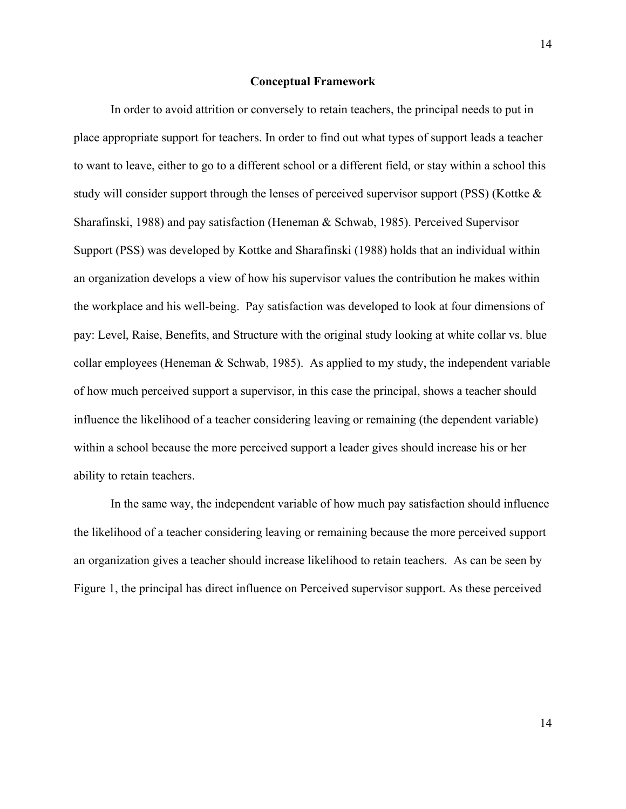#### **Conceptual Framework**

In order to avoid attrition or conversely to retain teachers, the principal needs to put in place appropriate support for teachers. In order to find out what types of support leads a teacher to want to leave, either to go to a different school or a different field, or stay within a school this study will consider support through the lenses of perceived supervisor support (PSS) (Kottke & Sharafinski, 1988) and pay satisfaction (Heneman & Schwab, 1985). Perceived Supervisor Support (PSS) was developed by Kottke and Sharafinski (1988) holds that an individual within an organization develops a view of how his supervisor values the contribution he makes within the workplace and his well-being. Pay satisfaction was developed to look at four dimensions of pay: Level, Raise, Benefits, and Structure with the original study looking at white collar vs. blue collar employees (Heneman  $\&$  Schwab, 1985). As applied to my study, the independent variable of how much perceived support a supervisor, in this case the principal, shows a teacher should influence the likelihood of a teacher considering leaving or remaining (the dependent variable) within a school because the more perceived support a leader gives should increase his or her ability to retain teachers.

In the same way, the independent variable of how much pay satisfaction should influence the likelihood of a teacher considering leaving or remaining because the more perceived support an organization gives a teacher should increase likelihood to retain teachers. As can be seen by Figure 1, the principal has direct influence on Perceived supervisor support. As these perceived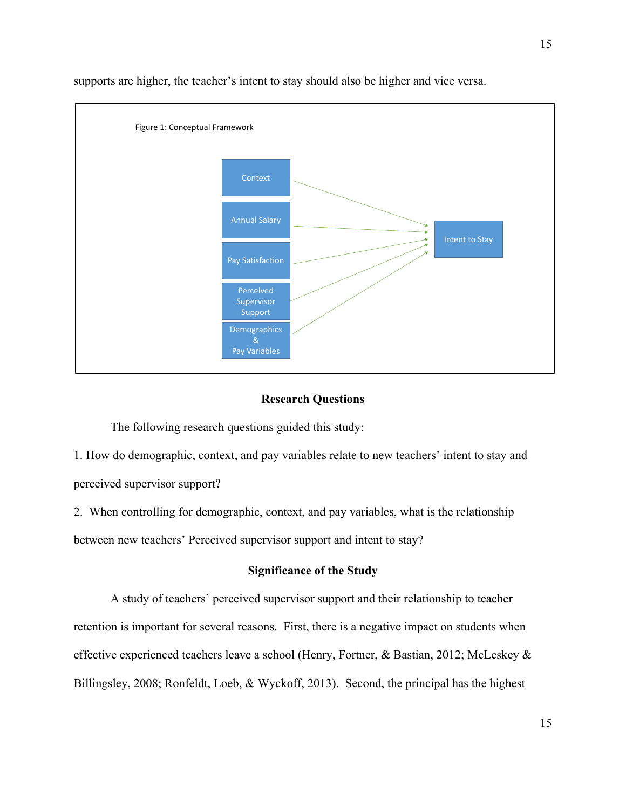

supports are higher, the teacher's intent to stay should also be higher and vice versa.

## **Research Questions**

The following research questions guided this study:

1. How do demographic, context, and pay variables relate to new teachers' intent to stay and perceived supervisor support?

2. When controlling for demographic, context, and pay variables, what is the relationship between new teachers' Perceived supervisor support and intent to stay?

## **Significance of the Study**

A study of teachers' perceived supervisor support and their relationship to teacher retention is important for several reasons. First, there is a negative impact on students when effective experienced teachers leave a school (Henry, Fortner, & Bastian, 2012; McLeskey & Billingsley, 2008; Ronfeldt, Loeb, & Wyckoff, 2013). Second, the principal has the highest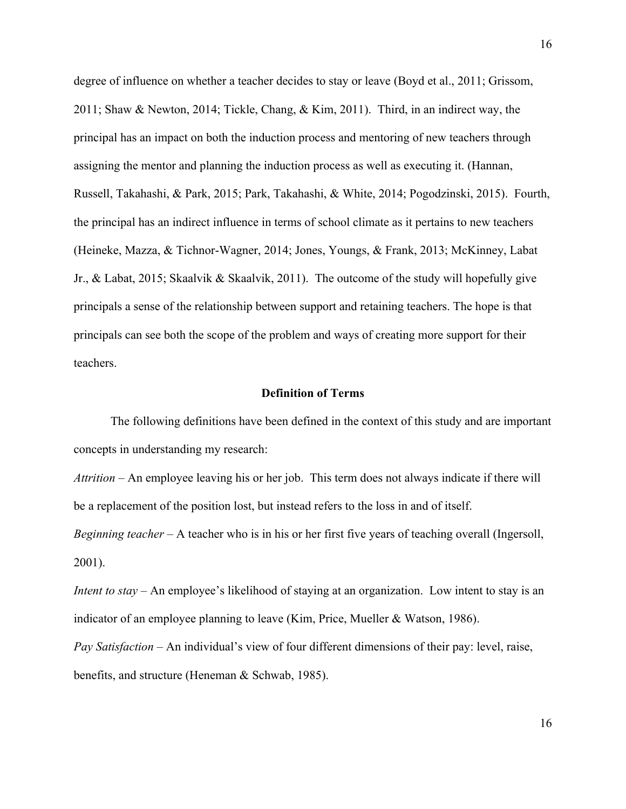degree of influence on whether a teacher decides to stay or leave (Boyd et al., 2011; Grissom, 2011; Shaw & Newton, 2014; Tickle, Chang, & Kim, 2011). Third, in an indirect way, the principal has an impact on both the induction process and mentoring of new teachers through assigning the mentor and planning the induction process as well as executing it. (Hannan, Russell, Takahashi, & Park, 2015; Park, Takahashi, & White, 2014; Pogodzinski, 2015). Fourth, the principal has an indirect influence in terms of school climate as it pertains to new teachers (Heineke, Mazza, & Tichnor-Wagner, 2014; Jones, Youngs, & Frank, 2013; McKinney, Labat Jr., & Labat, 2015; Skaalvik & Skaalvik, 2011). The outcome of the study will hopefully give principals a sense of the relationship between support and retaining teachers. The hope is that principals can see both the scope of the problem and ways of creating more support for their teachers.

### **Definition of Terms**

The following definitions have been defined in the context of this study and are important concepts in understanding my research:

*Attrition* – An employee leaving his or her job. This term does not always indicate if there will be a replacement of the position lost, but instead refers to the loss in and of itself.

*Beginning teacher* – A teacher who is in his or her first five years of teaching overall (Ingersoll, 2001).

*Intent to stay* – An employee's likelihood of staying at an organization. Low intent to stay is an indicator of an employee planning to leave (Kim, Price, Mueller & Watson, 1986).

*Pay Satisfaction* – An individual's view of four different dimensions of their pay: level, raise, benefits, and structure (Heneman & Schwab, 1985).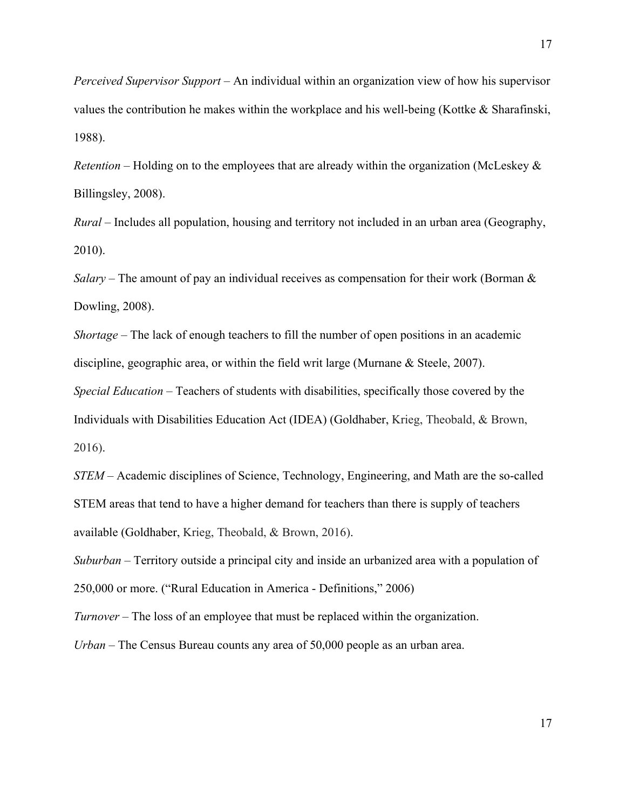*Perceived Supervisor Support* – An individual within an organization view of how his supervisor values the contribution he makes within the workplace and his well-being (Kottke & Sharafinski, 1988).

*Retention* – Holding on to the employees that are already within the organization (McLeskey & Billingsley, 2008).

*Rural* – Includes all population, housing and territory not included in an urban area (Geography, 2010).

*Salary* – The amount of pay an individual receives as compensation for their work (Borman & Dowling, 2008).

*Shortage* – The lack of enough teachers to fill the number of open positions in an academic discipline, geographic area, or within the field writ large (Murnane & Steele, 2007).

*Special Education* – Teachers of students with disabilities, specifically those covered by the Individuals with Disabilities Education Act (IDEA) (Goldhaber, Krieg, Theobald, & Brown, 2016).

*STEM* – Academic disciplines of Science, Technology, Engineering, and Math are the so-called STEM areas that tend to have a higher demand for teachers than there is supply of teachers available (Goldhaber, Krieg, Theobald, & Brown, 2016).

*Suburban* – Territory outside a principal city and inside an urbanized area with a population of 250,000 or more. ("Rural Education in America - Definitions," 2006)

*Turnover* – The loss of an employee that must be replaced within the organization.

*Urban* – The Census Bureau counts any area of 50,000 people as an urban area.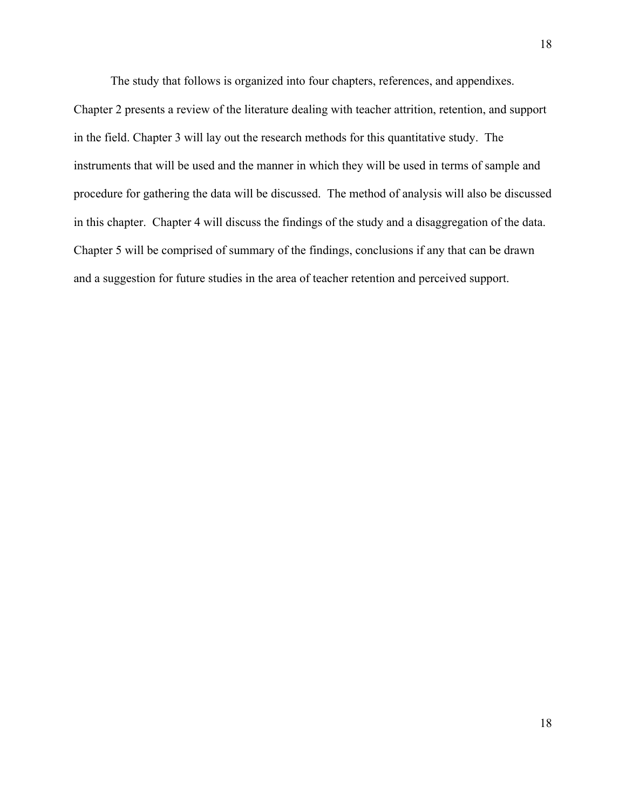The study that follows is organized into four chapters, references, and appendixes.

Chapter 2 presents a review of the literature dealing with teacher attrition, retention, and support in the field. Chapter 3 will lay out the research methods for this quantitative study. The instruments that will be used and the manner in which they will be used in terms of sample and procedure for gathering the data will be discussed. The method of analysis will also be discussed in this chapter. Chapter 4 will discuss the findings of the study and a disaggregation of the data. Chapter 5 will be comprised of summary of the findings, conclusions if any that can be drawn and a suggestion for future studies in the area of teacher retention and perceived support.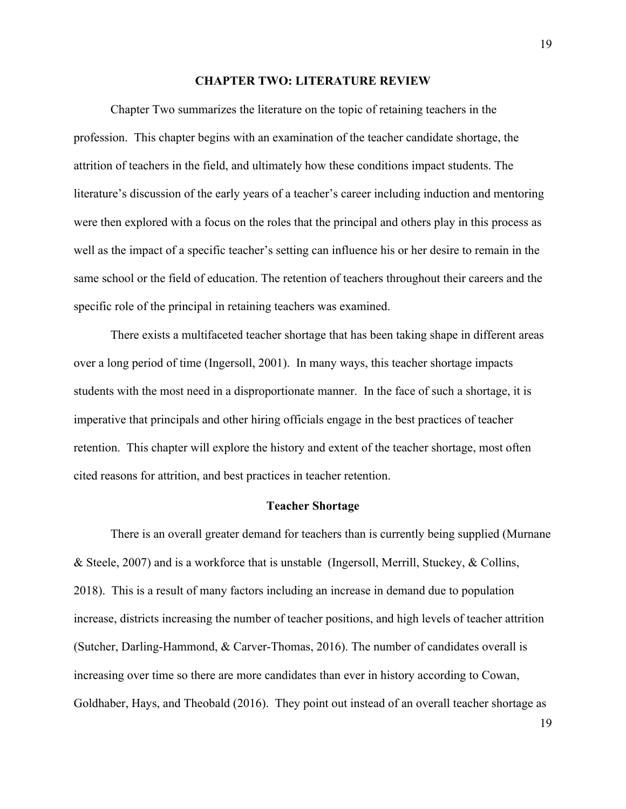#### **CHAPTER TWO: LITERATURE REVIEW**

Chapter Two summarizes the literature on the topic of retaining teachers in the profession. This chapter begins with an examination of the teacher candidate shortage, the attrition of teachers in the field, and ultimately how these conditions impact students. The literature's discussion of the early years of a teacher's career including induction and mentoring were then explored with a focus on the roles that the principal and others play in this process as well as the impact of a specific teacher's setting can influence his or her desire to remain in the same school or the field of education. The retention of teachers throughout their careers and the specific role of the principal in retaining teachers was examined.

There exists a multifaceted teacher shortage that has been taking shape in different areas over a long period of time (Ingersoll, 2001). In many ways, this teacher shortage impacts students with the most need in a disproportionate manner. In the face of such a shortage, it is imperative that principals and other hiring officials engage in the best practices of teacher retention. This chapter will explore the history and extent of the teacher shortage, most often cited reasons for attrition, and best practices in teacher retention.

### **Teacher Shortage**

There is an overall greater demand for teachers than is currently being supplied (Murnane & Steele, 2007) and is a workforce that is unstable (Ingersoll, Merrill, Stuckey, & Collins, 2018). This is a result of many factors including an increase in demand due to population increase, districts increasing the number of teacher positions, and high levels of teacher attrition (Sutcher, Darling-Hammond, & Carver-Thomas, 2016). The number of candidates overall is increasing over time so there are more candidates than ever in history according to Cowan, Goldhaber, Hays, and Theobald (2016). They point out instead of an overall teacher shortage as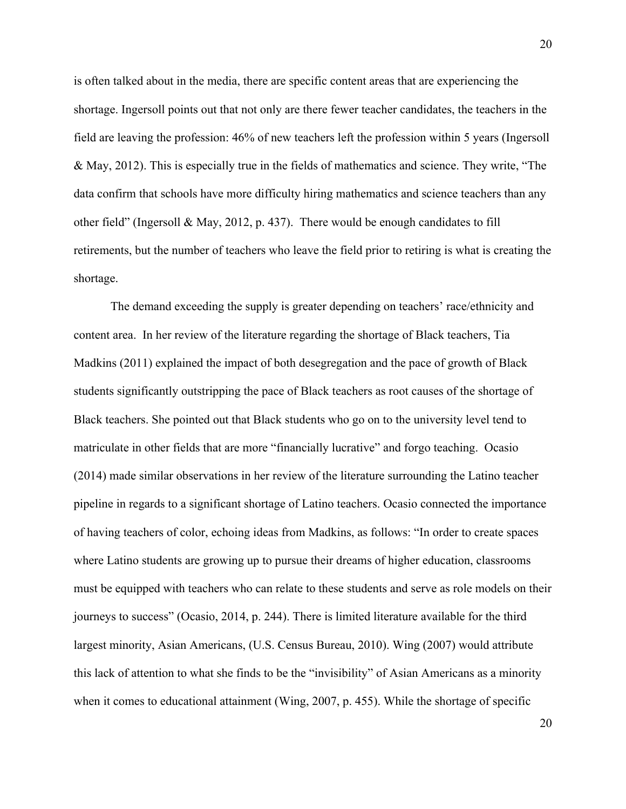is often talked about in the media, there are specific content areas that are experiencing the shortage. Ingersoll points out that not only are there fewer teacher candidates, the teachers in the field are leaving the profession: 46% of new teachers left the profession within 5 years (Ingersoll & May, 2012). This is especially true in the fields of mathematics and science. They write, "The data confirm that schools have more difficulty hiring mathematics and science teachers than any other field" (Ingersoll & May, 2012, p. 437). There would be enough candidates to fill retirements, but the number of teachers who leave the field prior to retiring is what is creating the shortage.

The demand exceeding the supply is greater depending on teachers' race/ethnicity and content area. In her review of the literature regarding the shortage of Black teachers, Tia Madkins (2011) explained the impact of both desegregation and the pace of growth of Black students significantly outstripping the pace of Black teachers as root causes of the shortage of Black teachers. She pointed out that Black students who go on to the university level tend to matriculate in other fields that are more "financially lucrative" and forgo teaching. Ocasio (2014) made similar observations in her review of the literature surrounding the Latino teacher pipeline in regards to a significant shortage of Latino teachers. Ocasio connected the importance of having teachers of color, echoing ideas from Madkins, as follows: "In order to create spaces where Latino students are growing up to pursue their dreams of higher education, classrooms must be equipped with teachers who can relate to these students and serve as role models on their journeys to success" (Ocasio, 2014, p. 244). There is limited literature available for the third largest minority, Asian Americans, (U.S. Census Bureau, 2010). Wing (2007) would attribute this lack of attention to what she finds to be the "invisibility" of Asian Americans as a minority when it comes to educational attainment (Wing, 2007, p. 455). While the shortage of specific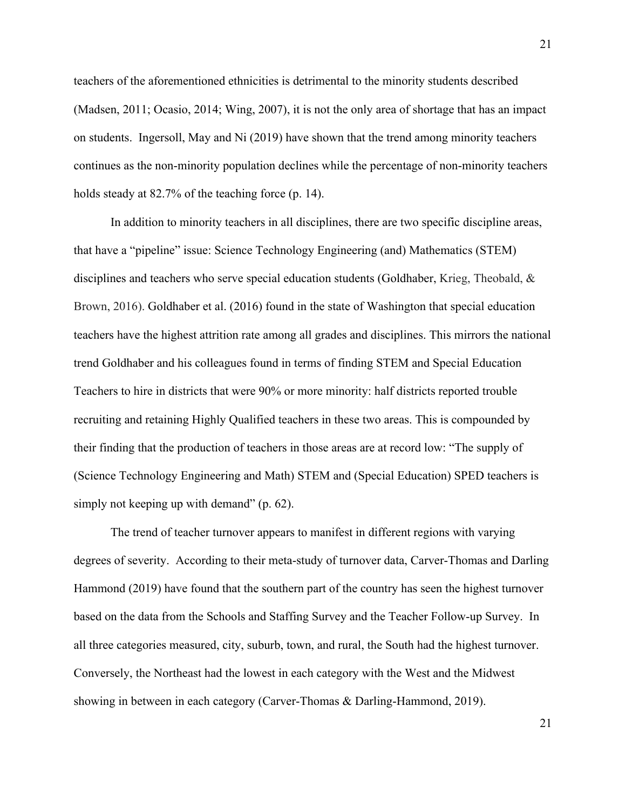teachers of the aforementioned ethnicities is detrimental to the minority students described (Madsen, 2011; Ocasio, 2014; Wing, 2007), it is not the only area of shortage that has an impact on students. Ingersoll, May and Ni (2019) have shown that the trend among minority teachers continues as the non-minority population declines while the percentage of non-minority teachers holds steady at 82.7% of the teaching force (p. 14).

In addition to minority teachers in all disciplines, there are two specific discipline areas, that have a "pipeline" issue: Science Technology Engineering (and) Mathematics (STEM) disciplines and teachers who serve special education students (Goldhaber, Krieg, Theobald, & Brown, 2016). Goldhaber et al. (2016) found in the state of Washington that special education teachers have the highest attrition rate among all grades and disciplines. This mirrors the national trend Goldhaber and his colleagues found in terms of finding STEM and Special Education Teachers to hire in districts that were 90% or more minority: half districts reported trouble recruiting and retaining Highly Qualified teachers in these two areas. This is compounded by their finding that the production of teachers in those areas are at record low: "The supply of (Science Technology Engineering and Math) STEM and (Special Education) SPED teachers is simply not keeping up with demand" (p. 62).

The trend of teacher turnover appears to manifest in different regions with varying degrees of severity. According to their meta-study of turnover data, Carver-Thomas and Darling Hammond (2019) have found that the southern part of the country has seen the highest turnover based on the data from the Schools and Staffing Survey and the Teacher Follow-up Survey. In all three categories measured, city, suburb, town, and rural, the South had the highest turnover. Conversely, the Northeast had the lowest in each category with the West and the Midwest showing in between in each category (Carver-Thomas & Darling-Hammond, 2019).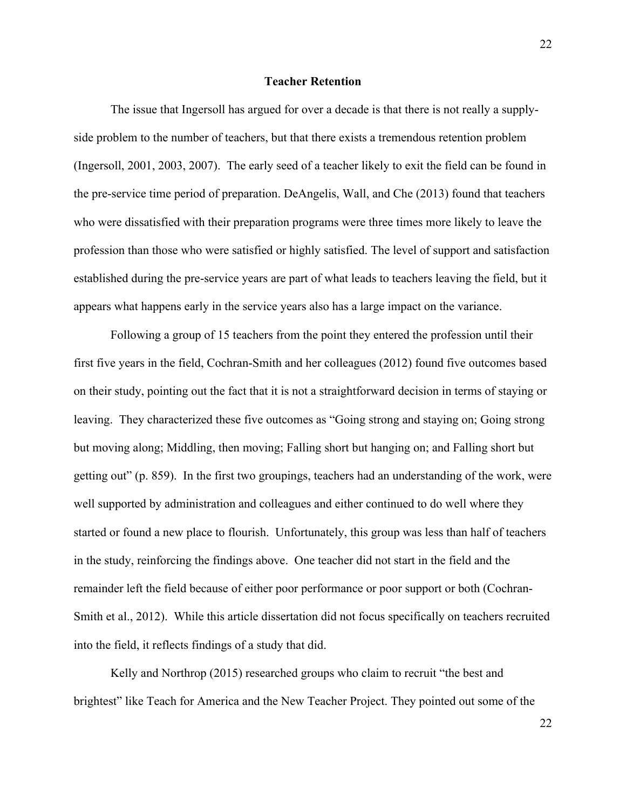### **Teacher Retention**

The issue that Ingersoll has argued for over a decade is that there is not really a supplyside problem to the number of teachers, but that there exists a tremendous retention problem (Ingersoll, 2001, 2003, 2007). The early seed of a teacher likely to exit the field can be found in the pre-service time period of preparation. DeAngelis, Wall, and Che (2013) found that teachers who were dissatisfied with their preparation programs were three times more likely to leave the profession than those who were satisfied or highly satisfied. The level of support and satisfaction established during the pre-service years are part of what leads to teachers leaving the field, but it appears what happens early in the service years also has a large impact on the variance.

Following a group of 15 teachers from the point they entered the profession until their first five years in the field, Cochran-Smith and her colleagues (2012) found five outcomes based on their study, pointing out the fact that it is not a straightforward decision in terms of staying or leaving. They characterized these five outcomes as "Going strong and staying on; Going strong but moving along; Middling, then moving; Falling short but hanging on; and Falling short but getting out" (p. 859). In the first two groupings, teachers had an understanding of the work, were well supported by administration and colleagues and either continued to do well where they started or found a new place to flourish. Unfortunately, this group was less than half of teachers in the study, reinforcing the findings above. One teacher did not start in the field and the remainder left the field because of either poor performance or poor support or both (Cochran-Smith et al., 2012). While this article dissertation did not focus specifically on teachers recruited into the field, it reflects findings of a study that did.

Kelly and Northrop (2015) researched groups who claim to recruit "the best and brightest" like Teach for America and the New Teacher Project. They pointed out some of the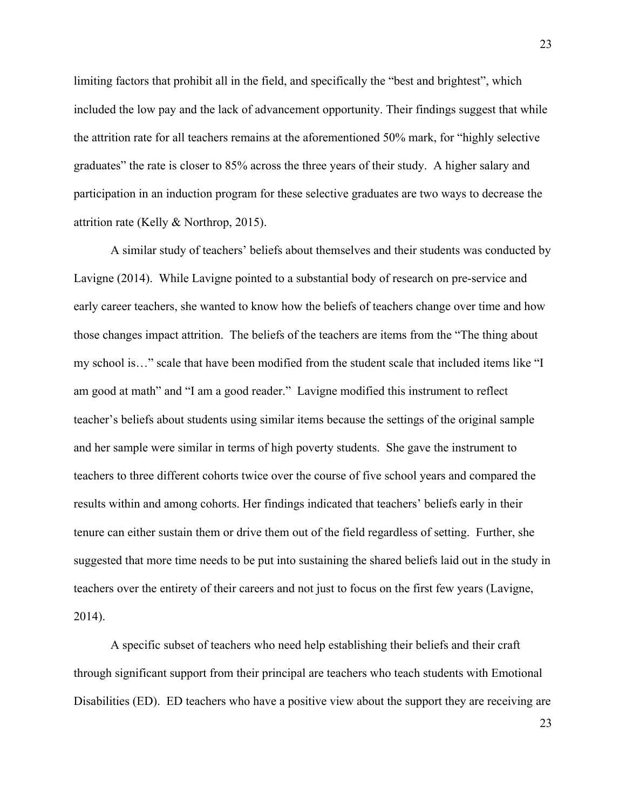limiting factors that prohibit all in the field, and specifically the "best and brightest", which included the low pay and the lack of advancement opportunity. Their findings suggest that while the attrition rate for all teachers remains at the aforementioned 50% mark, for "highly selective graduates" the rate is closer to 85% across the three years of their study. A higher salary and participation in an induction program for these selective graduates are two ways to decrease the attrition rate (Kelly & Northrop, 2015).

A similar study of teachers' beliefs about themselves and their students was conducted by Lavigne (2014). While Lavigne pointed to a substantial body of research on pre-service and early career teachers, she wanted to know how the beliefs of teachers change over time and how those changes impact attrition. The beliefs of the teachers are items from the "The thing about my school is…" scale that have been modified from the student scale that included items like "I am good at math" and "I am a good reader." Lavigne modified this instrument to reflect teacher's beliefs about students using similar items because the settings of the original sample and her sample were similar in terms of high poverty students. She gave the instrument to teachers to three different cohorts twice over the course of five school years and compared the results within and among cohorts. Her findings indicated that teachers' beliefs early in their tenure can either sustain them or drive them out of the field regardless of setting. Further, she suggested that more time needs to be put into sustaining the shared beliefs laid out in the study in teachers over the entirety of their careers and not just to focus on the first few years (Lavigne, 2014).

A specific subset of teachers who need help establishing their beliefs and their craft through significant support from their principal are teachers who teach students with Emotional Disabilities (ED). ED teachers who have a positive view about the support they are receiving are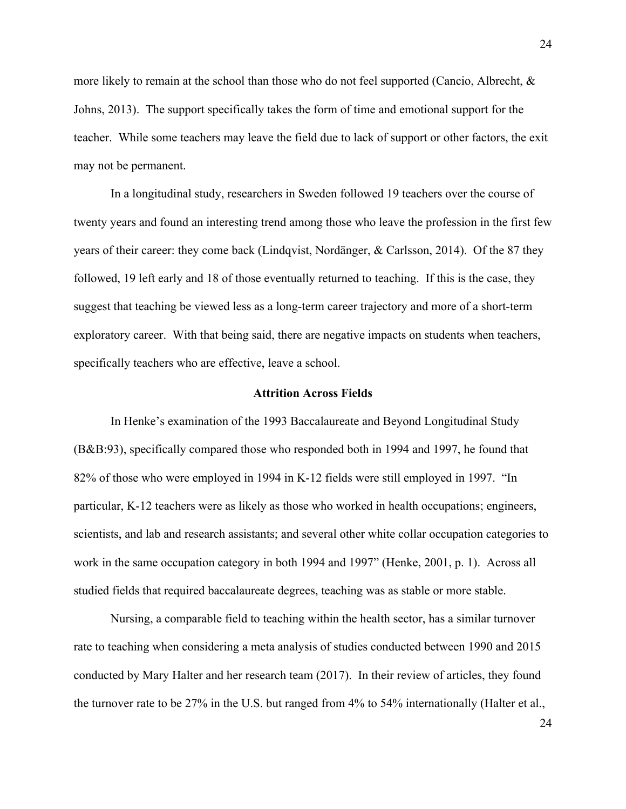more likely to remain at the school than those who do not feel supported (Cancio, Albrecht, & Johns, 2013). The support specifically takes the form of time and emotional support for the teacher. While some teachers may leave the field due to lack of support or other factors, the exit may not be permanent.

In a longitudinal study, researchers in Sweden followed 19 teachers over the course of twenty years and found an interesting trend among those who leave the profession in the first few years of their career: they come back (Lindqvist, Nordänger, & Carlsson, 2014). Of the 87 they followed, 19 left early and 18 of those eventually returned to teaching. If this is the case, they suggest that teaching be viewed less as a long-term career trajectory and more of a short-term exploratory career. With that being said, there are negative impacts on students when teachers, specifically teachers who are effective, leave a school.

### **Attrition Across Fields**

In Henke's examination of the 1993 Baccalaureate and Beyond Longitudinal Study (B&B:93), specifically compared those who responded both in 1994 and 1997, he found that 82% of those who were employed in 1994 in K-12 fields were still employed in 1997. "In particular, K-12 teachers were as likely as those who worked in health occupations; engineers, scientists, and lab and research assistants; and several other white collar occupation categories to work in the same occupation category in both 1994 and 1997" (Henke, 2001, p. 1). Across all studied fields that required baccalaureate degrees, teaching was as stable or more stable.

Nursing, a comparable field to teaching within the health sector, has a similar turnover rate to teaching when considering a meta analysis of studies conducted between 1990 and 2015 conducted by Mary Halter and her research team (2017). In their review of articles, they found the turnover rate to be 27% in the U.S. but ranged from 4% to 54% internationally (Halter et al.,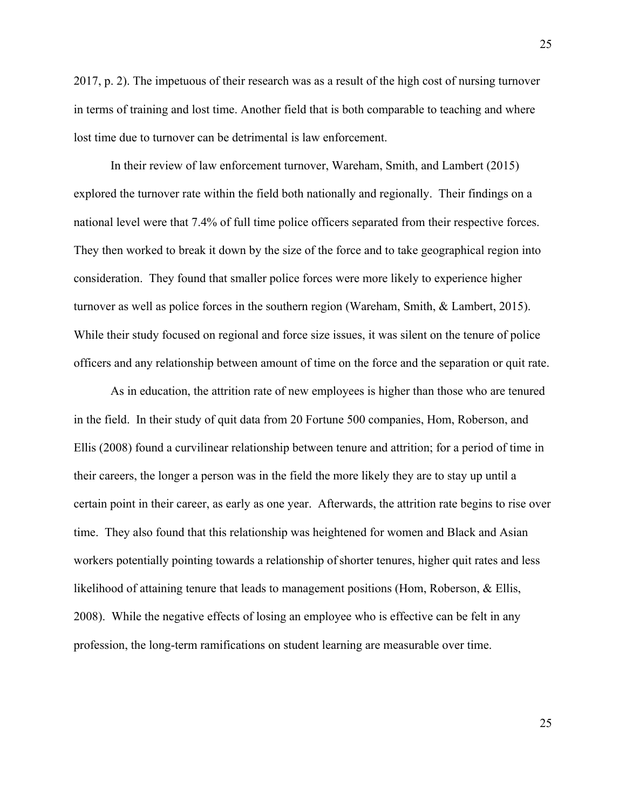2017, p. 2). The impetuous of their research was as a result of the high cost of nursing turnover in terms of training and lost time. Another field that is both comparable to teaching and where lost time due to turnover can be detrimental is law enforcement.

In their review of law enforcement turnover, Wareham, Smith, and Lambert (2015) explored the turnover rate within the field both nationally and regionally. Their findings on a national level were that 7.4% of full time police officers separated from their respective forces. They then worked to break it down by the size of the force and to take geographical region into consideration. They found that smaller police forces were more likely to experience higher turnover as well as police forces in the southern region (Wareham, Smith, & Lambert, 2015). While their study focused on regional and force size issues, it was silent on the tenure of police officers and any relationship between amount of time on the force and the separation or quit rate.

As in education, the attrition rate of new employees is higher than those who are tenured in the field. In their study of quit data from 20 Fortune 500 companies, Hom, Roberson, and Ellis (2008) found a curvilinear relationship between tenure and attrition; for a period of time in their careers, the longer a person was in the field the more likely they are to stay up until a certain point in their career, as early as one year. Afterwards, the attrition rate begins to rise over time. They also found that this relationship was heightened for women and Black and Asian workers potentially pointing towards a relationship ofshorter tenures, higher quit rates and less likelihood of attaining tenure that leads to management positions (Hom, Roberson, & Ellis, 2008). While the negative effects of losing an employee who is effective can be felt in any profession, the long-term ramifications on student learning are measurable over time.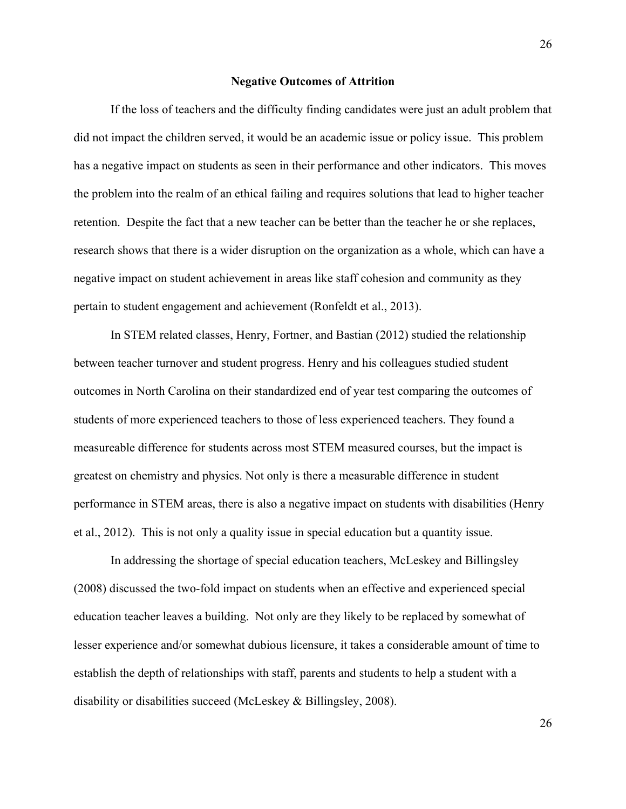#### **Negative Outcomes of Attrition**

If the loss of teachers and the difficulty finding candidates were just an adult problem that did not impact the children served, it would be an academic issue or policy issue. This problem has a negative impact on students as seen in their performance and other indicators. This moves the problem into the realm of an ethical failing and requires solutions that lead to higher teacher retention. Despite the fact that a new teacher can be better than the teacher he or she replaces, research shows that there is a wider disruption on the organization as a whole, which can have a negative impact on student achievement in areas like staff cohesion and community as they pertain to student engagement and achievement (Ronfeldt et al., 2013).

In STEM related classes, Henry, Fortner, and Bastian (2012) studied the relationship between teacher turnover and student progress. Henry and his colleagues studied student outcomes in North Carolina on their standardized end of year test comparing the outcomes of students of more experienced teachers to those of less experienced teachers. They found a measureable difference for students across most STEM measured courses, but the impact is greatest on chemistry and physics. Not only is there a measurable difference in student performance in STEM areas, there is also a negative impact on students with disabilities (Henry et al., 2012). This is not only a quality issue in special education but a quantity issue.

In addressing the shortage of special education teachers, McLeskey and Billingsley (2008) discussed the two-fold impact on students when an effective and experienced special education teacher leaves a building. Not only are they likely to be replaced by somewhat of lesser experience and/or somewhat dubious licensure, it takes a considerable amount of time to establish the depth of relationships with staff, parents and students to help a student with a disability or disabilities succeed (McLeskey & Billingsley, 2008).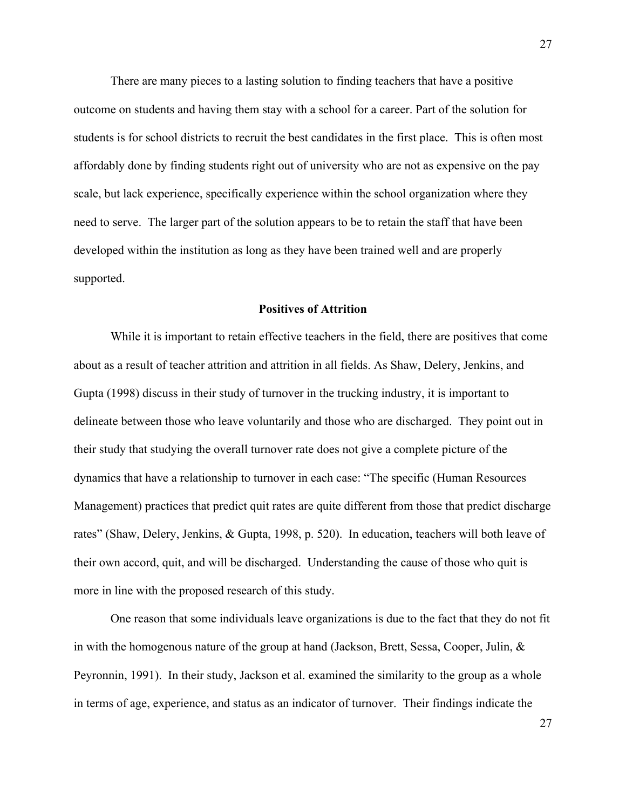There are many pieces to a lasting solution to finding teachers that have a positive outcome on students and having them stay with a school for a career. Part of the solution for students is for school districts to recruit the best candidates in the first place. This is often most affordably done by finding students right out of university who are not as expensive on the pay scale, but lack experience, specifically experience within the school organization where they need to serve. The larger part of the solution appears to be to retain the staff that have been developed within the institution as long as they have been trained well and are properly supported.

#### **Positives of Attrition**

While it is important to retain effective teachers in the field, there are positives that come about as a result of teacher attrition and attrition in all fields. As Shaw, Delery, Jenkins, and Gupta (1998) discuss in their study of turnover in the trucking industry, it is important to delineate between those who leave voluntarily and those who are discharged. They point out in their study that studying the overall turnover rate does not give a complete picture of the dynamics that have a relationship to turnover in each case: "The specific (Human Resources Management) practices that predict quit rates are quite different from those that predict discharge rates" (Shaw, Delery, Jenkins, & Gupta, 1998, p. 520). In education, teachers will both leave of their own accord, quit, and will be discharged. Understanding the cause of those who quit is more in line with the proposed research of this study.

One reason that some individuals leave organizations is due to the fact that they do not fit in with the homogenous nature of the group at hand (Jackson, Brett, Sessa, Cooper, Julin, & Peyronnin, 1991). In their study, Jackson et al. examined the similarity to the group as a whole in terms of age, experience, and status as an indicator of turnover. Their findings indicate the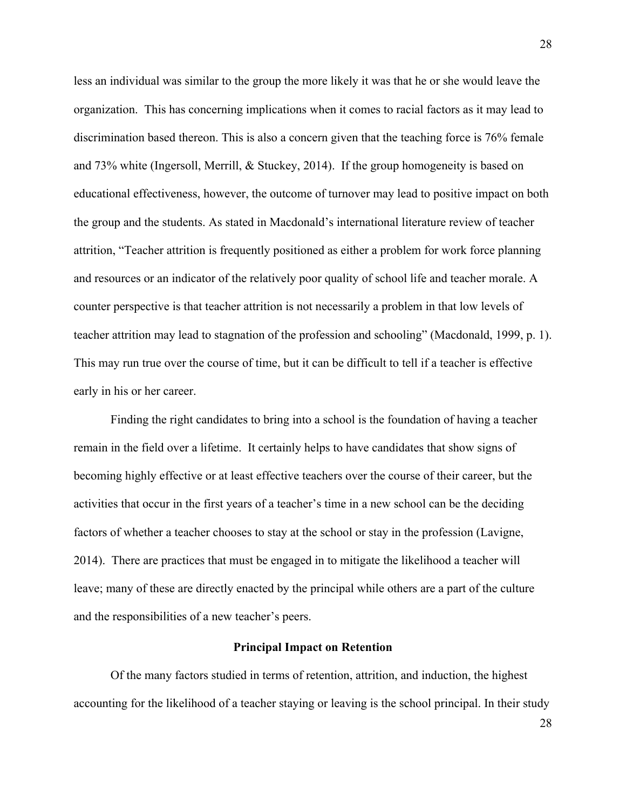less an individual was similar to the group the more likely it was that he or she would leave the organization. This has concerning implications when it comes to racial factors as it may lead to discrimination based thereon. This is also a concern given that the teaching force is 76% female and 73% white (Ingersoll, Merrill, & Stuckey, 2014). If the group homogeneity is based on educational effectiveness, however, the outcome of turnover may lead to positive impact on both the group and the students. As stated in Macdonald's international literature review of teacher attrition, "Teacher attrition is frequently positioned as either a problem for work force planning and resources or an indicator of the relatively poor quality of school life and teacher morale. A counter perspective is that teacher attrition is not necessarily a problem in that low levels of teacher attrition may lead to stagnation of the profession and schooling" (Macdonald, 1999, p. 1). This may run true over the course of time, but it can be difficult to tell if a teacher is effective early in his or her career.

Finding the right candidates to bring into a school is the foundation of having a teacher remain in the field over a lifetime. It certainly helps to have candidates that show signs of becoming highly effective or at least effective teachers over the course of their career, but the activities that occur in the first years of a teacher's time in a new school can be the deciding factors of whether a teacher chooses to stay at the school or stay in the profession (Lavigne, 2014). There are practices that must be engaged in to mitigate the likelihood a teacher will leave; many of these are directly enacted by the principal while others are a part of the culture and the responsibilities of a new teacher's peers.

### **Principal Impact on Retention**

Of the many factors studied in terms of retention, attrition, and induction, the highest accounting for the likelihood of a teacher staying or leaving is the school principal. In their study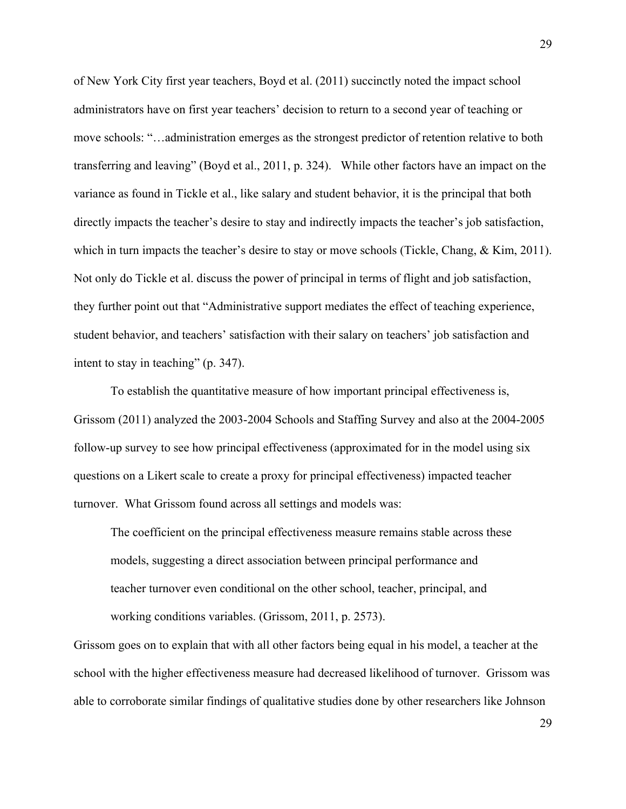of New York City first year teachers, Boyd et al. (2011) succinctly noted the impact school administrators have on first year teachers' decision to return to a second year of teaching or move schools: "…administration emerges as the strongest predictor of retention relative to both transferring and leaving" (Boyd et al., 2011, p. 324). While other factors have an impact on the variance as found in Tickle et al., like salary and student behavior, it is the principal that both directly impacts the teacher's desire to stay and indirectly impacts the teacher's job satisfaction, which in turn impacts the teacher's desire to stay or move schools (Tickle, Chang, & Kim, 2011). Not only do Tickle et al. discuss the power of principal in terms of flight and job satisfaction, they further point out that "Administrative support mediates the effect of teaching experience, student behavior, and teachers' satisfaction with their salary on teachers' job satisfaction and intent to stay in teaching" (p. 347).

To establish the quantitative measure of how important principal effectiveness is, Grissom (2011) analyzed the 2003-2004 Schools and Staffing Survey and also at the 2004-2005 follow-up survey to see how principal effectiveness (approximated for in the model using six questions on a Likert scale to create a proxy for principal effectiveness) impacted teacher turnover. What Grissom found across all settings and models was:

The coefficient on the principal effectiveness measure remains stable across these models, suggesting a direct association between principal performance and teacher turnover even conditional on the other school, teacher, principal, and working conditions variables. (Grissom, 2011, p. 2573).

Grissom goes on to explain that with all other factors being equal in his model, a teacher at the school with the higher effectiveness measure had decreased likelihood of turnover. Grissom was able to corroborate similar findings of qualitative studies done by other researchers like Johnson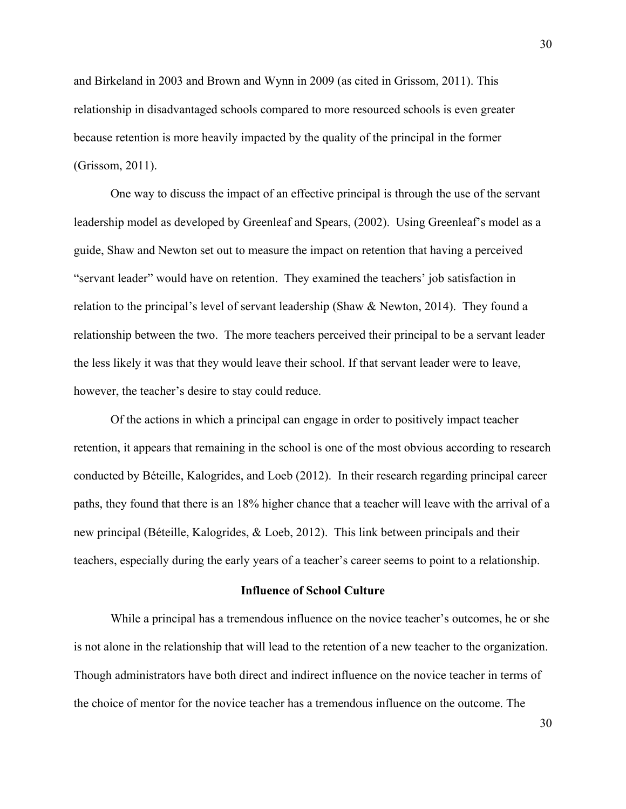and Birkeland in 2003 and Brown and Wynn in 2009 (as cited in Grissom, 2011). This relationship in disadvantaged schools compared to more resourced schools is even greater because retention is more heavily impacted by the quality of the principal in the former (Grissom, 2011).

One way to discuss the impact of an effective principal is through the use of the servant leadership model as developed by Greenleaf and Spears, (2002). Using Greenleaf's model as a guide, Shaw and Newton set out to measure the impact on retention that having a perceived "servant leader" would have on retention. They examined the teachers' job satisfaction in relation to the principal's level of servant leadership (Shaw & Newton, 2014). They found a relationship between the two. The more teachers perceived their principal to be a servant leader the less likely it was that they would leave their school. If that servant leader were to leave, however, the teacher's desire to stay could reduce.

Of the actions in which a principal can engage in order to positively impact teacher retention, it appears that remaining in the school is one of the most obvious according to research conducted by Béteille, Kalogrides, and Loeb (2012). In their research regarding principal career paths, they found that there is an 18% higher chance that a teacher will leave with the arrival of a new principal (Béteille, Kalogrides, & Loeb, 2012). This link between principals and their teachers, especially during the early years of a teacher's career seems to point to a relationship.

### **Influence of School Culture**

While a principal has a tremendous influence on the novice teacher's outcomes, he or she is not alone in the relationship that will lead to the retention of a new teacher to the organization. Though administrators have both direct and indirect influence on the novice teacher in terms of the choice of mentor for the novice teacher has a tremendous influence on the outcome. The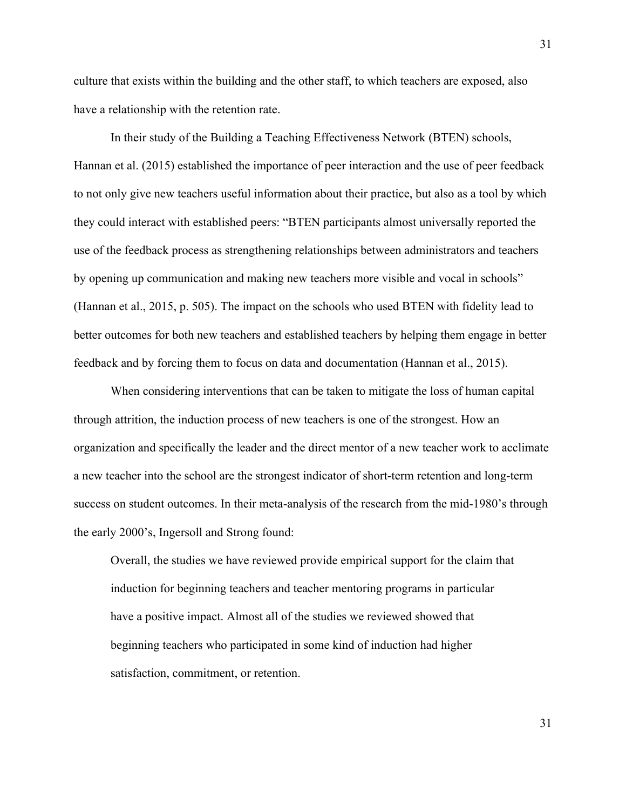culture that exists within the building and the other staff, to which teachers are exposed, also have a relationship with the retention rate.

In their study of the Building a Teaching Effectiveness Network (BTEN) schools, Hannan et al. (2015) established the importance of peer interaction and the use of peer feedback to not only give new teachers useful information about their practice, but also as a tool by which they could interact with established peers: "BTEN participants almost universally reported the use of the feedback process as strengthening relationships between administrators and teachers by opening up communication and making new teachers more visible and vocal in schools" (Hannan et al., 2015, p. 505). The impact on the schools who used BTEN with fidelity lead to better outcomes for both new teachers and established teachers by helping them engage in better feedback and by forcing them to focus on data and documentation (Hannan et al., 2015).

When considering interventions that can be taken to mitigate the loss of human capital through attrition, the induction process of new teachers is one of the strongest. How an organization and specifically the leader and the direct mentor of a new teacher work to acclimate a new teacher into the school are the strongest indicator of short-term retention and long-term success on student outcomes. In their meta-analysis of the research from the mid-1980's through the early 2000's, Ingersoll and Strong found:

Overall, the studies we have reviewed provide empirical support for the claim that induction for beginning teachers and teacher mentoring programs in particular have a positive impact. Almost all of the studies we reviewed showed that beginning teachers who participated in some kind of induction had higher satisfaction, commitment, or retention.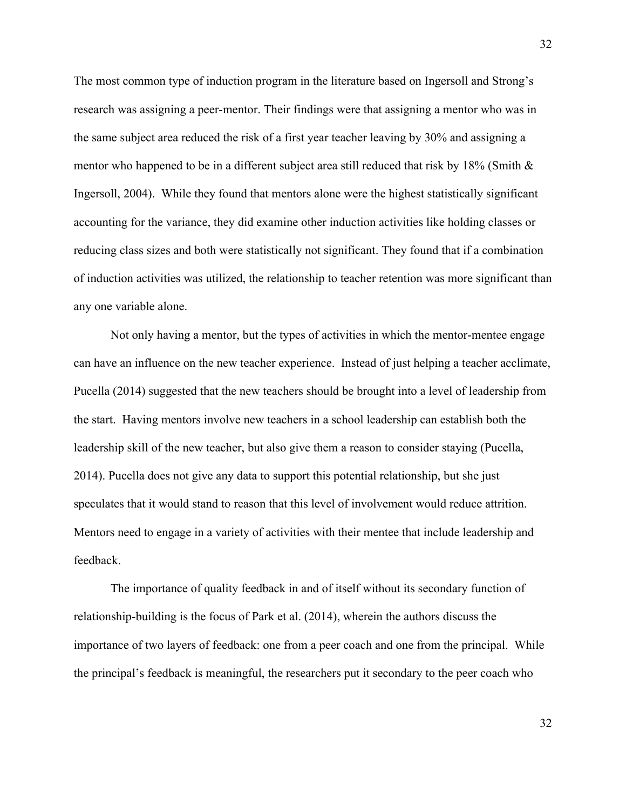The most common type of induction program in the literature based on Ingersoll and Strong's research was assigning a peer-mentor. Their findings were that assigning a mentor who was in the same subject area reduced the risk of a first year teacher leaving by 30% and assigning a mentor who happened to be in a different subject area still reduced that risk by 18% (Smith  $\&$ Ingersoll, 2004). While they found that mentors alone were the highest statistically significant accounting for the variance, they did examine other induction activities like holding classes or reducing class sizes and both were statistically not significant. They found that if a combination of induction activities was utilized, the relationship to teacher retention was more significant than any one variable alone.

Not only having a mentor, but the types of activities in which the mentor-mentee engage can have an influence on the new teacher experience. Instead of just helping a teacher acclimate, Pucella (2014) suggested that the new teachers should be brought into a level of leadership from the start. Having mentors involve new teachers in a school leadership can establish both the leadership skill of the new teacher, but also give them a reason to consider staying (Pucella, 2014). Pucella does not give any data to support this potential relationship, but she just speculates that it would stand to reason that this level of involvement would reduce attrition. Mentors need to engage in a variety of activities with their mentee that include leadership and feedback.

The importance of quality feedback in and of itself without its secondary function of relationship-building is the focus of Park et al. (2014), wherein the authors discuss the importance of two layers of feedback: one from a peer coach and one from the principal. While the principal's feedback is meaningful, the researchers put it secondary to the peer coach who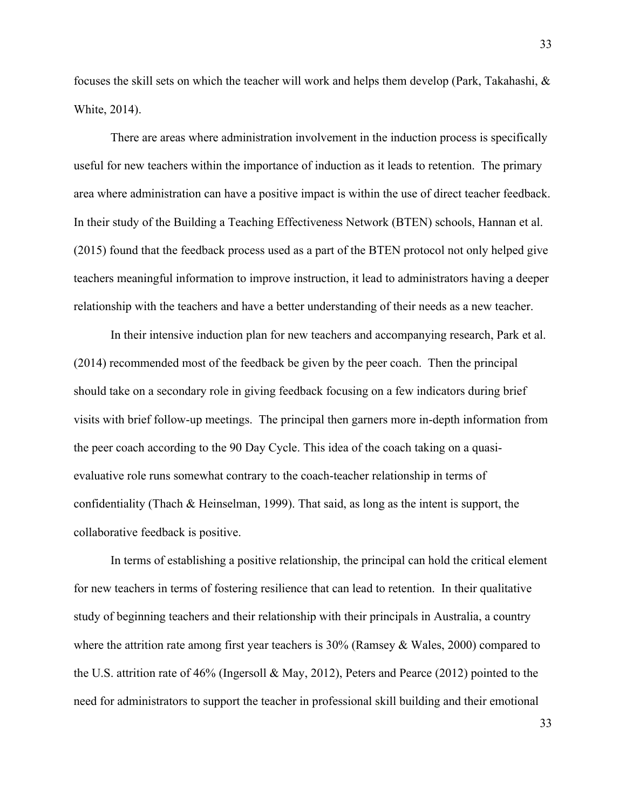focuses the skill sets on which the teacher will work and helps them develop (Park, Takahashi, & White, 2014).

There are areas where administration involvement in the induction process is specifically useful for new teachers within the importance of induction as it leads to retention. The primary area where administration can have a positive impact is within the use of direct teacher feedback. In their study of the Building a Teaching Effectiveness Network (BTEN) schools, Hannan et al. (2015) found that the feedback process used as a part of the BTEN protocol not only helped give teachers meaningful information to improve instruction, it lead to administrators having a deeper relationship with the teachers and have a better understanding of their needs as a new teacher.

In their intensive induction plan for new teachers and accompanying research, Park et al. (2014) recommended most of the feedback be given by the peer coach. Then the principal should take on a secondary role in giving feedback focusing on a few indicators during brief visits with brief follow-up meetings. The principal then garners more in-depth information from the peer coach according to the 90 Day Cycle. This idea of the coach taking on a quasievaluative role runs somewhat contrary to the coach-teacher relationship in terms of confidentiality (Thach & Heinselman, 1999). That said, as long as the intent is support, the collaborative feedback is positive.

In terms of establishing a positive relationship, the principal can hold the critical element for new teachers in terms of fostering resilience that can lead to retention. In their qualitative study of beginning teachers and their relationship with their principals in Australia, a country where the attrition rate among first year teachers is 30% (Ramsey & Wales, 2000) compared to the U.S. attrition rate of 46% (Ingersoll & May, 2012), Peters and Pearce (2012) pointed to the need for administrators to support the teacher in professional skill building and their emotional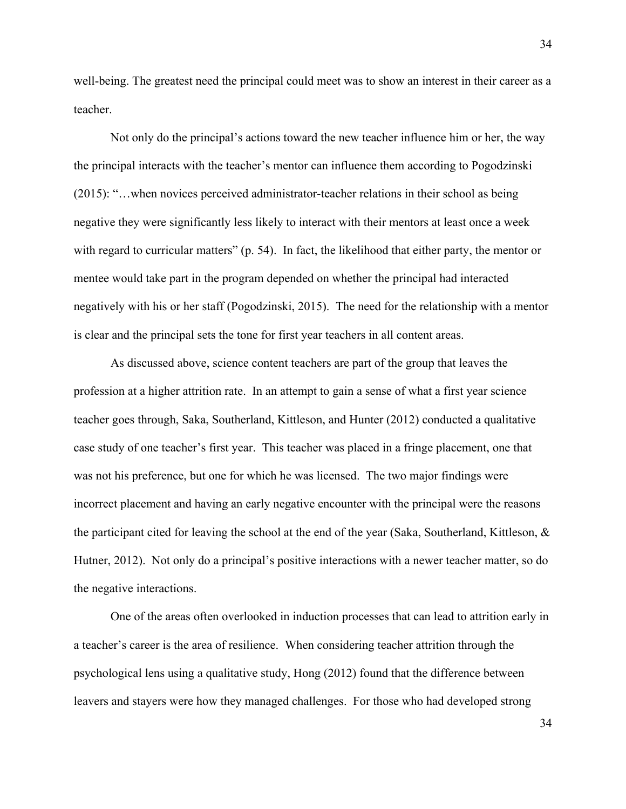well-being. The greatest need the principal could meet was to show an interest in their career as a teacher.

Not only do the principal's actions toward the new teacher influence him or her, the way the principal interacts with the teacher's mentor can influence them according to Pogodzinski (2015): "…when novices perceived administrator-teacher relations in their school as being negative they were significantly less likely to interact with their mentors at least once a week with regard to curricular matters" (p. 54). In fact, the likelihood that either party, the mentor or mentee would take part in the program depended on whether the principal had interacted negatively with his or her staff (Pogodzinski, 2015). The need for the relationship with a mentor is clear and the principal sets the tone for first year teachers in all content areas.

As discussed above, science content teachers are part of the group that leaves the profession at a higher attrition rate. In an attempt to gain a sense of what a first year science teacher goes through, Saka, Southerland, Kittleson, and Hunter (2012) conducted a qualitative case study of one teacher's first year. This teacher was placed in a fringe placement, one that was not his preference, but one for which he was licensed. The two major findings were incorrect placement and having an early negative encounter with the principal were the reasons the participant cited for leaving the school at the end of the year (Saka, Southerland, Kittleson, & Hutner, 2012). Not only do a principal's positive interactions with a newer teacher matter, so do the negative interactions.

One of the areas often overlooked in induction processes that can lead to attrition early in a teacher's career is the area of resilience. When considering teacher attrition through the psychological lens using a qualitative study, Hong (2012) found that the difference between leavers and stayers were how they managed challenges. For those who had developed strong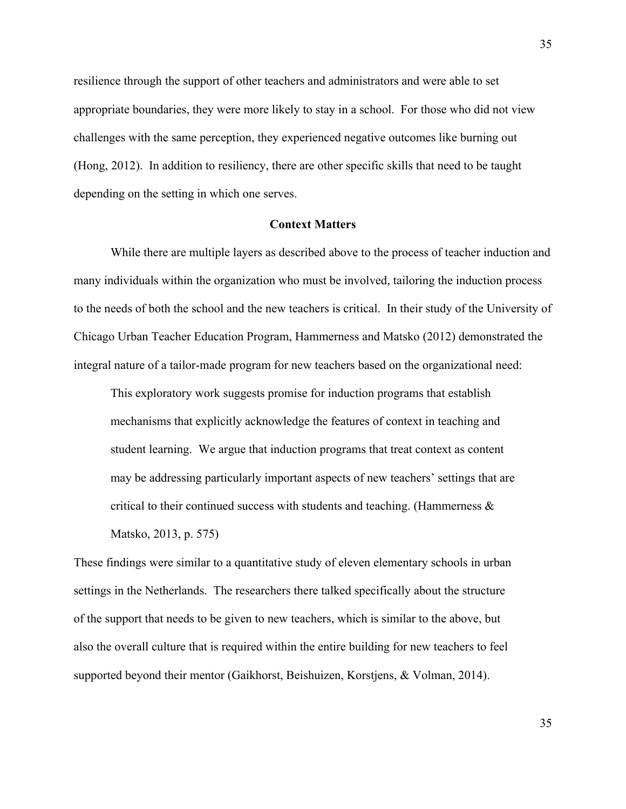resilience through the support of other teachers and administrators and were able to set appropriate boundaries, they were more likely to stay in a school. For those who did not view challenges with the same perception, they experienced negative outcomes like burning out (Hong, 2012). In addition to resiliency, there are other specific skills that need to be taught depending on the setting in which one serves.

### **Context Matters**

While there are multiple layers as described above to the process of teacher induction and many individuals within the organization who must be involved, tailoring the induction process to the needs of both the school and the new teachers is critical. In their study of the University of Chicago Urban Teacher Education Program, Hammerness and Matsko (2012) demonstrated the integral nature of a tailor-made program for new teachers based on the organizational need:

This exploratory work suggests promise for induction programs that establish mechanisms that explicitly acknowledge the features of context in teaching and student learning. We argue that induction programs that treat context as content may be addressing particularly important aspects of new teachers' settings that are critical to their continued success with students and teaching. (Hammerness  $\&$ Matsko, 2013, p. 575)

These findings were similar to a quantitative study of eleven elementary schools in urban settings in the Netherlands. The researchers there talked specifically about the structure of the support that needs to be given to new teachers, which is similar to the above, but also the overall culture that is required within the entire building for new teachers to feel supported beyond their mentor (Gaikhorst, Beishuizen, Korstjens, & Volman, 2014).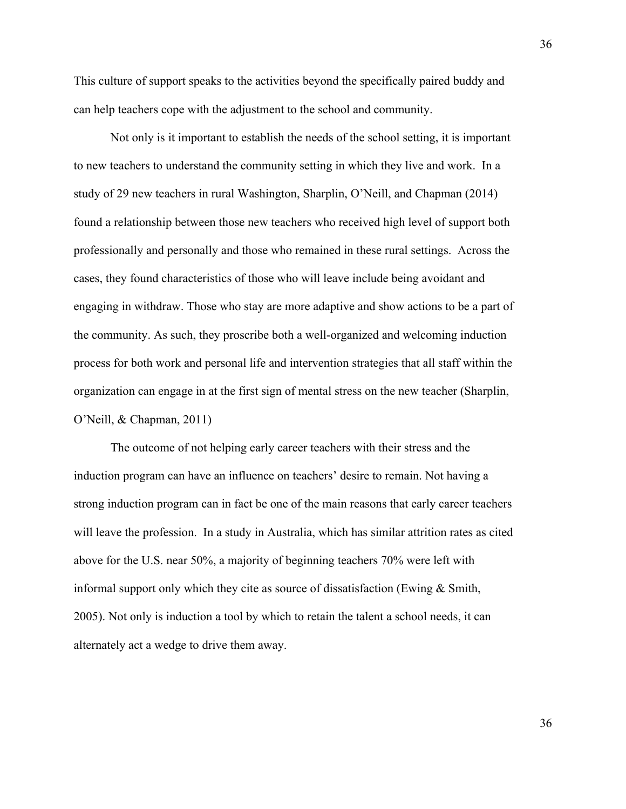This culture of support speaks to the activities beyond the specifically paired buddy and can help teachers cope with the adjustment to the school and community.

Not only is it important to establish the needs of the school setting, it is important to new teachers to understand the community setting in which they live and work. In a study of 29 new teachers in rural Washington, Sharplin, O'Neill, and Chapman (2014) found a relationship between those new teachers who received high level of support both professionally and personally and those who remained in these rural settings. Across the cases, they found characteristics of those who will leave include being avoidant and engaging in withdraw. Those who stay are more adaptive and show actions to be a part of the community. As such, they proscribe both a well-organized and welcoming induction process for both work and personal life and intervention strategies that all staff within the organization can engage in at the first sign of mental stress on the new teacher (Sharplin, O'Neill, & Chapman, 2011)

The outcome of not helping early career teachers with their stress and the induction program can have an influence on teachers' desire to remain. Not having a strong induction program can in fact be one of the main reasons that early career teachers will leave the profession. In a study in Australia, which has similar attrition rates as cited above for the U.S. near 50%, a majority of beginning teachers 70% were left with informal support only which they cite as source of dissatisfaction (Ewing & Smith, 2005). Not only is induction a tool by which to retain the talent a school needs, it can alternately act a wedge to drive them away.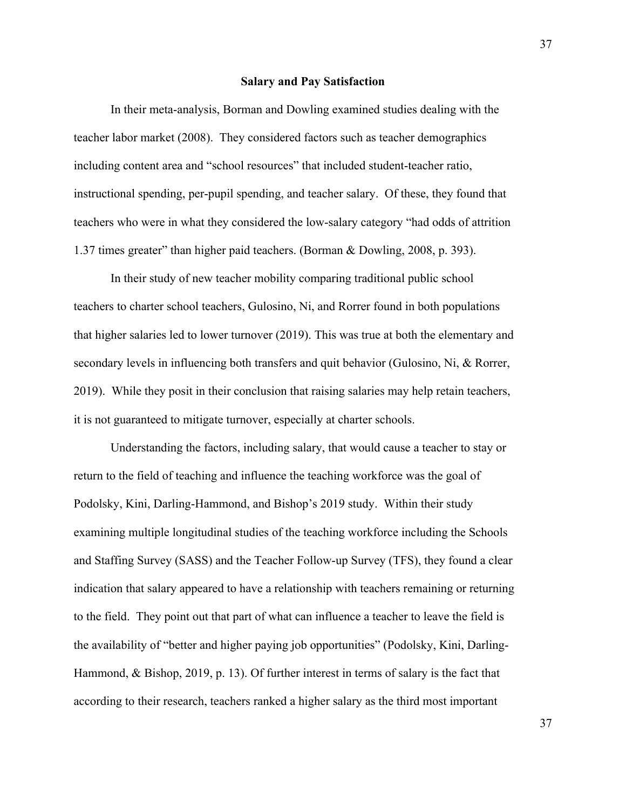#### **Salary and Pay Satisfaction**

In their meta-analysis, Borman and Dowling examined studies dealing with the teacher labor market (2008). They considered factors such as teacher demographics including content area and "school resources" that included student-teacher ratio, instructional spending, per-pupil spending, and teacher salary. Of these, they found that teachers who were in what they considered the low-salary category "had odds of attrition 1.37 times greater" than higher paid teachers. (Borman & Dowling, 2008, p. 393).

In their study of new teacher mobility comparing traditional public school teachers to charter school teachers, Gulosino, Ni, and Rorrer found in both populations that higher salaries led to lower turnover (2019). This was true at both the elementary and secondary levels in influencing both transfers and quit behavior (Gulosino, Ni, & Rorrer, 2019). While they posit in their conclusion that raising salaries may help retain teachers, it is not guaranteed to mitigate turnover, especially at charter schools.

Understanding the factors, including salary, that would cause a teacher to stay or return to the field of teaching and influence the teaching workforce was the goal of Podolsky, Kini, Darling-Hammond, and Bishop's 2019 study. Within their study examining multiple longitudinal studies of the teaching workforce including the Schools and Staffing Survey (SASS) and the Teacher Follow-up Survey (TFS), they found a clear indication that salary appeared to have a relationship with teachers remaining or returning to the field. They point out that part of what can influence a teacher to leave the field is the availability of "better and higher paying job opportunities" (Podolsky, Kini, Darling-Hammond, & Bishop, 2019, p. 13). Of further interest in terms of salary is the fact that according to their research, teachers ranked a higher salary as the third most important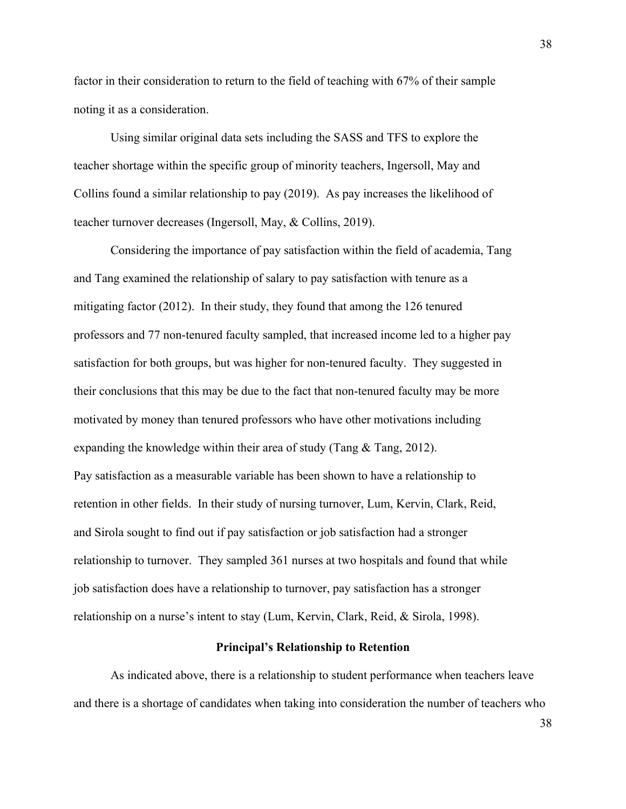factor in their consideration to return to the field of teaching with 67% of their sample noting it as a consideration.

Using similar original data sets including the SASS and TFS to explore the teacher shortage within the specific group of minority teachers, Ingersoll, May and Collins found a similar relationship to pay (2019). As pay increases the likelihood of teacher turnover decreases (Ingersoll, May, & Collins, 2019).

Considering the importance of pay satisfaction within the field of academia, Tang and Tang examined the relationship of salary to pay satisfaction with tenure as a mitigating factor (2012). In their study, they found that among the 126 tenured professors and 77 non-tenured faculty sampled, that increased income led to a higher pay satisfaction for both groups, but was higher for non-tenured faculty. They suggested in their conclusions that this may be due to the fact that non-tenured faculty may be more motivated by money than tenured professors who have other motivations including expanding the knowledge within their area of study (Tang & Tang, 2012). Pay satisfaction as a measurable variable has been shown to have a relationship to retention in other fields. In their study of nursing turnover, Lum, Kervin, Clark, Reid, and Sirola sought to find out if pay satisfaction or job satisfaction had a stronger relationship to turnover. They sampled 361 nurses at two hospitals and found that while job satisfaction does have a relationship to turnover, pay satisfaction has a stronger relationship on a nurse's intent to stay (Lum, Kervin, Clark, Reid, & Sirola, 1998).

## **Principal's Relationship to Retention**

As indicated above, there is a relationship to student performance when teachers leave and there is a shortage of candidates when taking into consideration the number of teachers who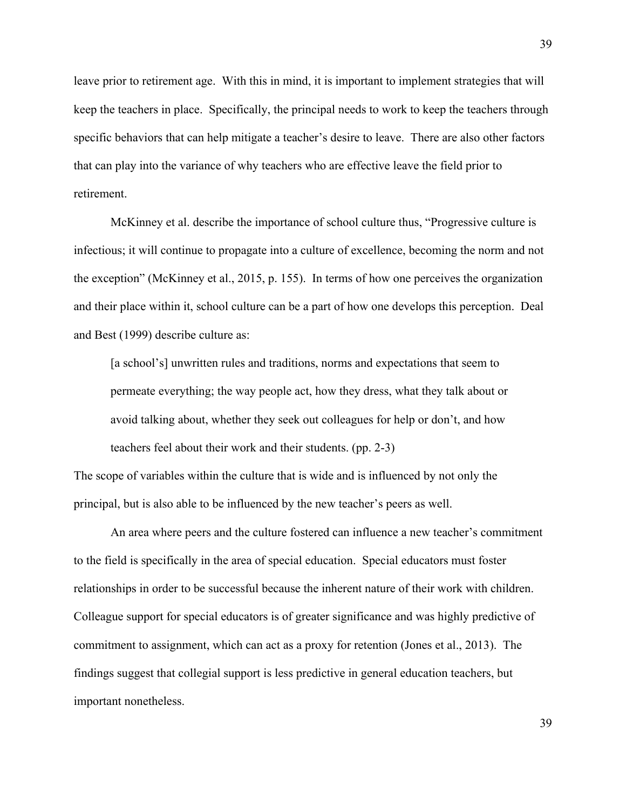leave prior to retirement age. With this in mind, it is important to implement strategies that will keep the teachers in place. Specifically, the principal needs to work to keep the teachers through specific behaviors that can help mitigate a teacher's desire to leave. There are also other factors that can play into the variance of why teachers who are effective leave the field prior to retirement.

McKinney et al. describe the importance of school culture thus, "Progressive culture is infectious; it will continue to propagate into a culture of excellence, becoming the norm and not the exception" (McKinney et al., 2015, p. 155). In terms of how one perceives the organization and their place within it, school culture can be a part of how one develops this perception. Deal and Best (1999) describe culture as:

[a school's] unwritten rules and traditions, norms and expectations that seem to permeate everything; the way people act, how they dress, what they talk about or avoid talking about, whether they seek out colleagues for help or don't, and how teachers feel about their work and their students. (pp. 2-3)

The scope of variables within the culture that is wide and is influenced by not only the principal, but is also able to be influenced by the new teacher's peers as well.

An area where peers and the culture fostered can influence a new teacher's commitment to the field is specifically in the area of special education. Special educators must foster relationships in order to be successful because the inherent nature of their work with children. Colleague support for special educators is of greater significance and was highly predictive of commitment to assignment, which can act as a proxy for retention (Jones et al., 2013). The findings suggest that collegial support is less predictive in general education teachers, but important nonetheless.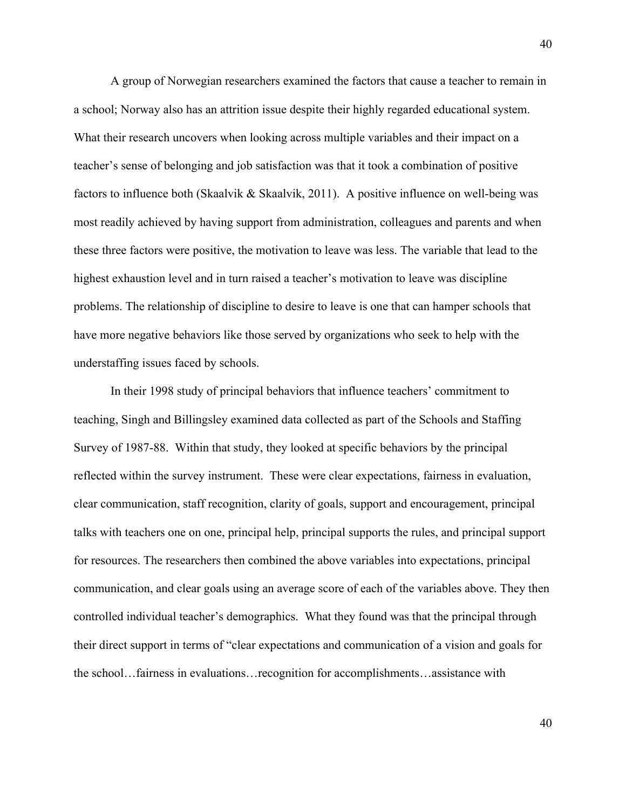A group of Norwegian researchers examined the factors that cause a teacher to remain in a school; Norway also has an attrition issue despite their highly regarded educational system. What their research uncovers when looking across multiple variables and their impact on a teacher's sense of belonging and job satisfaction was that it took a combination of positive factors to influence both (Skaalvik & Skaalvik, 2011). A positive influence on well-being was most readily achieved by having support from administration, colleagues and parents and when these three factors were positive, the motivation to leave was less. The variable that lead to the highest exhaustion level and in turn raised a teacher's motivation to leave was discipline problems. The relationship of discipline to desire to leave is one that can hamper schools that have more negative behaviors like those served by organizations who seek to help with the understaffing issues faced by schools.

In their 1998 study of principal behaviors that influence teachers' commitment to teaching, Singh and Billingsley examined data collected as part of the Schools and Staffing Survey of 1987-88. Within that study, they looked at specific behaviors by the principal reflected within the survey instrument. These were clear expectations, fairness in evaluation, clear communication, staff recognition, clarity of goals, support and encouragement, principal talks with teachers one on one, principal help, principal supports the rules, and principal support for resources. The researchers then combined the above variables into expectations, principal communication, and clear goals using an average score of each of the variables above. They then controlled individual teacher's demographics. What they found was that the principal through their direct support in terms of "clear expectations and communication of a vision and goals for the school…fairness in evaluations…recognition for accomplishments…assistance with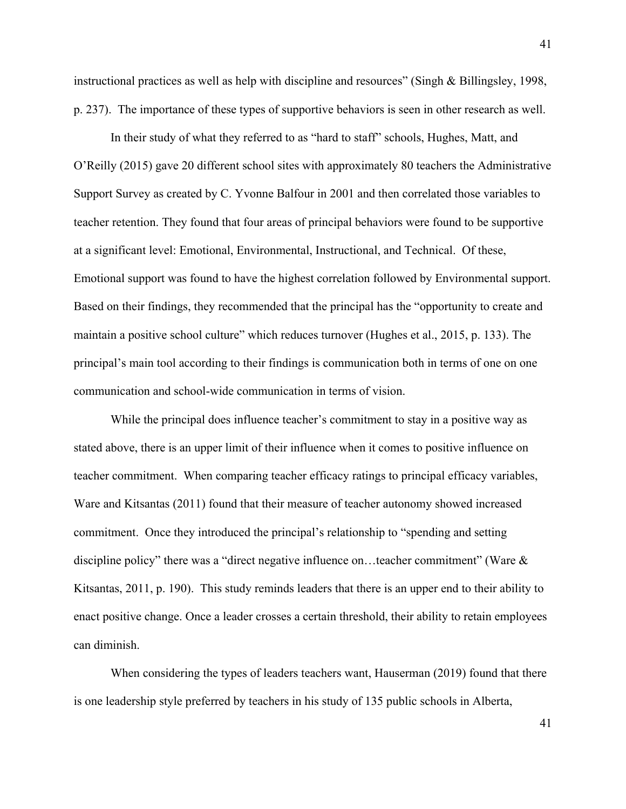instructional practices as well as help with discipline and resources" (Singh & Billingsley, 1998, p. 237). The importance of these types of supportive behaviors is seen in other research as well.

In their study of what they referred to as "hard to staff" schools, Hughes, Matt, and O'Reilly (2015) gave 20 different school sites with approximately 80 teachers the Administrative Support Survey as created by C. Yvonne Balfour in 2001 and then correlated those variables to teacher retention. They found that four areas of principal behaviors were found to be supportive at a significant level: Emotional, Environmental, Instructional, and Technical. Of these, Emotional support was found to have the highest correlation followed by Environmental support. Based on their findings, they recommended that the principal has the "opportunity to create and maintain a positive school culture" which reduces turnover (Hughes et al., 2015, p. 133). The principal's main tool according to their findings is communication both in terms of one on one communication and school-wide communication in terms of vision.

While the principal does influence teacher's commitment to stay in a positive way as stated above, there is an upper limit of their influence when it comes to positive influence on teacher commitment. When comparing teacher efficacy ratings to principal efficacy variables, Ware and Kitsantas (2011) found that their measure of teacher autonomy showed increased commitment. Once they introduced the principal's relationship to "spending and setting discipline policy" there was a "direct negative influence on…teacher commitment" (Ware & Kitsantas, 2011, p. 190). This study reminds leaders that there is an upper end to their ability to enact positive change. Once a leader crosses a certain threshold, their ability to retain employees can diminish.

When considering the types of leaders teachers want, Hauserman (2019) found that there is one leadership style preferred by teachers in his study of 135 public schools in Alberta,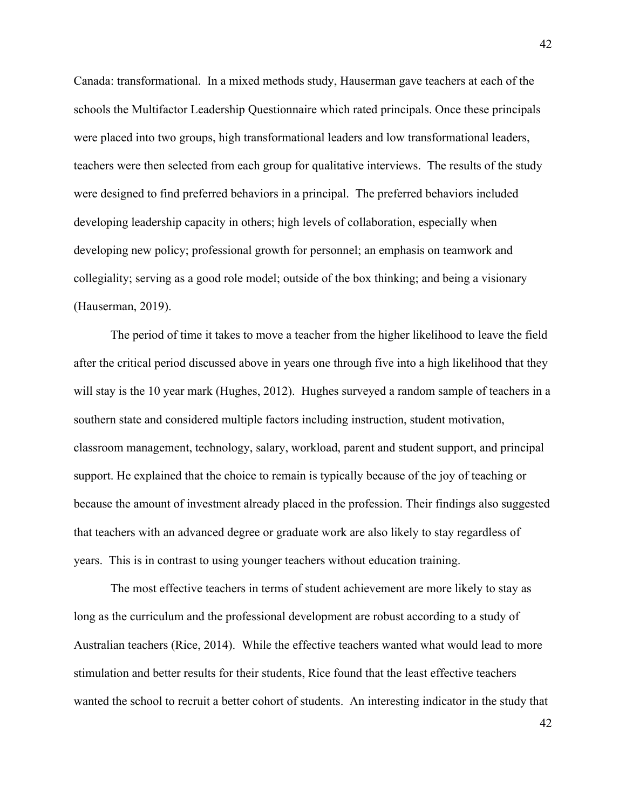Canada: transformational. In a mixed methods study, Hauserman gave teachers at each of the schools the Multifactor Leadership Questionnaire which rated principals. Once these principals were placed into two groups, high transformational leaders and low transformational leaders, teachers were then selected from each group for qualitative interviews. The results of the study were designed to find preferred behaviors in a principal. The preferred behaviors included developing leadership capacity in others; high levels of collaboration, especially when developing new policy; professional growth for personnel; an emphasis on teamwork and collegiality; serving as a good role model; outside of the box thinking; and being a visionary (Hauserman, 2019).

The period of time it takes to move a teacher from the higher likelihood to leave the field after the critical period discussed above in years one through five into a high likelihood that they will stay is the 10 year mark (Hughes, 2012). Hughes surveyed a random sample of teachers in a southern state and considered multiple factors including instruction, student motivation, classroom management, technology, salary, workload, parent and student support, and principal support. He explained that the choice to remain is typically because of the joy of teaching or because the amount of investment already placed in the profession. Their findings also suggested that teachers with an advanced degree or graduate work are also likely to stay regardless of years. This is in contrast to using younger teachers without education training.

The most effective teachers in terms of student achievement are more likely to stay as long as the curriculum and the professional development are robust according to a study of Australian teachers (Rice, 2014). While the effective teachers wanted what would lead to more stimulation and better results for their students, Rice found that the least effective teachers wanted the school to recruit a better cohort of students. An interesting indicator in the study that

42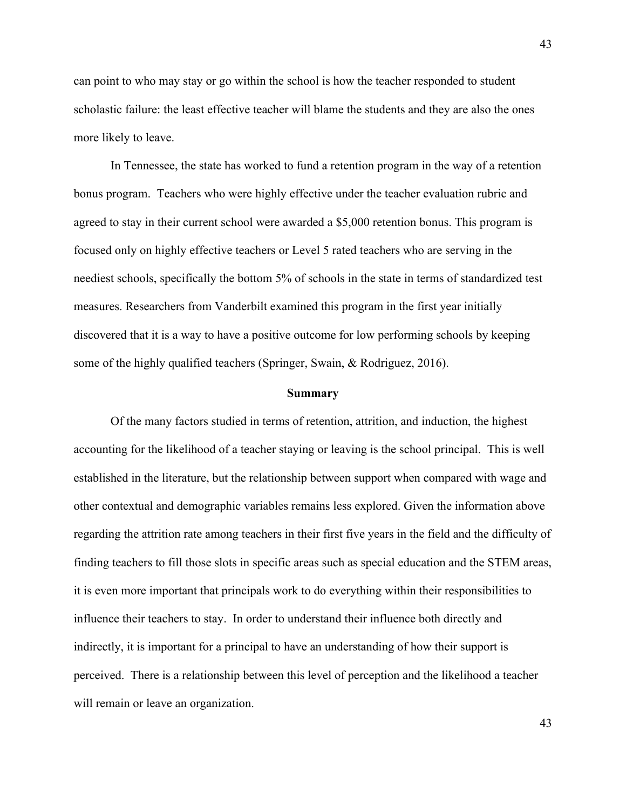can point to who may stay or go within the school is how the teacher responded to student scholastic failure: the least effective teacher will blame the students and they are also the ones more likely to leave.

In Tennessee, the state has worked to fund a retention program in the way of a retention bonus program. Teachers who were highly effective under the teacher evaluation rubric and agreed to stay in their current school were awarded a \$5,000 retention bonus. This program is focused only on highly effective teachers or Level 5 rated teachers who are serving in the neediest schools, specifically the bottom 5% of schools in the state in terms of standardized test measures. Researchers from Vanderbilt examined this program in the first year initially discovered that it is a way to have a positive outcome for low performing schools by keeping some of the highly qualified teachers (Springer, Swain, & Rodriguez, 2016).

### **Summary**

Of the many factors studied in terms of retention, attrition, and induction, the highest accounting for the likelihood of a teacher staying or leaving is the school principal. This is well established in the literature, but the relationship between support when compared with wage and other contextual and demographic variables remains less explored. Given the information above regarding the attrition rate among teachers in their first five years in the field and the difficulty of finding teachers to fill those slots in specific areas such as special education and the STEM areas, it is even more important that principals work to do everything within their responsibilities to influence their teachers to stay. In order to understand their influence both directly and indirectly, it is important for a principal to have an understanding of how their support is perceived. There is a relationship between this level of perception and the likelihood a teacher will remain or leave an organization.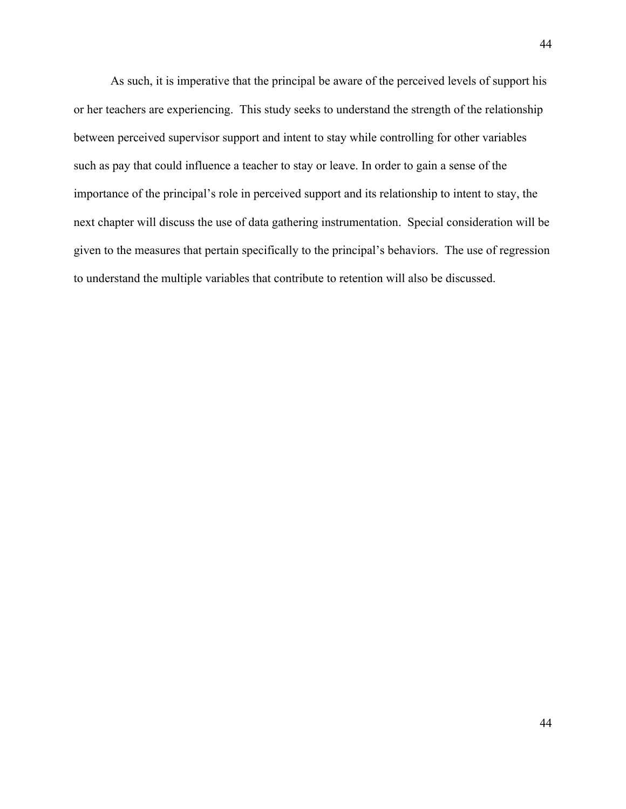As such, it is imperative that the principal be aware of the perceived levels of support his or her teachers are experiencing. This study seeks to understand the strength of the relationship between perceived supervisor support and intent to stay while controlling for other variables such as pay that could influence a teacher to stay or leave. In order to gain a sense of the importance of the principal's role in perceived support and its relationship to intent to stay, the next chapter will discuss the use of data gathering instrumentation. Special consideration will be given to the measures that pertain specifically to the principal's behaviors. The use of regression to understand the multiple variables that contribute to retention will also be discussed.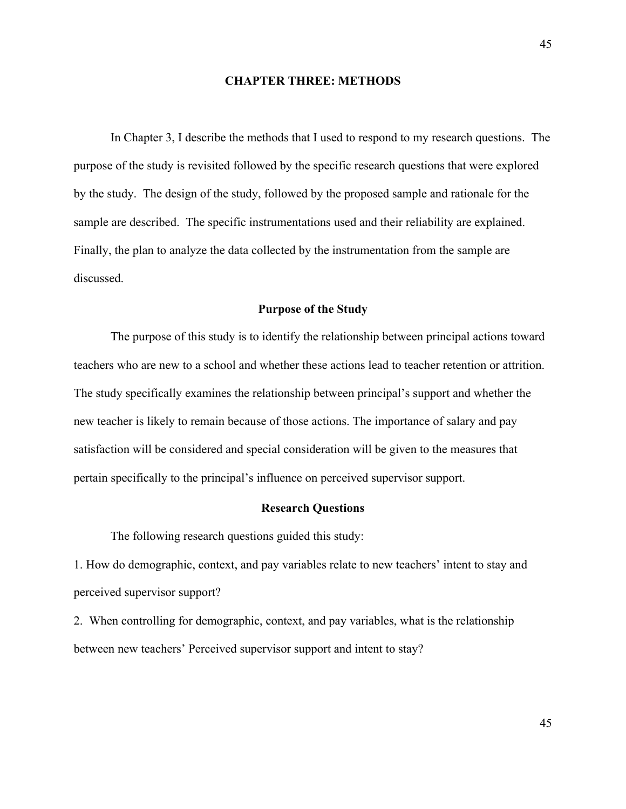## **CHAPTER THREE: METHODS**

In Chapter 3, I describe the methods that I used to respond to my research questions. The purpose of the study is revisited followed by the specific research questions that were explored by the study. The design of the study, followed by the proposed sample and rationale for the sample are described. The specific instrumentations used and their reliability are explained. Finally, the plan to analyze the data collected by the instrumentation from the sample are discussed.

## **Purpose of the Study**

The purpose of this study is to identify the relationship between principal actions toward teachers who are new to a school and whether these actions lead to teacher retention or attrition. The study specifically examines the relationship between principal's support and whether the new teacher is likely to remain because of those actions. The importance of salary and pay satisfaction will be considered and special consideration will be given to the measures that pertain specifically to the principal's influence on perceived supervisor support.

## **Research Questions**

The following research questions guided this study:

1. How do demographic, context, and pay variables relate to new teachers' intent to stay and perceived supervisor support?

2. When controlling for demographic, context, and pay variables, what is the relationship between new teachers' Perceived supervisor support and intent to stay?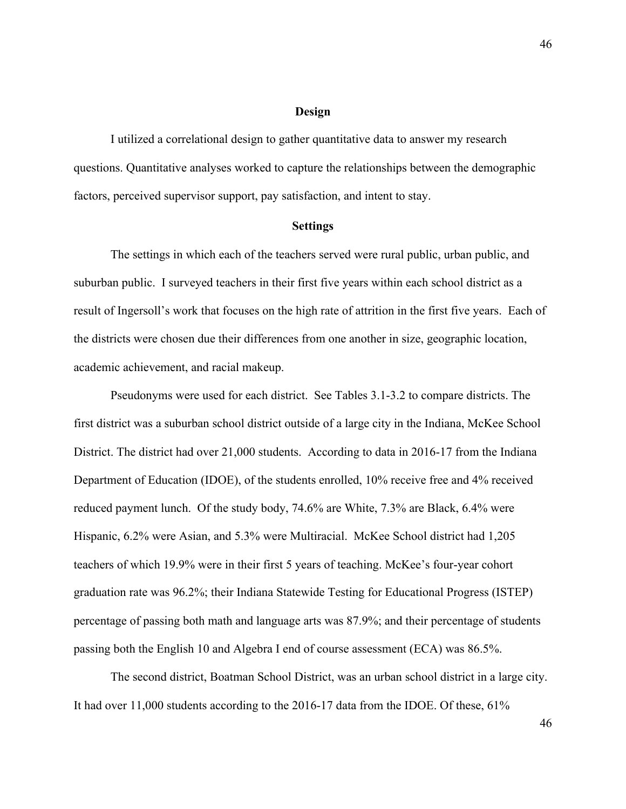## **Design**

I utilized a correlational design to gather quantitative data to answer my research questions. Quantitative analyses worked to capture the relationships between the demographic factors, perceived supervisor support, pay satisfaction, and intent to stay.

### **Settings**

The settings in which each of the teachers served were rural public, urban public, and suburban public. I surveyed teachers in their first five years within each school district as a result of Ingersoll's work that focuses on the high rate of attrition in the first five years. Each of the districts were chosen due their differences from one another in size, geographic location, academic achievement, and racial makeup.

Pseudonyms were used for each district. See Tables 3.1-3.2 to compare districts. The first district was a suburban school district outside of a large city in the Indiana, McKee School District. The district had over 21,000 students. According to data in 2016-17 from the Indiana Department of Education (IDOE), of the students enrolled, 10% receive free and 4% received reduced payment lunch. Of the study body, 74.6% are White, 7.3% are Black, 6.4% were Hispanic, 6.2% were Asian, and 5.3% were Multiracial. McKee School district had 1,205 teachers of which 19.9% were in their first 5 years of teaching. McKee's four-year cohort graduation rate was 96.2%; their Indiana Statewide Testing for Educational Progress (ISTEP) percentage of passing both math and language arts was 87.9%; and their percentage of students passing both the English 10 and Algebra I end of course assessment (ECA) was 86.5%.

The second district, Boatman School District, was an urban school district in a large city. It had over 11,000 students according to the 2016-17 data from the IDOE. Of these, 61%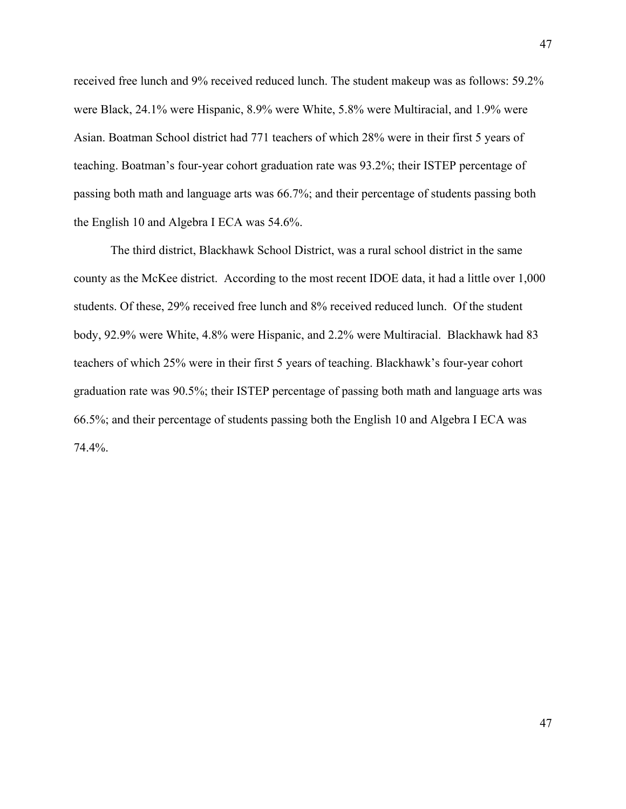received free lunch and 9% received reduced lunch. The student makeup was as follows: 59.2% were Black, 24.1% were Hispanic, 8.9% were White, 5.8% were Multiracial, and 1.9% were Asian. Boatman School district had 771 teachers of which 28% were in their first 5 years of teaching. Boatman's four-year cohort graduation rate was 93.2%; their ISTEP percentage of passing both math and language arts was 66.7%; and their percentage of students passing both the English 10 and Algebra I ECA was 54.6%.

The third district, Blackhawk School District, was a rural school district in the same county as the McKee district. According to the most recent IDOE data, it had a little over 1,000 students. Of these, 29% received free lunch and 8% received reduced lunch. Of the student body, 92.9% were White, 4.8% were Hispanic, and 2.2% were Multiracial. Blackhawk had 83 teachers of which 25% were in their first 5 years of teaching. Blackhawk's four-year cohort graduation rate was 90.5%; their ISTEP percentage of passing both math and language arts was 66.5%; and their percentage of students passing both the English 10 and Algebra I ECA was 74.4%.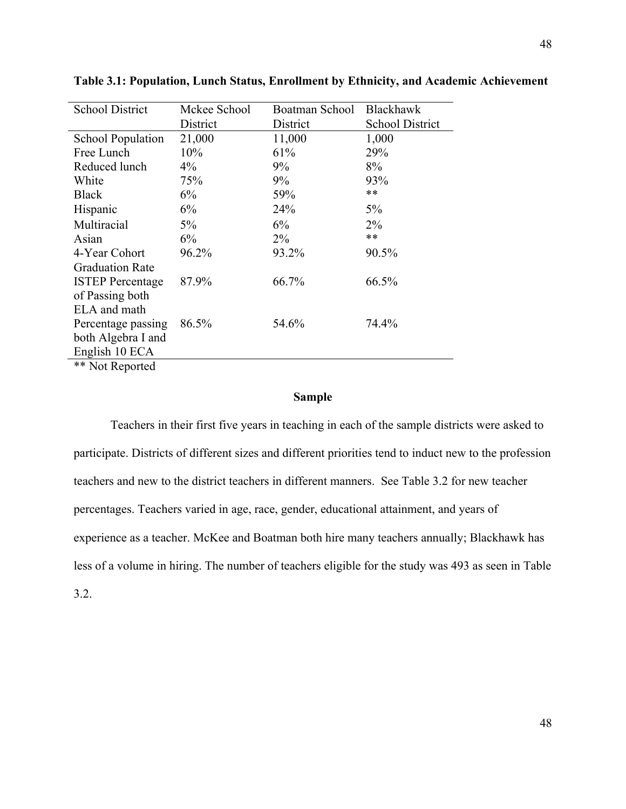| <b>School District</b>   | Mckee School | Boatman School | Blackhawk              |
|--------------------------|--------------|----------------|------------------------|
|                          |              |                |                        |
|                          | District     | District       | <b>School District</b> |
| <b>School Population</b> | 21,000       | 11,000         | 1,000                  |
| Free Lunch               | 10%          | 61%            | 29%                    |
| Reduced lunch            | $4\%$        | 9%             | 8%                     |
| White                    | 75%          | $9\%$          | 93%                    |
| <b>Black</b>             | $6\%$        | 59%            | $***$                  |
| Hispanic                 | 6%           | 24%            | 5%                     |
| Multiracial              | $5\%$        | 6%             | $2\%$                  |
| Asian                    | 6%           | $2\%$          | $***$                  |
| 4-Year Cohort            | 96.2%        | 93.2%          | 90.5%                  |
| <b>Graduation Rate</b>   |              |                |                        |
| <b>ISTEP Percentage</b>  | 87.9%        | 66.7%          | 66.5%                  |
| of Passing both          |              |                |                        |
| ELA and math             |              |                |                        |
| Percentage passing       | 86.5%        | 54.6%          | 74.4%                  |
| both Algebra I and       |              |                |                        |
| English 10 ECA           |              |                |                        |
| <b>**</b> Not Reported   |              |                |                        |

**Table 3.1: Population, Lunch Status, Enrollment by Ethnicity, and Academic Achievement**

**Sample**

Teachers in their first five years in teaching in each of the sample districts were asked to participate. Districts of different sizes and different priorities tend to induct new to the profession teachers and new to the district teachers in different manners. See Table 3.2 for new teacher percentages. Teachers varied in age, race, gender, educational attainment, and years of experience as a teacher. McKee and Boatman both hire many teachers annually; Blackhawk has less of a volume in hiring. The number of teachers eligible for the study was 493 as seen in Table 3.2.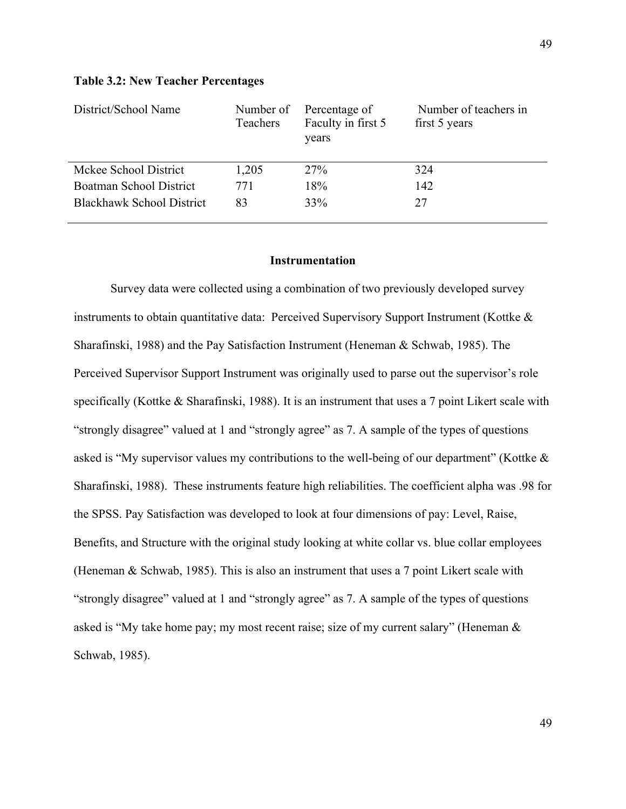## **Table 3.2: New Teacher Percentages**

| District/School Name             | Number of<br>Teachers | Percentage of<br>Faculty in first 5<br>years | Number of teachers in<br>first 5 years |
|----------------------------------|-----------------------|----------------------------------------------|----------------------------------------|
| Mckee School District            | 1,205                 | 27%                                          | 324                                    |
| <b>Boatman School District</b>   | 771                   | 18%                                          | 142                                    |
| <b>Blackhawk School District</b> | 83                    | 33%                                          | 27                                     |

### **Instrumentation**

Survey data were collected using a combination of two previously developed survey instruments to obtain quantitative data: Perceived Supervisory Support Instrument (Kottke & Sharafinski, 1988) and the Pay Satisfaction Instrument (Heneman & Schwab, 1985). The Perceived Supervisor Support Instrument was originally used to parse out the supervisor's role specifically (Kottke & Sharafinski, 1988). It is an instrument that uses a 7 point Likert scale with "strongly disagree" valued at 1 and "strongly agree" as 7. A sample of the types of questions asked is "My supervisor values my contributions to the well-being of our department" (Kottke & Sharafinski, 1988). These instruments feature high reliabilities. The coefficient alpha was .98 for the SPSS. Pay Satisfaction was developed to look at four dimensions of pay: Level, Raise, Benefits, and Structure with the original study looking at white collar vs. blue collar employees (Heneman & Schwab, 1985). This is also an instrument that uses a 7 point Likert scale with "strongly disagree" valued at 1 and "strongly agree" as 7. A sample of the types of questions asked is "My take home pay; my most recent raise; size of my current salary" (Heneman & Schwab, 1985).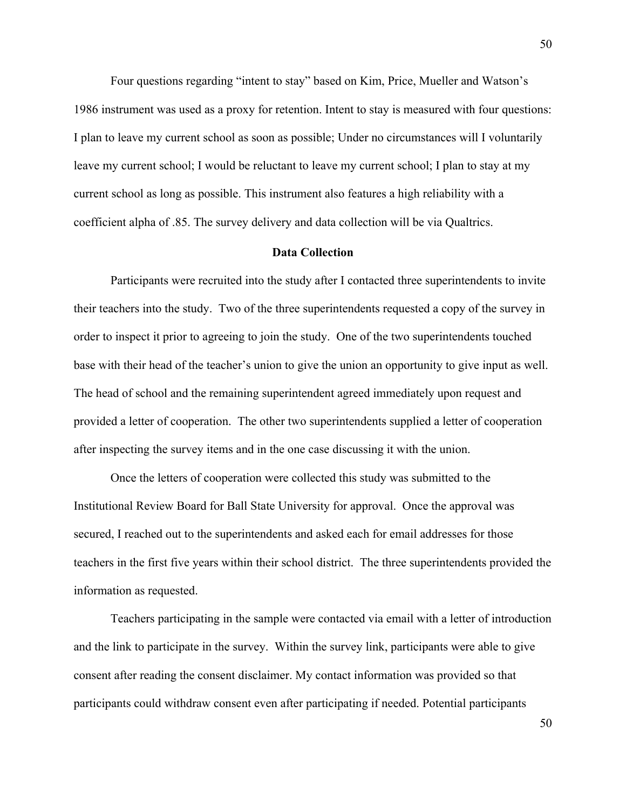Four questions regarding "intent to stay" based on Kim, Price, Mueller and Watson's 1986 instrument was used as a proxy for retention. Intent to stay is measured with four questions: I plan to leave my current school as soon as possible; Under no circumstances will I voluntarily leave my current school; I would be reluctant to leave my current school; I plan to stay at my current school as long as possible. This instrument also features a high reliability with a coefficient alpha of .85. The survey delivery and data collection will be via Qualtrics.

## **Data Collection**

Participants were recruited into the study after I contacted three superintendents to invite their teachers into the study. Two of the three superintendents requested a copy of the survey in order to inspect it prior to agreeing to join the study. One of the two superintendents touched base with their head of the teacher's union to give the union an opportunity to give input as well. The head of school and the remaining superintendent agreed immediately upon request and provided a letter of cooperation. The other two superintendents supplied a letter of cooperation after inspecting the survey items and in the one case discussing it with the union.

Once the letters of cooperation were collected this study was submitted to the Institutional Review Board for Ball State University for approval. Once the approval was secured, I reached out to the superintendents and asked each for email addresses for those teachers in the first five years within their school district. The three superintendents provided the information as requested.

Teachers participating in the sample were contacted via email with a letter of introduction and the link to participate in the survey. Within the survey link, participants were able to give consent after reading the consent disclaimer. My contact information was provided so that participants could withdraw consent even after participating if needed. Potential participants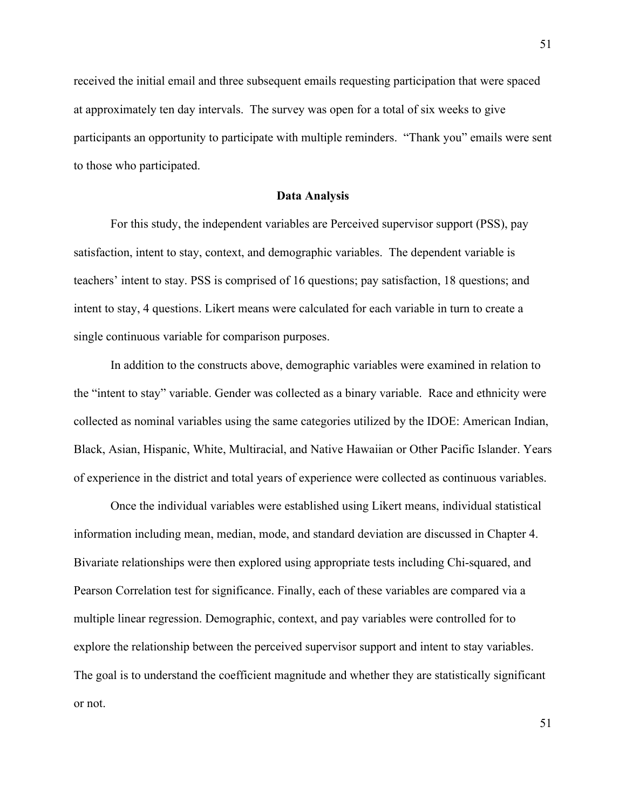received the initial email and three subsequent emails requesting participation that were spaced at approximately ten day intervals. The survey was open for a total of six weeks to give participants an opportunity to participate with multiple reminders. "Thank you" emails were sent to those who participated.

## **Data Analysis**

For this study, the independent variables are Perceived supervisor support (PSS), pay satisfaction, intent to stay, context, and demographic variables. The dependent variable is teachers' intent to stay. PSS is comprised of 16 questions; pay satisfaction, 18 questions; and intent to stay, 4 questions. Likert means were calculated for each variable in turn to create a single continuous variable for comparison purposes.

In addition to the constructs above, demographic variables were examined in relation to the "intent to stay" variable. Gender was collected as a binary variable. Race and ethnicity were collected as nominal variables using the same categories utilized by the IDOE: American Indian, Black, Asian, Hispanic, White, Multiracial, and Native Hawaiian or Other Pacific Islander. Years of experience in the district and total years of experience were collected as continuous variables.

Once the individual variables were established using Likert means, individual statistical information including mean, median, mode, and standard deviation are discussed in Chapter 4. Bivariate relationships were then explored using appropriate tests including Chi-squared, and Pearson Correlation test for significance. Finally, each of these variables are compared via a multiple linear regression. Demographic, context, and pay variables were controlled for to explore the relationship between the perceived supervisor support and intent to stay variables. The goal is to understand the coefficient magnitude and whether they are statistically significant or not.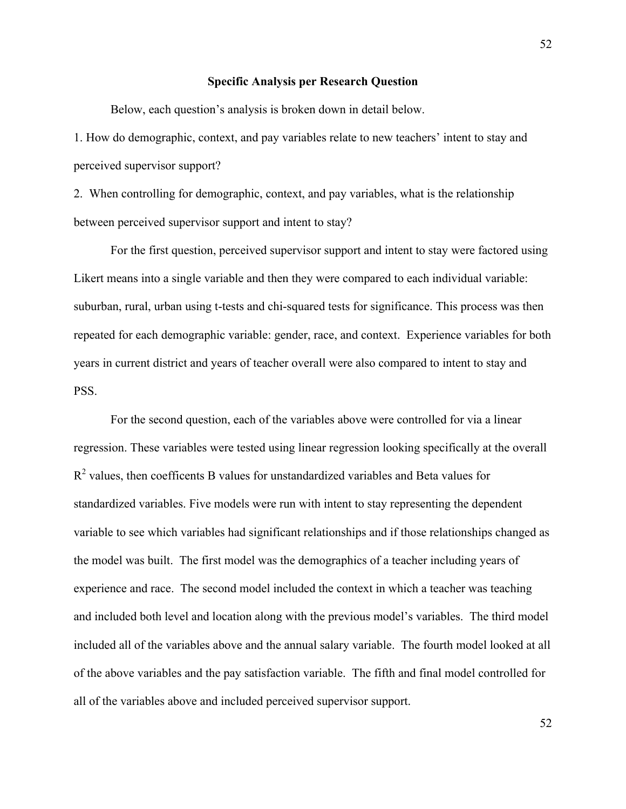#### **Specific Analysis per Research Question**

Below, each question's analysis is broken down in detail below.

1. How do demographic, context, and pay variables relate to new teachers' intent to stay and perceived supervisor support?

2. When controlling for demographic, context, and pay variables, what is the relationship between perceived supervisor support and intent to stay?

For the first question, perceived supervisor support and intent to stay were factored using Likert means into a single variable and then they were compared to each individual variable: suburban, rural, urban using t-tests and chi-squared tests for significance. This process was then repeated for each demographic variable: gender, race, and context. Experience variables for both years in current district and years of teacher overall were also compared to intent to stay and PSS.

For the second question, each of the variables above were controlled for via a linear regression. These variables were tested using linear regression looking specifically at the overall  $R<sup>2</sup>$  values, then coefficents B values for unstandardized variables and Beta values for standardized variables. Five models were run with intent to stay representing the dependent variable to see which variables had significant relationships and if those relationships changed as the model was built. The first model was the demographics of a teacher including years of experience and race. The second model included the context in which a teacher was teaching and included both level and location along with the previous model's variables. The third model included all of the variables above and the annual salary variable. The fourth model looked at all of the above variables and the pay satisfaction variable. The fifth and final model controlled for all of the variables above and included perceived supervisor support.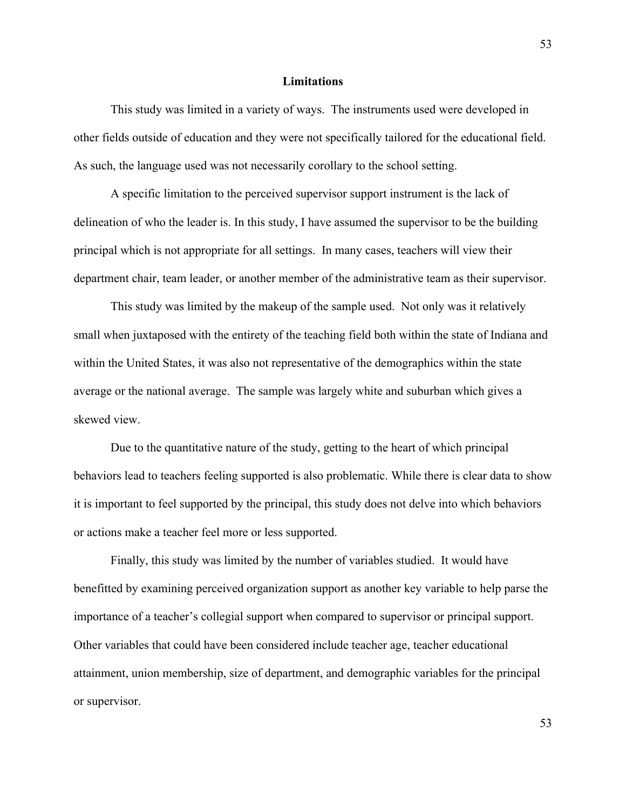## **Limitations**

This study was limited in a variety of ways. The instruments used were developed in other fields outside of education and they were not specifically tailored for the educational field. As such, the language used was not necessarily corollary to the school setting.

A specific limitation to the perceived supervisor support instrument is the lack of delineation of who the leader is. In this study, I have assumed the supervisor to be the building principal which is not appropriate for all settings. In many cases, teachers will view their department chair, team leader, or another member of the administrative team as their supervisor.

This study was limited by the makeup of the sample used. Not only was it relatively small when juxtaposed with the entirety of the teaching field both within the state of Indiana and within the United States, it was also not representative of the demographics within the state average or the national average. The sample was largely white and suburban which gives a skewed view.

Due to the quantitative nature of the study, getting to the heart of which principal behaviors lead to teachers feeling supported is also problematic. While there is clear data to show it is important to feel supported by the principal, this study does not delve into which behaviors or actions make a teacher feel more or less supported.

Finally, this study was limited by the number of variables studied. It would have benefitted by examining perceived organization support as another key variable to help parse the importance of a teacher's collegial support when compared to supervisor or principal support. Other variables that could have been considered include teacher age, teacher educational attainment, union membership, size of department, and demographic variables for the principal or supervisor.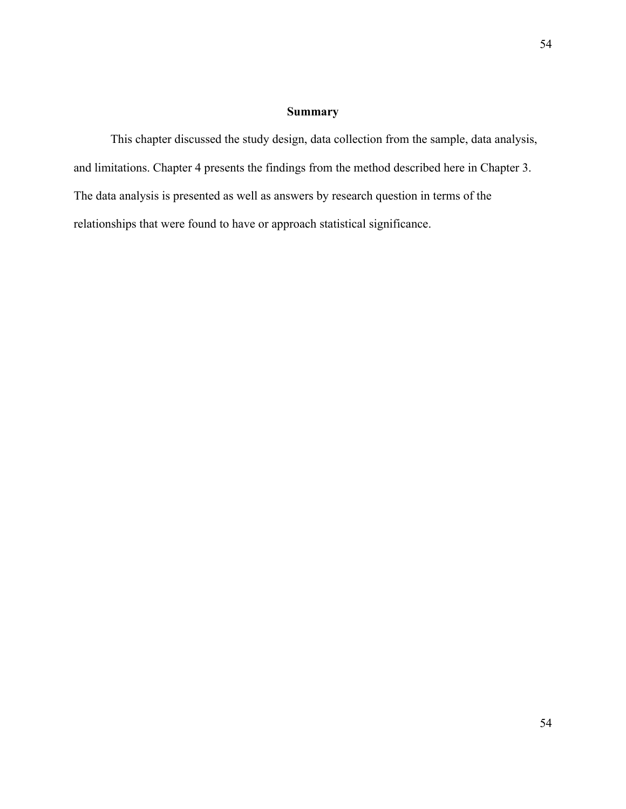# **Summary**

This chapter discussed the study design, data collection from the sample, data analysis, and limitations. Chapter 4 presents the findings from the method described here in Chapter 3. The data analysis is presented as well as answers by research question in terms of the relationships that were found to have or approach statistical significance.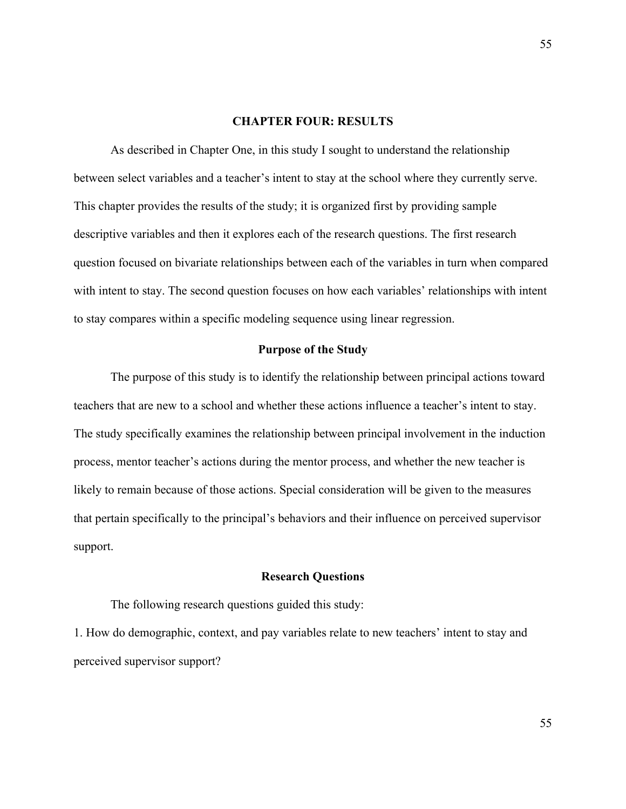### **CHAPTER FOUR: RESULTS**

As described in Chapter One, in this study I sought to understand the relationship between select variables and a teacher's intent to stay at the school where they currently serve. This chapter provides the results of the study; it is organized first by providing sample descriptive variables and then it explores each of the research questions. The first research question focused on bivariate relationships between each of the variables in turn when compared with intent to stay. The second question focuses on how each variables' relationships with intent to stay compares within a specific modeling sequence using linear regression.

## **Purpose of the Study**

The purpose of this study is to identify the relationship between principal actions toward teachers that are new to a school and whether these actions influence a teacher's intent to stay. The study specifically examines the relationship between principal involvement in the induction process, mentor teacher's actions during the mentor process, and whether the new teacher is likely to remain because of those actions. Special consideration will be given to the measures that pertain specifically to the principal's behaviors and their influence on perceived supervisor support.

#### **Research Questions**

The following research questions guided this study:

1. How do demographic, context, and pay variables relate to new teachers' intent to stay and perceived supervisor support?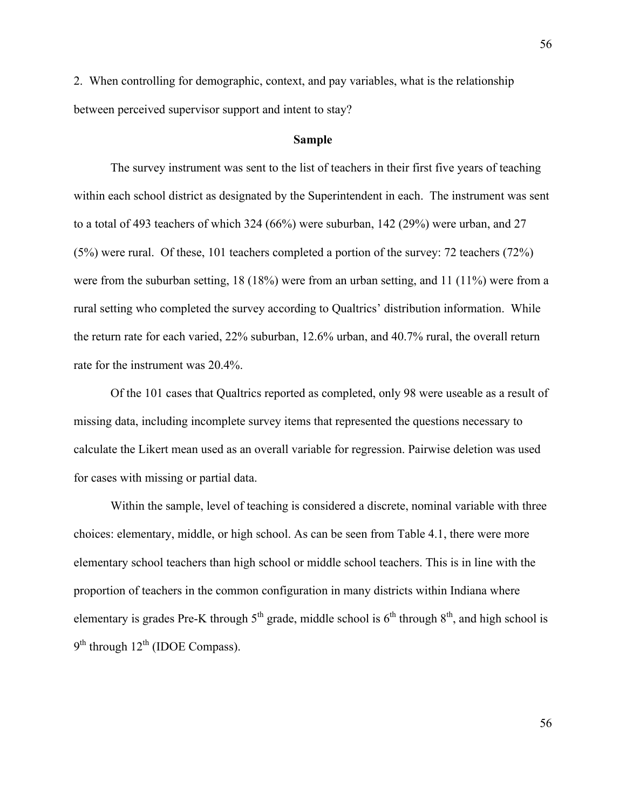2. When controlling for demographic, context, and pay variables, what is the relationship between perceived supervisor support and intent to stay?

## **Sample**

The survey instrument was sent to the list of teachers in their first five years of teaching within each school district as designated by the Superintendent in each. The instrument was sent to a total of 493 teachers of which 324 (66%) were suburban, 142 (29%) were urban, and 27 (5%) were rural. Of these, 101 teachers completed a portion of the survey: 72 teachers (72%) were from the suburban setting, 18 (18%) were from an urban setting, and 11 (11%) were from a rural setting who completed the survey according to Qualtrics' distribution information. While the return rate for each varied, 22% suburban, 12.6% urban, and 40.7% rural, the overall return rate for the instrument was 20.4%.

Of the 101 cases that Qualtrics reported as completed, only 98 were useable as a result of missing data, including incomplete survey items that represented the questions necessary to calculate the Likert mean used as an overall variable for regression. Pairwise deletion was used for cases with missing or partial data.

Within the sample, level of teaching is considered a discrete, nominal variable with three choices: elementary, middle, or high school. As can be seen from Table 4.1, there were more elementary school teachers than high school or middle school teachers. This is in line with the proportion of teachers in the common configuration in many districts within Indiana where elementary is grades Pre-K through  $5<sup>th</sup>$  grade, middle school is  $6<sup>th</sup>$  through  $8<sup>th</sup>$ , and high school is  $9<sup>th</sup>$  through  $12<sup>th</sup>$  (IDOE Compass).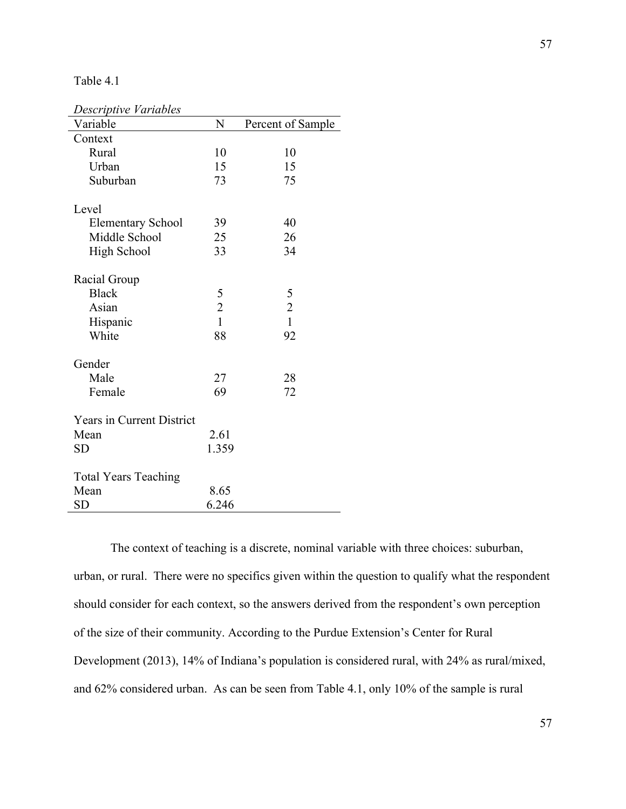## Table 4.1

| Descriptive Variables            |                |                   |
|----------------------------------|----------------|-------------------|
| Variable                         | N              | Percent of Sample |
| Context                          |                |                   |
| Rural                            | 10             | 10                |
| Urban                            | 15             | 15                |
| Suburban                         | 73             | 75                |
| Level                            |                |                   |
|                                  |                | 40                |
| <b>Elementary School</b>         | 39             |                   |
| Middle School                    | 25<br>33       | 26<br>34          |
| <b>High School</b>               |                |                   |
| Racial Group                     |                |                   |
| <b>Black</b>                     | 5              | 5                 |
| Asian                            | $\overline{c}$ | $\overline{c}$    |
| Hispanic                         | $\mathbf{1}$   | $\overline{1}$    |
| White                            | 88             | 92                |
|                                  |                |                   |
| Gender                           |                |                   |
| Male                             | 27             | 28                |
| Female                           | 69             | 72                |
| <b>Years in Current District</b> |                |                   |
| Mean                             | 2.61           |                   |
| <b>SD</b>                        | 1.359          |                   |
|                                  |                |                   |
| <b>Total Years Teaching</b>      |                |                   |
| Mean                             | 8.65           |                   |
| SD                               | 6.246          |                   |

The context of teaching is a discrete, nominal variable with three choices: suburban, urban, or rural. There were no specifics given within the question to qualify what the respondent should consider for each context, so the answers derived from the respondent's own perception of the size of their community. According to the Purdue Extension's Center for Rural Development (2013), 14% of Indiana's population is considered rural, with 24% as rural/mixed, and 62% considered urban. As can be seen from Table 4.1, only 10% of the sample is rural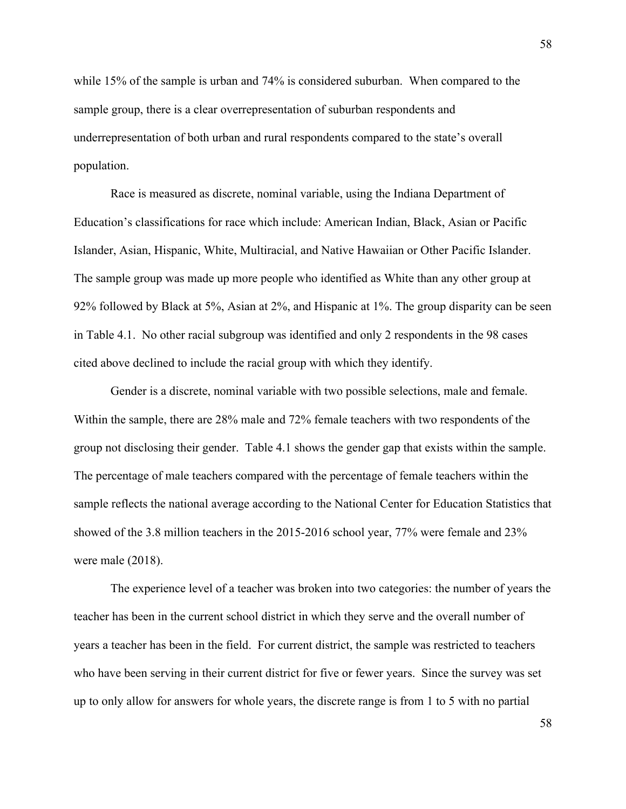while 15% of the sample is urban and 74% is considered suburban. When compared to the sample group, there is a clear overrepresentation of suburban respondents and underrepresentation of both urban and rural respondents compared to the state's overall population.

Race is measured as discrete, nominal variable, using the Indiana Department of Education's classifications for race which include: American Indian, Black, Asian or Pacific Islander, Asian, Hispanic, White, Multiracial, and Native Hawaiian or Other Pacific Islander. The sample group was made up more people who identified as White than any other group at 92% followed by Black at 5%, Asian at 2%, and Hispanic at 1%. The group disparity can be seen in Table 4.1. No other racial subgroup was identified and only 2 respondents in the 98 cases cited above declined to include the racial group with which they identify.

Gender is a discrete, nominal variable with two possible selections, male and female. Within the sample, there are 28% male and 72% female teachers with two respondents of the group not disclosing their gender. Table 4.1 shows the gender gap that exists within the sample. The percentage of male teachers compared with the percentage of female teachers within the sample reflects the national average according to the National Center for Education Statistics that showed of the 3.8 million teachers in the 2015-2016 school year, 77% were female and 23% were male (2018).

The experience level of a teacher was broken into two categories: the number of years the teacher has been in the current school district in which they serve and the overall number of years a teacher has been in the field. For current district, the sample was restricted to teachers who have been serving in their current district for five or fewer years. Since the survey was set up to only allow for answers for whole years, the discrete range is from 1 to 5 with no partial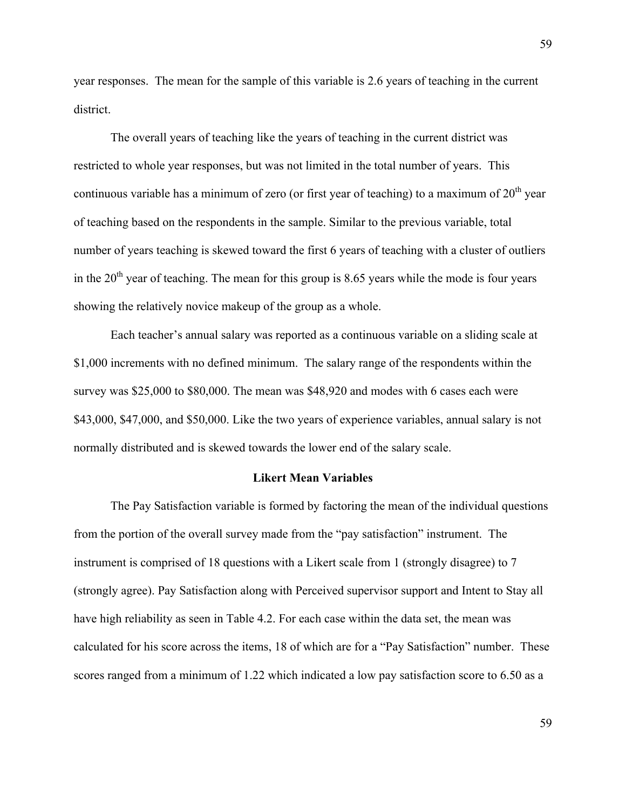year responses. The mean for the sample of this variable is 2.6 years of teaching in the current district.

The overall years of teaching like the years of teaching in the current district was restricted to whole year responses, but was not limited in the total number of years. This continuous variable has a minimum of zero (or first year of teaching) to a maximum of  $20<sup>th</sup>$  year of teaching based on the respondents in the sample. Similar to the previous variable, total number of years teaching is skewed toward the first 6 years of teaching with a cluster of outliers in the  $20<sup>th</sup>$  year of teaching. The mean for this group is 8.65 years while the mode is four years showing the relatively novice makeup of the group as a whole.

Each teacher's annual salary was reported as a continuous variable on a sliding scale at \$1,000 increments with no defined minimum. The salary range of the respondents within the survey was \$25,000 to \$80,000. The mean was \$48,920 and modes with 6 cases each were \$43,000, \$47,000, and \$50,000. Like the two years of experience variables, annual salary is not normally distributed and is skewed towards the lower end of the salary scale.

## **Likert Mean Variables**

The Pay Satisfaction variable is formed by factoring the mean of the individual questions from the portion of the overall survey made from the "pay satisfaction" instrument. The instrument is comprised of 18 questions with a Likert scale from 1 (strongly disagree) to 7 (strongly agree). Pay Satisfaction along with Perceived supervisor support and Intent to Stay all have high reliability as seen in Table 4.2. For each case within the data set, the mean was calculated for his score across the items, 18 of which are for a "Pay Satisfaction" number. These scores ranged from a minimum of 1.22 which indicated a low pay satisfaction score to 6.50 as a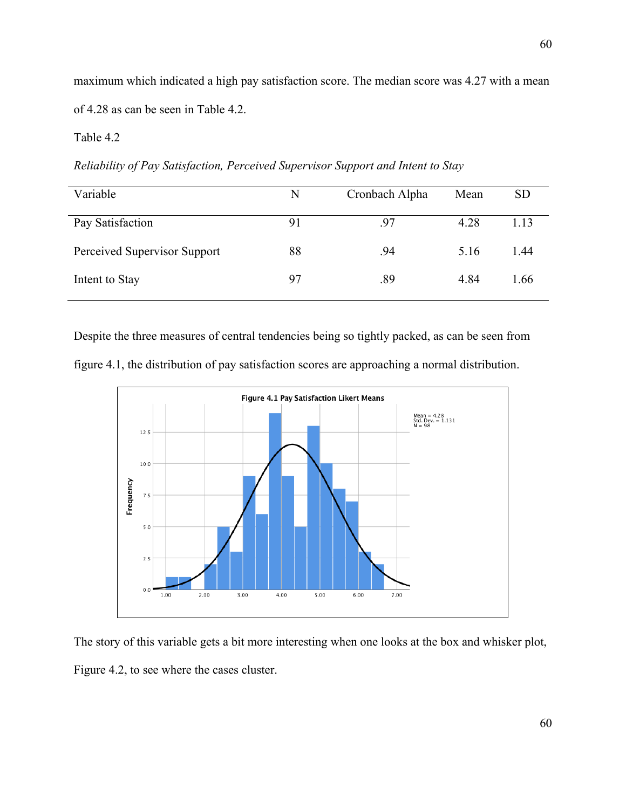maximum which indicated a high pay satisfaction score. The median score was 4.27 with a mean of 4.28 as can be seen in Table 4.2.

# Table 4.2

*Reliability of Pay Satisfaction, Perceived Supervisor Support and Intent to Stay*

| Variable                     | N  | Cronbach Alpha | Mean | <b>SD</b> |
|------------------------------|----|----------------|------|-----------|
| Pay Satisfaction             | 91 | .97            | 4.28 | 1.13      |
| Perceived Supervisor Support | 88 | .94            | 5.16 | 1.44      |
| Intent to Stay               | 97 | .89            | 4.84 | 1.66      |

Despite the three measures of central tendencies being so tightly packed, as can be seen from





The story of this variable gets a bit more interesting when one looks at the box and whisker plot,

Figure 4.2, to see where the cases cluster.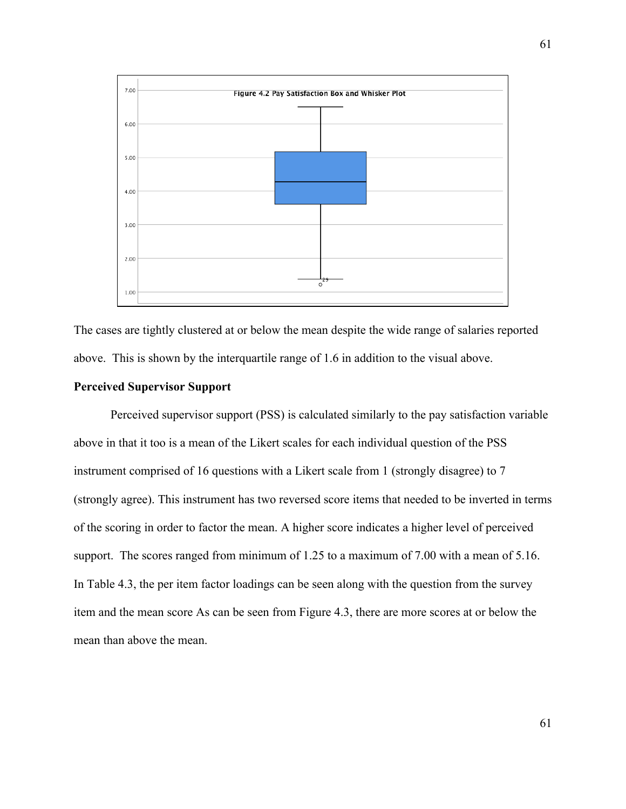

The cases are tightly clustered at or below the mean despite the wide range of salaries reported above. This is shown by the interquartile range of 1.6 in addition to the visual above.

## **Perceived Supervisor Support**

Perceived supervisor support (PSS) is calculated similarly to the pay satisfaction variable above in that it too is a mean of the Likert scales for each individual question of the PSS instrument comprised of 16 questions with a Likert scale from 1 (strongly disagree) to 7 (strongly agree). This instrument has two reversed score items that needed to be inverted in terms of the scoring in order to factor the mean. A higher score indicates a higher level of perceived support. The scores ranged from minimum of 1.25 to a maximum of 7.00 with a mean of 5.16. In Table 4.3, the per item factor loadings can be seen along with the question from the survey item and the mean score As can be seen from Figure 4.3, there are more scores at or below the mean than above the mean.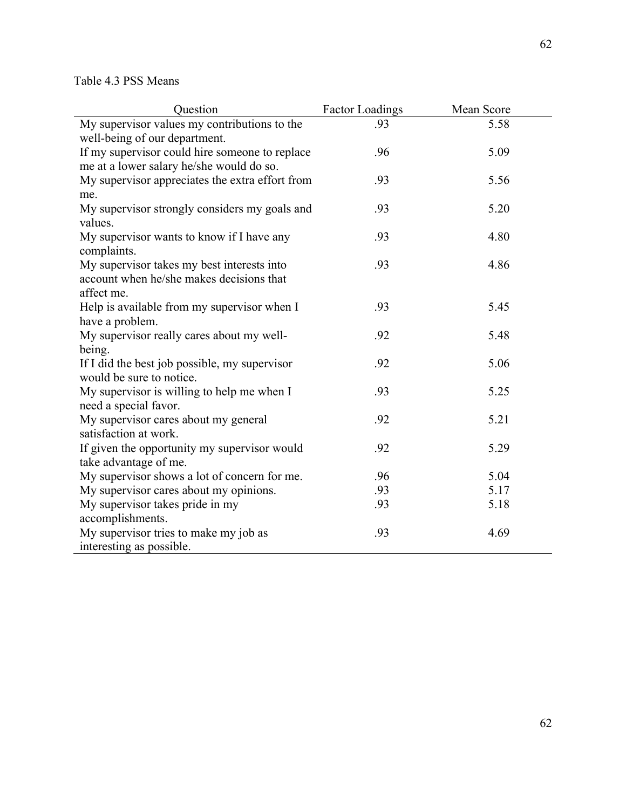| Question                                        | Factor Loadings | Mean Score |
|-------------------------------------------------|-----------------|------------|
| My supervisor values my contributions to the    | .93             | 5.58       |
| well-being of our department.                   |                 |            |
| If my supervisor could hire someone to replace  | .96             | 5.09       |
| me at a lower salary he/she would do so.        |                 |            |
| My supervisor appreciates the extra effort from | .93             | 5.56       |
| me.                                             |                 |            |
| My supervisor strongly considers my goals and   | .93             | 5.20       |
| values.                                         |                 |            |
| My supervisor wants to know if I have any       | .93             | 4.80       |
| complaints.                                     |                 |            |
| My supervisor takes my best interests into      | .93             | 4.86       |
| account when he/she makes decisions that        |                 |            |
| affect me.                                      |                 |            |
| Help is available from my supervisor when I     | .93             | 5.45       |
| have a problem.                                 |                 |            |
| My supervisor really cares about my well-       | .92             | 5.48       |
| being.                                          |                 |            |
| If I did the best job possible, my supervisor   | .92             | 5.06       |
| would be sure to notice.                        |                 |            |
| My supervisor is willing to help me when I      | .93             | 5.25       |
| need a special favor.                           |                 |            |
| My supervisor cares about my general            | .92             | 5.21       |
| satisfaction at work.                           |                 |            |
| If given the opportunity my supervisor would    | .92             | 5.29       |
| take advantage of me.                           |                 |            |
| My supervisor shows a lot of concern for me.    | .96             | 5.04       |
| My supervisor cares about my opinions.          | .93             | 5.17       |
| My supervisor takes pride in my                 | .93             | 5.18       |
| accomplishments.                                |                 |            |
| My supervisor tries to make my job as           | .93             | 4.69       |
| interesting as possible.                        |                 |            |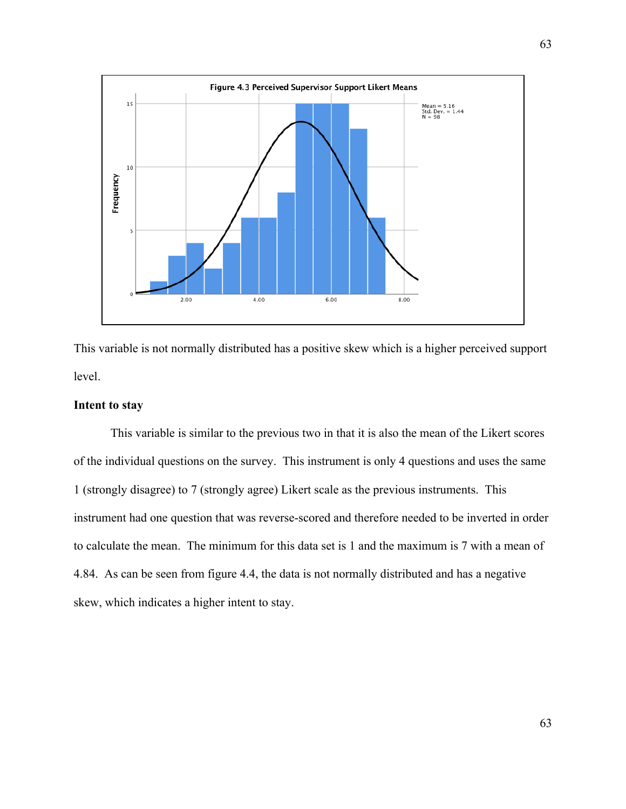

This variable is not normally distributed has a positive skew which is a higher perceived support level.

## **Intent to stay**

This variable is similar to the previous two in that it is also the mean of the Likert scores of the individual questions on the survey. This instrument is only 4 questions and uses the same 1 (strongly disagree) to 7 (strongly agree) Likert scale as the previous instruments. This instrument had one question that was reverse-scored and therefore needed to be inverted in order to calculate the mean. The minimum for this data set is 1 and the maximum is 7 with a mean of 4.84. As can be seen from figure 4.4, the data is not normally distributed and has a negative skew, which indicates a higher intent to stay.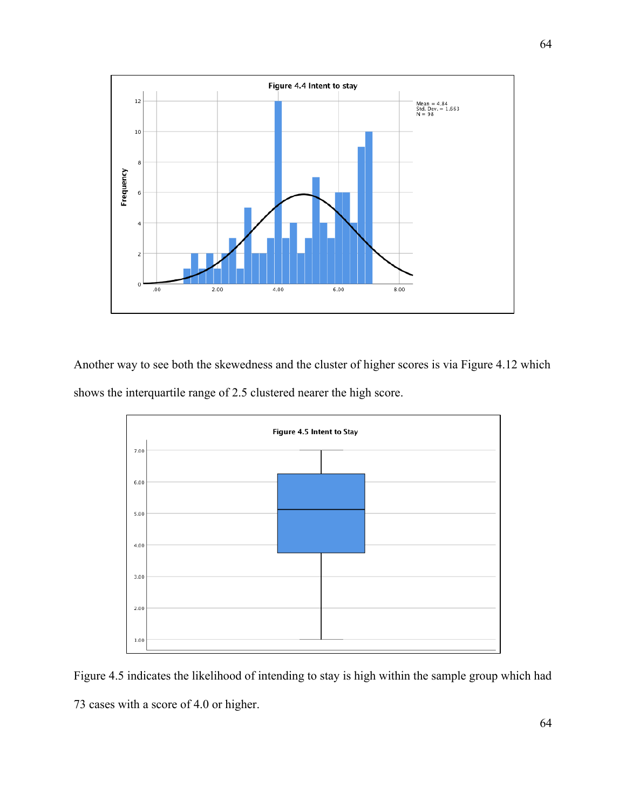

Another way to see both the skewedness and the cluster of higher scores is via Figure 4.12 which shows the interquartile range of 2.5 clustered nearer the high score.



Figure 4.5 indicates the likelihood of intending to stay is high within the sample group which had 73 cases with a score of 4.0 or higher.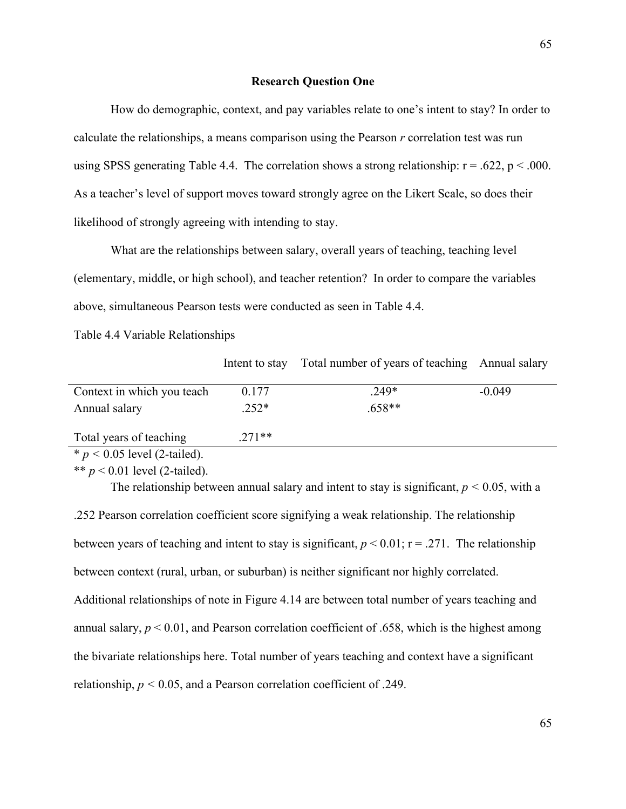## **Research Question One**

How do demographic, context, and pay variables relate to one's intent to stay? In order to calculate the relationships, a means comparison using the Pearson *r* correlation test was run using SPSS generating Table 4.4. The correlation shows a strong relationship:  $r = .622$ ,  $p < .000$ . As a teacher's level of support moves toward strongly agree on the Likert Scale, so does their likelihood of strongly agreeing with intending to stay.

What are the relationships between salary, overall years of teaching, teaching level (elementary, middle, or high school), and teacher retention? In order to compare the variables above, simultaneous Pearson tests were conducted as seen in Table 4.4.

Table 4.4 Variable Relationships

Intent to stay Total number of years of teaching Annual salary

| Context in which you teach     | 0.177    | $.249*$  | $-0.049$ |
|--------------------------------|----------|----------|----------|
| Annual salary                  | $.252*$  | $.658**$ |          |
|                                |          |          |          |
| Total years of teaching        | $.271**$ |          |          |
| * $p < 0.05$ level (2-tailed). |          |          |          |

\*\*  $p < 0.01$  level (2-tailed).

The relationship between annual salary and intent to stay is significant,  $p < 0.05$ , with a

.252 Pearson correlation coefficient score signifying a weak relationship. The relationship between years of teaching and intent to stay is significant,  $p < 0.01$ ;  $r = .271$ . The relationship between context (rural, urban, or suburban) is neither significant nor highly correlated. Additional relationships of note in Figure 4.14 are between total number of years teaching and annual salary,  $p \le 0.01$ , and Pearson correlation coefficient of .658, which is the highest among the bivariate relationships here. Total number of years teaching and context have a significant relationship,  $p < 0.05$ , and a Pearson correlation coefficient of .249.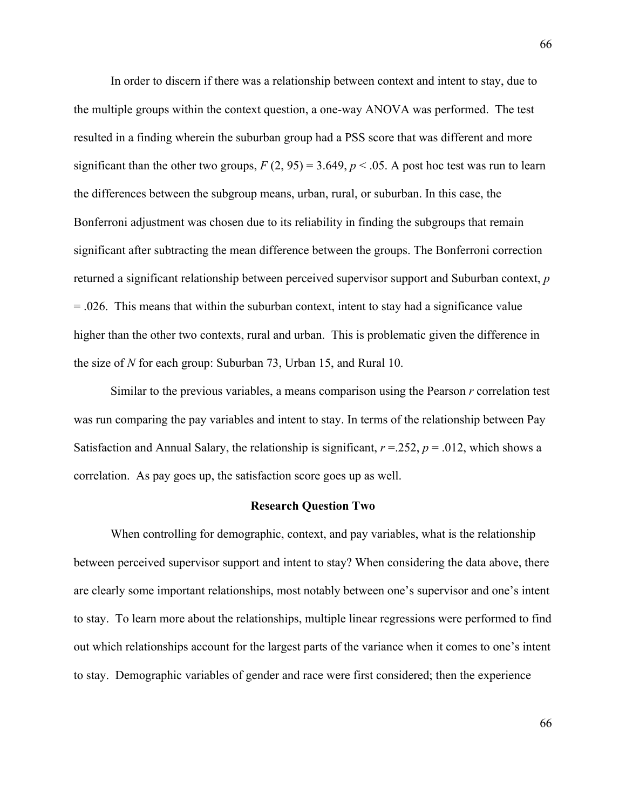In order to discern if there was a relationship between context and intent to stay, due to the multiple groups within the context question, a one-way ANOVA was performed. The test resulted in a finding wherein the suburban group had a PSS score that was different and more significant than the other two groups,  $F(2, 95) = 3.649$ ,  $p < .05$ . A post hoc test was run to learn the differences between the subgroup means, urban, rural, or suburban. In this case, the Bonferroni adjustment was chosen due to its reliability in finding the subgroups that remain significant after subtracting the mean difference between the groups. The Bonferroni correction returned a significant relationship between perceived supervisor support and Suburban context, *p*  = .026. This means that within the suburban context, intent to stay had a significance value higher than the other two contexts, rural and urban. This is problematic given the difference in the size of *N* for each group: Suburban 73, Urban 15, and Rural 10.

Similar to the previous variables, a means comparison using the Pearson *r* correlation test was run comparing the pay variables and intent to stay. In terms of the relationship between Pay Satisfaction and Annual Salary, the relationship is significant,  $r = 252$ ,  $p = .012$ , which shows a correlation. As pay goes up, the satisfaction score goes up as well.

## **Research Question Two**

When controlling for demographic, context, and pay variables, what is the relationship between perceived supervisor support and intent to stay? When considering the data above, there are clearly some important relationships, most notably between one's supervisor and one's intent to stay. To learn more about the relationships, multiple linear regressions were performed to find out which relationships account for the largest parts of the variance when it comes to one's intent to stay. Demographic variables of gender and race were first considered; then the experience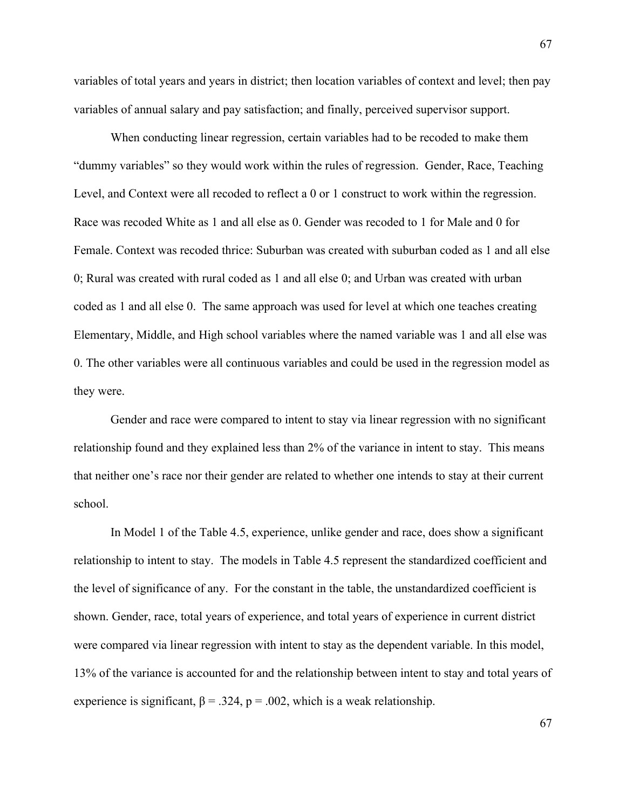variables of total years and years in district; then location variables of context and level; then pay variables of annual salary and pay satisfaction; and finally, perceived supervisor support.

When conducting linear regression, certain variables had to be recoded to make them "dummy variables" so they would work within the rules of regression. Gender, Race, Teaching Level, and Context were all recoded to reflect a 0 or 1 construct to work within the regression. Race was recoded White as 1 and all else as 0. Gender was recoded to 1 for Male and 0 for Female. Context was recoded thrice: Suburban was created with suburban coded as 1 and all else 0; Rural was created with rural coded as 1 and all else 0; and Urban was created with urban coded as 1 and all else 0. The same approach was used for level at which one teaches creating Elementary, Middle, and High school variables where the named variable was 1 and all else was 0. The other variables were all continuous variables and could be used in the regression model as they were.

Gender and race were compared to intent to stay via linear regression with no significant relationship found and they explained less than 2% of the variance in intent to stay. This means that neither one's race nor their gender are related to whether one intends to stay at their current school.

In Model 1 of the Table 4.5, experience, unlike gender and race, does show a significant relationship to intent to stay. The models in Table 4.5 represent the standardized coefficient and the level of significance of any. For the constant in the table, the unstandardized coefficient is shown. Gender, race, total years of experience, and total years of experience in current district were compared via linear regression with intent to stay as the dependent variable. In this model, 13% of the variance is accounted for and the relationship between intent to stay and total years of experience is significant,  $\beta = 0.324$ ,  $p = 0.002$ , which is a weak relationship.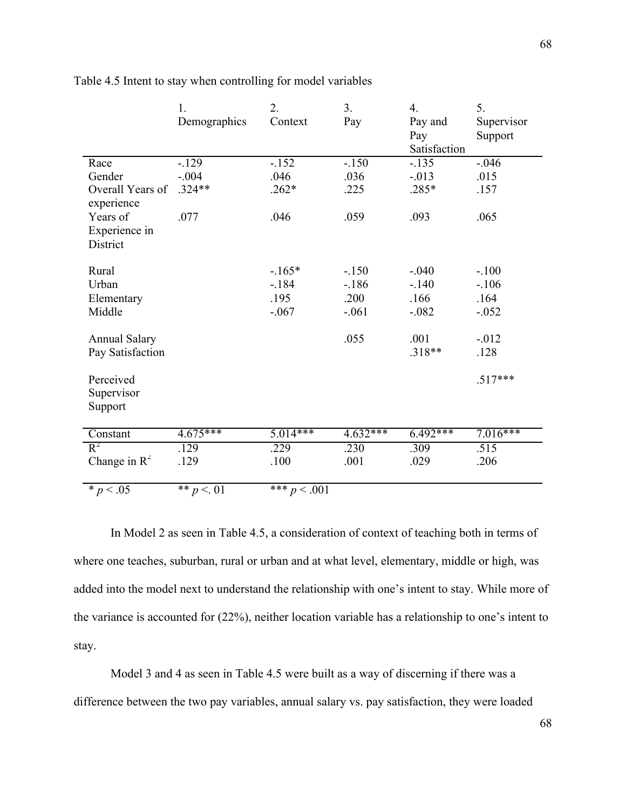|                                | 1.                    | 2.         | 3 <sub>1</sub> | $\overline{4}$ . | 5.         |
|--------------------------------|-----------------------|------------|----------------|------------------|------------|
|                                | Demographics          | Context    | Pay            | Pay and          | Supervisor |
|                                |                       |            |                | Pay              | Support    |
|                                |                       |            |                | Satisfaction     |            |
| Race                           | $-129$                | $-152$     | $-.150$        | $-135$           | $-.046$    |
| Gender                         | $-.004$               | .046       | .036           | $-0.013$         | .015       |
| Overall Years of<br>experience | $.324**$              | $.262*$    | .225           | .285*            | .157       |
| Years of                       | .077                  | .046       | .059           | .093             | .065       |
| Experience in<br>District      |                       |            |                |                  |            |
|                                |                       |            |                |                  |            |
| Rural                          |                       | $-165*$    | $-.150$        | $-.040$          | $-.100$    |
| Urban                          |                       | $-184$     | $-186$         | $-.140$          | $-106$     |
| Elementary                     |                       | .195       | .200           | .166             | .164       |
| Middle                         |                       | $-.067$    | $-.061$        | $-.082$          | $-0.052$   |
| <b>Annual Salary</b>           |                       |            | .055           | .001             | $-0.012$   |
| Pay Satisfaction               |                       |            |                | .318**           | .128       |
| Perceived<br>Supervisor        |                       |            |                |                  | $.517***$  |
| Support                        |                       |            |                |                  |            |
| Constant                       | $4.\overline{675***}$ | $5.014***$ | $4.632***$     | $6.492***$       | $7.016***$ |
| $R^2$                          | .129                  | .229       | .230           | .309             | .515       |
| Change in $R^2$                | .129                  | .100       | .001           | .029             | .206       |
| $* p < 0.05$                   |                       |            |                |                  |            |

Table 4.5 Intent to stay when controlling for model variables

In Model 2 as seen in Table 4.5, a consideration of context of teaching both in terms of where one teaches, suburban, rural or urban and at what level, elementary, middle or high, was added into the model next to understand the relationship with one's intent to stay. While more of the variance is accounted for (22%), neither location variable has a relationship to one's intent to stay.

Model 3 and 4 as seen in Table 4.5 were built as a way of discerning if there was a difference between the two pay variables, annual salary vs. pay satisfaction, they were loaded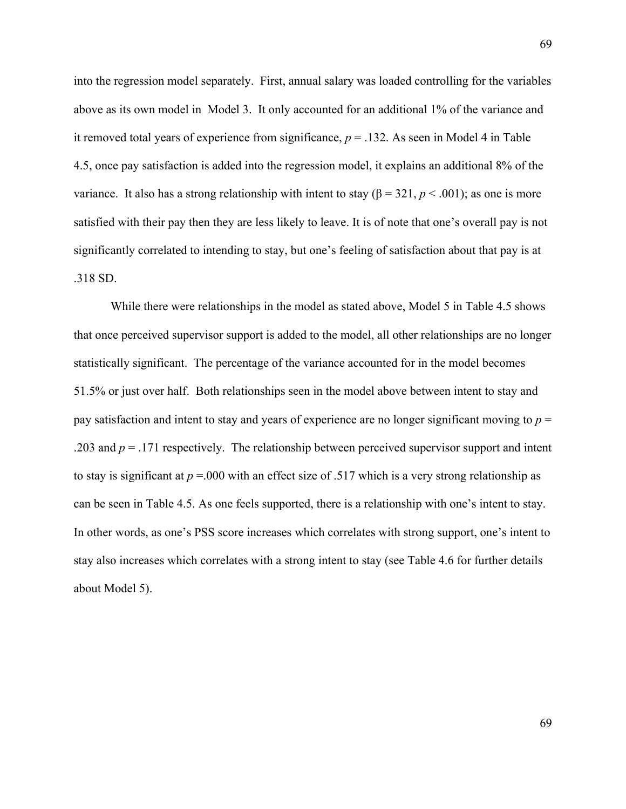into the regression model separately. First, annual salary was loaded controlling for the variables above as its own model in Model 3. It only accounted for an additional 1% of the variance and it removed total years of experience from significance,  $p = 0.132$ . As seen in Model 4 in Table 4.5, once pay satisfaction is added into the regression model, it explains an additional 8% of the variance. It also has a strong relationship with intent to stay  $(β = 321, p < .001)$ ; as one is more satisfied with their pay then they are less likely to leave. It is of note that one's overall pay is not significantly correlated to intending to stay, but one's feeling of satisfaction about that pay is at .318 SD.

While there were relationships in the model as stated above, Model 5 in Table 4.5 shows that once perceived supervisor support is added to the model, all other relationships are no longer statistically significant. The percentage of the variance accounted for in the model becomes 51.5% or just over half. Both relationships seen in the model above between intent to stay and pay satisfaction and intent to stay and years of experience are no longer significant moving to *p* = .203 and *p* = .171 respectively. The relationship between perceived supervisor support and intent to stay is significant at *p* =.000 with an effect size of .517 which is a very strong relationship as can be seen in Table 4.5. As one feels supported, there is a relationship with one's intent to stay. In other words, as one's PSS score increases which correlates with strong support, one's intent to stay also increases which correlates with a strong intent to stay (see Table 4.6 for further details about Model 5).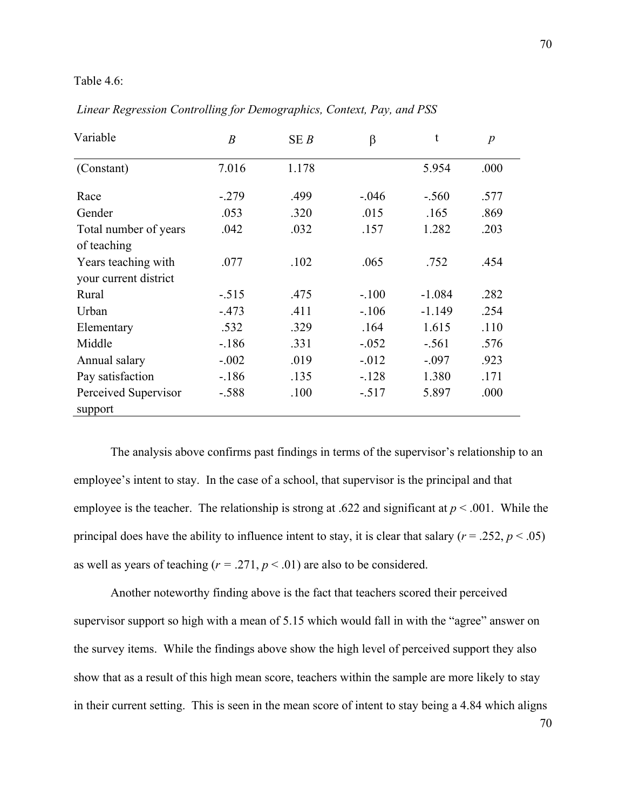## Table 4.6:

| Variable              | $\boldsymbol{B}$ | SEB   | $\beta$  | t        | $\boldsymbol{p}$ |
|-----------------------|------------------|-------|----------|----------|------------------|
| (Constant)            | 7.016            | 1.178 |          | 5.954    | .000             |
| Race                  | $-0.279$         | .499  | $-.046$  | $-.560$  | .577             |
| Gender                | .053             | .320  | .015     | .165     | .869             |
| Total number of years | .042             | .032  | .157     | 1.282    | .203             |
| of teaching           |                  |       |          |          |                  |
| Years teaching with   | .077             | .102  | .065     | .752     | .454             |
| your current district |                  |       |          |          |                  |
| Rural                 | $-.515$          | .475  | $-.100$  | $-1.084$ | .282             |
| Urban                 | $-473$           | .411  | $-.106$  | $-1.149$ | .254             |
| Elementary            | .532             | .329  | .164     | 1.615    | .110             |
| Middle                | $-186$           | .331  | $-.052$  | $-.561$  | .576             |
| Annual salary         | $-.002$          | .019  | $-0.012$ | $-.097$  | .923             |
| Pay satisfaction      | $-186$           | .135  | $-128$   | 1.380    | .171             |
| Perceived Supervisor  | $-.588$          | .100  | $-.517$  | 5.897    | .000             |
| support               |                  |       |          |          |                  |

*Linear Regression Controlling for Demographics, Context, Pay, and PSS*

The analysis above confirms past findings in terms of the supervisor's relationship to an employee's intent to stay. In the case of a school, that supervisor is the principal and that employee is the teacher. The relationship is strong at .622 and significant at  $p < .001$ . While the principal does have the ability to influence intent to stay, it is clear that salary ( $r = .252$ ,  $p < .05$ ) as well as years of teaching  $(r = .271, p < .01)$  are also to be considered.

Another noteworthy finding above is the fact that teachers scored their perceived supervisor support so high with a mean of 5.15 which would fall in with the "agree" answer on the survey items. While the findings above show the high level of perceived support they also show that as a result of this high mean score, teachers within the sample are more likely to stay in their current setting. This is seen in the mean score of intent to stay being a 4.84 which aligns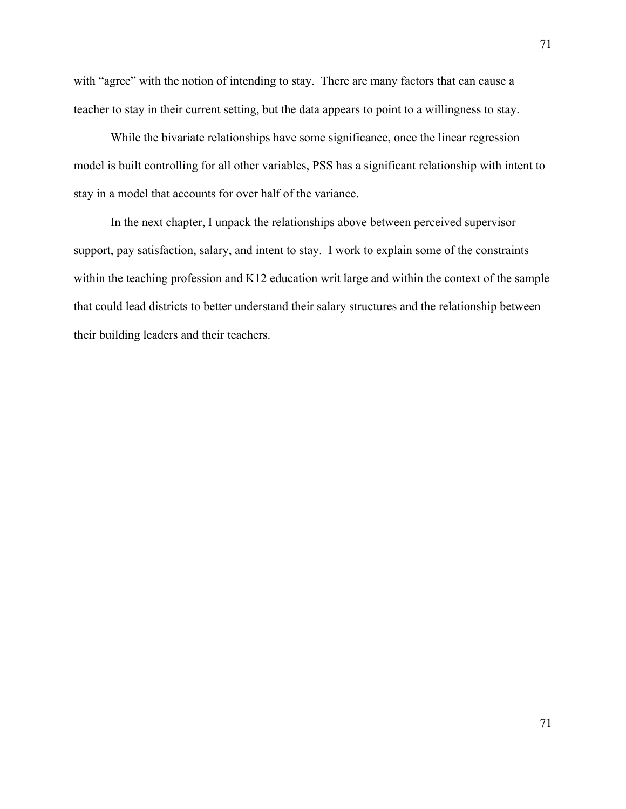with "agree" with the notion of intending to stay. There are many factors that can cause a teacher to stay in their current setting, but the data appears to point to a willingness to stay.

While the bivariate relationships have some significance, once the linear regression model is built controlling for all other variables, PSS has a significant relationship with intent to stay in a model that accounts for over half of the variance.

In the next chapter, I unpack the relationships above between perceived supervisor support, pay satisfaction, salary, and intent to stay. I work to explain some of the constraints within the teaching profession and K12 education writ large and within the context of the sample that could lead districts to better understand their salary structures and the relationship between their building leaders and their teachers.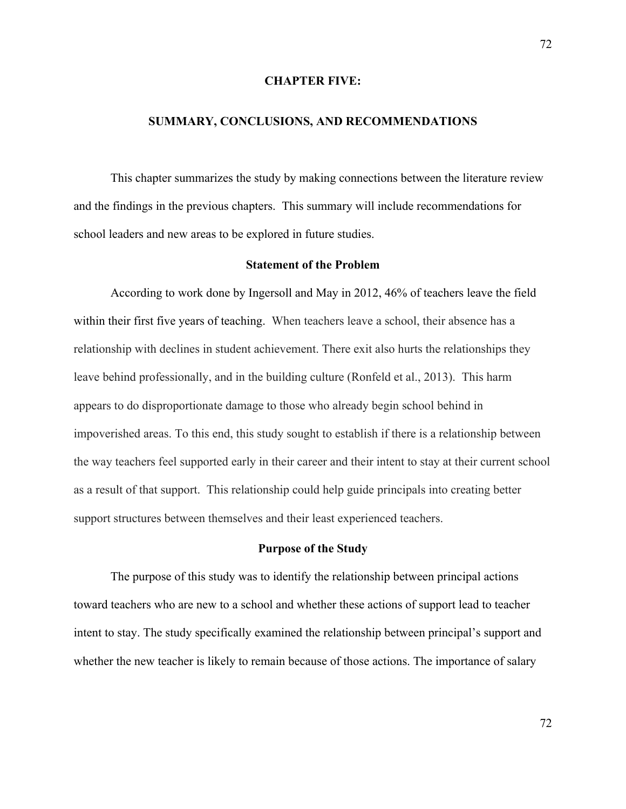## **CHAPTER FIVE:**

## **SUMMARY, CONCLUSIONS, AND RECOMMENDATIONS**

This chapter summarizes the study by making connections between the literature review and the findings in the previous chapters. This summary will include recommendations for school leaders and new areas to be explored in future studies.

## **Statement of the Problem**

According to work done by Ingersoll and May in 2012, 46% of teachers leave the field within their first five years of teaching. When teachers leave a school, their absence has a relationship with declines in student achievement. There exit also hurts the relationships they leave behind professionally, and in the building culture (Ronfeld et al., 2013). This harm appears to do disproportionate damage to those who already begin school behind in impoverished areas. To this end, this study sought to establish if there is a relationship between the way teachers feel supported early in their career and their intent to stay at their current school as a result of that support. This relationship could help guide principals into creating better support structures between themselves and their least experienced teachers.

### **Purpose of the Study**

The purpose of this study was to identify the relationship between principal actions toward teachers who are new to a school and whether these actions of support lead to teacher intent to stay. The study specifically examined the relationship between principal's support and whether the new teacher is likely to remain because of those actions. The importance of salary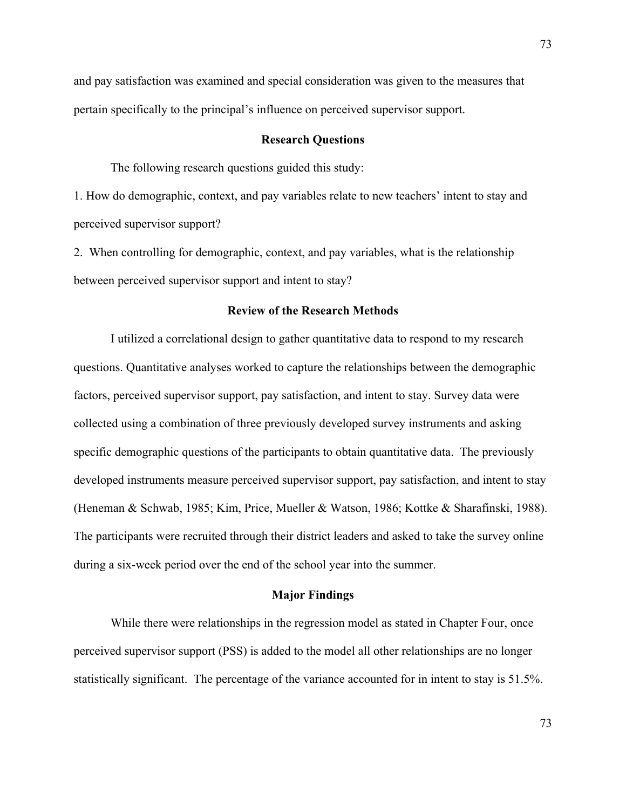and pay satisfaction was examined and special consideration was given to the measures that pertain specifically to the principal's influence on perceived supervisor support.

### **Research Questions**

The following research questions guided this study:

1. How do demographic, context, and pay variables relate to new teachers' intent to stay and perceived supervisor support?

2. When controlling for demographic, context, and pay variables, what is the relationship between perceived supervisor support and intent to stay?

### **Review of the Research Methods**

I utilized a correlational design to gather quantitative data to respond to my research questions. Quantitative analyses worked to capture the relationships between the demographic factors, perceived supervisor support, pay satisfaction, and intent to stay. Survey data were collected using a combination of three previously developed survey instruments and asking specific demographic questions of the participants to obtain quantitative data. The previously developed instruments measure perceived supervisor support, pay satisfaction, and intent to stay (Heneman & Schwab, 1985; Kim, Price, Mueller & Watson, 1986; Kottke & Sharafinski, 1988). The participants were recruited through their district leaders and asked to take the survey online during a six-week period over the end of the school year into the summer.

## **Major Findings**

While there were relationships in the regression model as stated in Chapter Four, once perceived supervisor support (PSS) is added to the model all other relationships are no longer statistically significant. The percentage of the variance accounted for in intent to stay is 51.5%.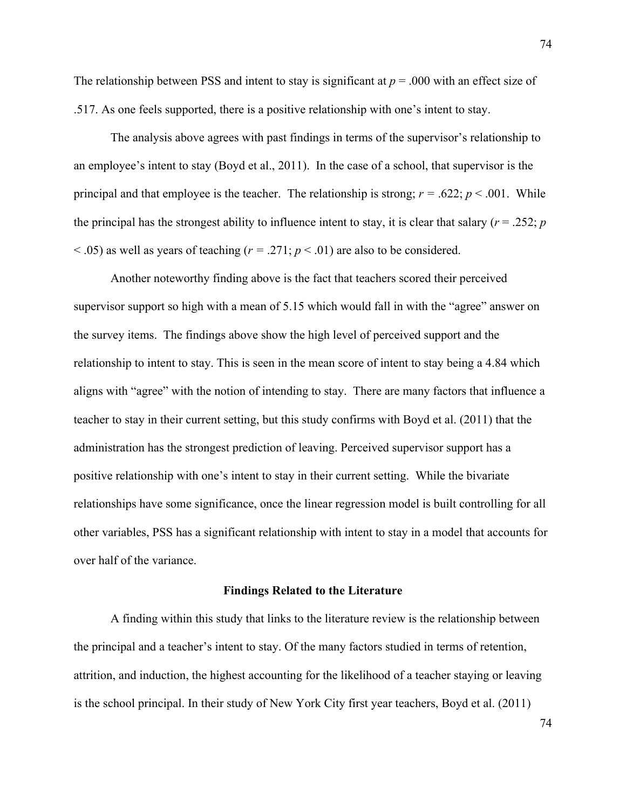The relationship between PSS and intent to stay is significant at *p* = .000 with an effect size of .517. As one feels supported, there is a positive relationship with one's intent to stay.

The analysis above agrees with past findings in terms of the supervisor's relationship to an employee's intent to stay (Boyd et al., 2011). In the case of a school, that supervisor is the principal and that employee is the teacher. The relationship is strong;  $r = .622$ ;  $p < .001$ . While the principal has the strongest ability to influence intent to stay, it is clear that salary ( $r = .252$ ;  $p$  $<$  0.05) as well as years of teaching ( $r = 0.271$ ;  $p < 0.01$ ) are also to be considered.

Another noteworthy finding above is the fact that teachers scored their perceived supervisor support so high with a mean of 5.15 which would fall in with the "agree" answer on the survey items. The findings above show the high level of perceived support and the relationship to intent to stay. This is seen in the mean score of intent to stay being a 4.84 which aligns with "agree" with the notion of intending to stay. There are many factors that influence a teacher to stay in their current setting, but this study confirms with Boyd et al. (2011) that the administration has the strongest prediction of leaving. Perceived supervisor support has a positive relationship with one's intent to stay in their current setting. While the bivariate relationships have some significance, once the linear regression model is built controlling for all other variables, PSS has a significant relationship with intent to stay in a model that accounts for over half of the variance.

#### **Findings Related to the Literature**

A finding within this study that links to the literature review is the relationship between the principal and a teacher's intent to stay. Of the many factors studied in terms of retention, attrition, and induction, the highest accounting for the likelihood of a teacher staying or leaving is the school principal. In their study of New York City first year teachers, Boyd et al. (2011)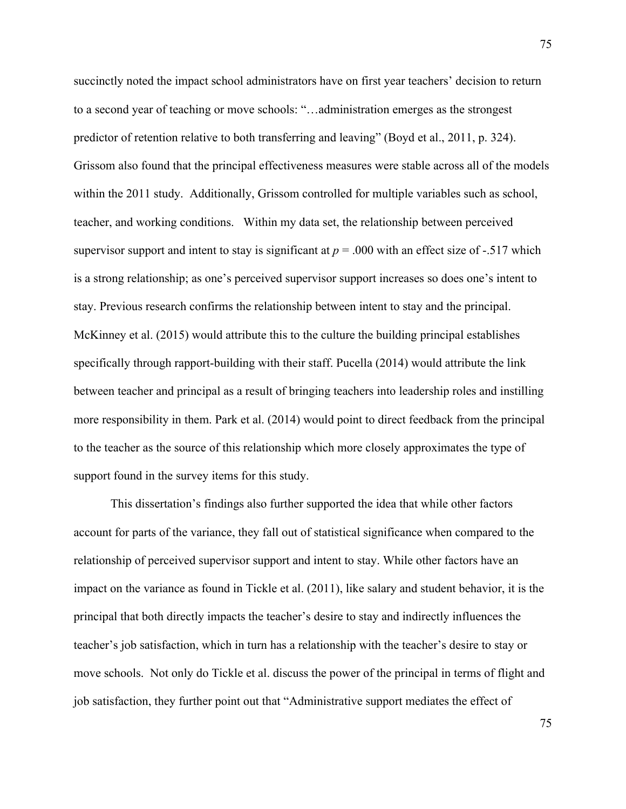succinctly noted the impact school administrators have on first year teachers' decision to return to a second year of teaching or move schools: "…administration emerges as the strongest predictor of retention relative to both transferring and leaving" (Boyd et al., 2011, p. 324). Grissom also found that the principal effectiveness measures were stable across all of the models within the 2011 study. Additionally, Grissom controlled for multiple variables such as school, teacher, and working conditions. Within my data set, the relationship between perceived supervisor support and intent to stay is significant at *p* = .000 with an effect size of -.517 which is a strong relationship; as one's perceived supervisor support increases so does one's intent to stay. Previous research confirms the relationship between intent to stay and the principal. McKinney et al. (2015) would attribute this to the culture the building principal establishes specifically through rapport-building with their staff. Pucella (2014) would attribute the link between teacher and principal as a result of bringing teachers into leadership roles and instilling more responsibility in them. Park et al. (2014) would point to direct feedback from the principal to the teacher as the source of this relationship which more closely approximates the type of support found in the survey items for this study.

This dissertation's findings also further supported the idea that while other factors account for parts of the variance, they fall out of statistical significance when compared to the relationship of perceived supervisor support and intent to stay. While other factors have an impact on the variance as found in Tickle et al. (2011), like salary and student behavior, it is the principal that both directly impacts the teacher's desire to stay and indirectly influences the teacher's job satisfaction, which in turn has a relationship with the teacher's desire to stay or move schools. Not only do Tickle et al. discuss the power of the principal in terms of flight and job satisfaction, they further point out that "Administrative support mediates the effect of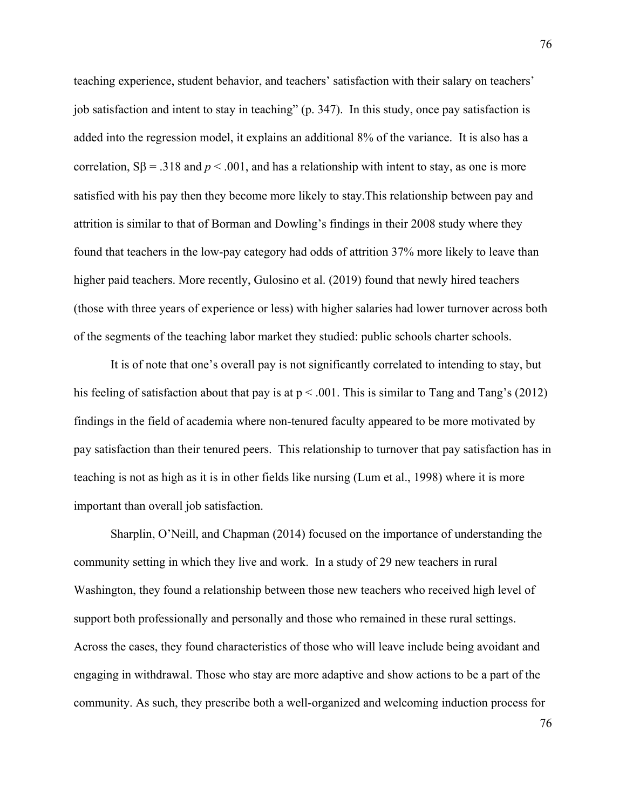teaching experience, student behavior, and teachers' satisfaction with their salary on teachers' job satisfaction and intent to stay in teaching" (p. 347). In this study, once pay satisfaction is added into the regression model, it explains an additional 8% of the variance. It is also has a correlation,  $S\beta = .318$  and  $p < .001$ , and has a relationship with intent to stay, as one is more satisfied with his pay then they become more likely to stay.This relationship between pay and attrition is similar to that of Borman and Dowling's findings in their 2008 study where they found that teachers in the low-pay category had odds of attrition 37% more likely to leave than higher paid teachers. More recently, Gulosino et al. (2019) found that newly hired teachers (those with three years of experience or less) with higher salaries had lower turnover across both of the segments of the teaching labor market they studied: public schools charter schools.

It is of note that one's overall pay is not significantly correlated to intending to stay, but his feeling of satisfaction about that pay is at  $p < .001$ . This is similar to Tang and Tang's (2012) findings in the field of academia where non-tenured faculty appeared to be more motivated by pay satisfaction than their tenured peers. This relationship to turnover that pay satisfaction has in teaching is not as high as it is in other fields like nursing (Lum et al., 1998) where it is more important than overall job satisfaction.

Sharplin, O'Neill, and Chapman (2014) focused on the importance of understanding the community setting in which they live and work. In a study of 29 new teachers in rural Washington, they found a relationship between those new teachers who received high level of support both professionally and personally and those who remained in these rural settings. Across the cases, they found characteristics of those who will leave include being avoidant and engaging in withdrawal. Those who stay are more adaptive and show actions to be a part of the community. As such, they prescribe both a well-organized and welcoming induction process for

76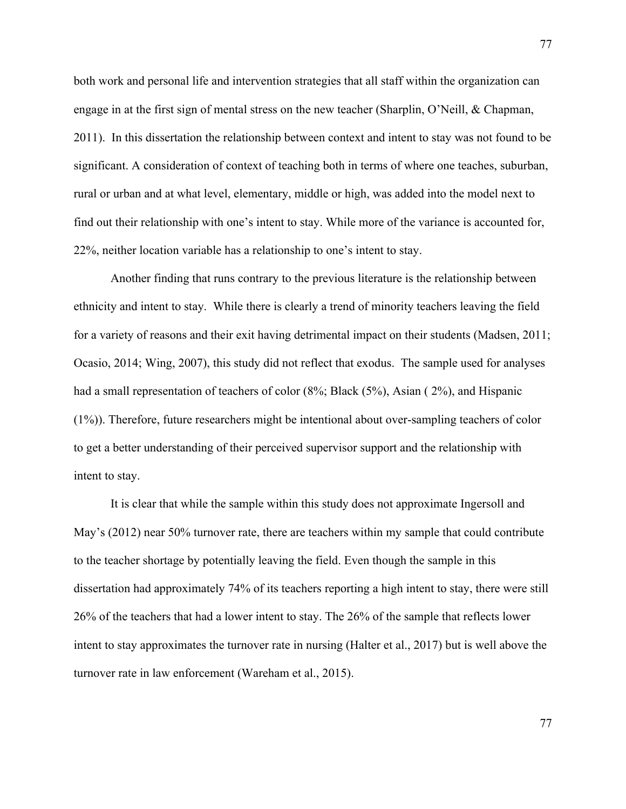both work and personal life and intervention strategies that all staff within the organization can engage in at the first sign of mental stress on the new teacher (Sharplin, O'Neill, & Chapman, 2011). In this dissertation the relationship between context and intent to stay was not found to be significant. A consideration of context of teaching both in terms of where one teaches, suburban, rural or urban and at what level, elementary, middle or high, was added into the model next to find out their relationship with one's intent to stay. While more of the variance is accounted for, 22%, neither location variable has a relationship to one's intent to stay.

Another finding that runs contrary to the previous literature is the relationship between ethnicity and intent to stay. While there is clearly a trend of minority teachers leaving the field for a variety of reasons and their exit having detrimental impact on their students (Madsen, 2011; Ocasio, 2014; Wing, 2007), this study did not reflect that exodus. The sample used for analyses had a small representation of teachers of color (8%; Black (5%), Asian (2%), and Hispanic (1%)). Therefore, future researchers might be intentional about over-sampling teachers of color to get a better understanding of their perceived supervisor support and the relationship with intent to stay.

It is clear that while the sample within this study does not approximate Ingersoll and May's (2012) near 50% turnover rate, there are teachers within my sample that could contribute to the teacher shortage by potentially leaving the field. Even though the sample in this dissertation had approximately 74% of its teachers reporting a high intent to stay, there were still 26% of the teachers that had a lower intent to stay. The 26% of the sample that reflects lower intent to stay approximates the turnover rate in nursing (Halter et al., 2017) but is well above the turnover rate in law enforcement (Wareham et al., 2015).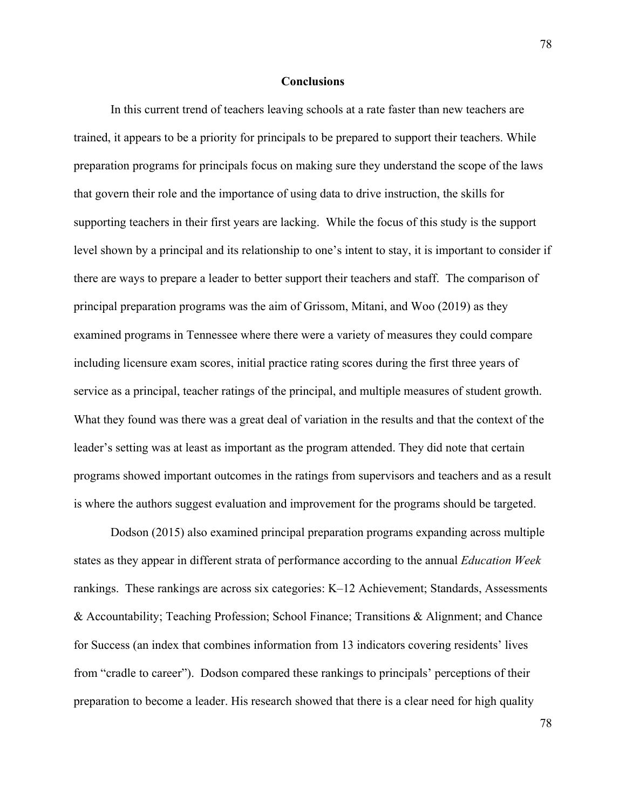#### **Conclusions**

In this current trend of teachers leaving schools at a rate faster than new teachers are trained, it appears to be a priority for principals to be prepared to support their teachers. While preparation programs for principals focus on making sure they understand the scope of the laws that govern their role and the importance of using data to drive instruction, the skills for supporting teachers in their first years are lacking. While the focus of this study is the support level shown by a principal and its relationship to one's intent to stay, it is important to consider if there are ways to prepare a leader to better support their teachers and staff. The comparison of principal preparation programs was the aim of Grissom, Mitani, and Woo (2019) as they examined programs in Tennessee where there were a variety of measures they could compare including licensure exam scores, initial practice rating scores during the first three years of service as a principal, teacher ratings of the principal, and multiple measures of student growth. What they found was there was a great deal of variation in the results and that the context of the leader's setting was at least as important as the program attended. They did note that certain programs showed important outcomes in the ratings from supervisors and teachers and as a result is where the authors suggest evaluation and improvement for the programs should be targeted.

Dodson (2015) also examined principal preparation programs expanding across multiple states as they appear in different strata of performance according to the annual *Education Week* rankings. These rankings are across six categories: K–12 Achievement; Standards, Assessments & Accountability; Teaching Profession; School Finance; Transitions & Alignment; and Chance for Success (an index that combines information from 13 indicators covering residents' lives from "cradle to career"). Dodson compared these rankings to principals' perceptions of their preparation to become a leader. His research showed that there is a clear need for high quality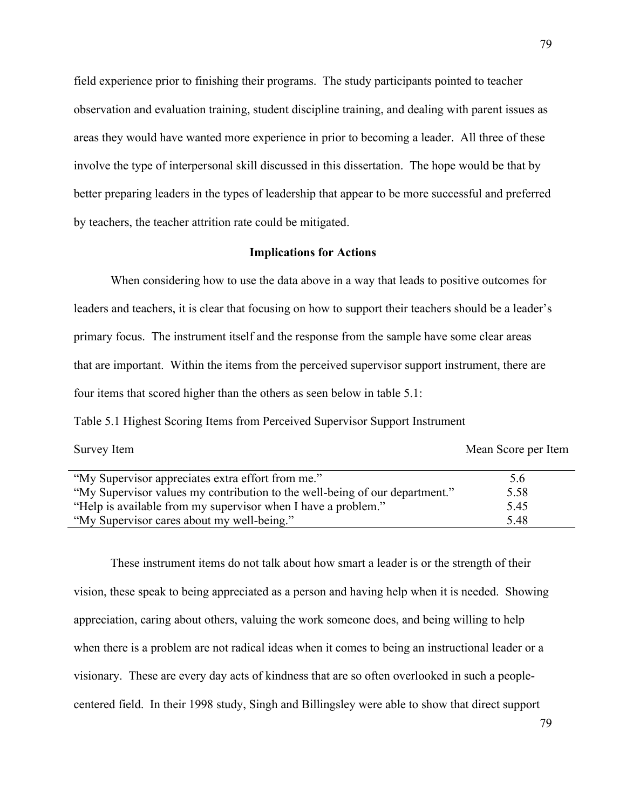field experience prior to finishing their programs. The study participants pointed to teacher observation and evaluation training, student discipline training, and dealing with parent issues as areas they would have wanted more experience in prior to becoming a leader. All three of these involve the type of interpersonal skill discussed in this dissertation. The hope would be that by better preparing leaders in the types of leadership that appear to be more successful and preferred by teachers, the teacher attrition rate could be mitigated.

# **Implications for Actions**

When considering how to use the data above in a way that leads to positive outcomes for leaders and teachers, it is clear that focusing on how to support their teachers should be a leader's primary focus. The instrument itself and the response from the sample have some clear areas that are important. Within the items from the perceived supervisor support instrument, there are four items that scored higher than the others as seen below in table 5.1:

Table 5.1 Highest Scoring Items from Perceived Supervisor Support Instrument

Survey Item Mean Score per Item

| "My Supervisor appreciates extra effort from me."                           | 5.6  |  |
|-----------------------------------------------------------------------------|------|--|
| "My Supervisor values my contribution to the well-being of our department." | 5.58 |  |
| "Help is available from my supervisor when I have a problem."               | 5.45 |  |
| "My Supervisor cares about my well-being."                                  | 5.48 |  |

These instrument items do not talk about how smart a leader is or the strength of their vision, these speak to being appreciated as a person and having help when it is needed. Showing appreciation, caring about others, valuing the work someone does, and being willing to help when there is a problem are not radical ideas when it comes to being an instructional leader or a visionary. These are every day acts of kindness that are so often overlooked in such a peoplecentered field. In their 1998 study, Singh and Billingsley were able to show that direct support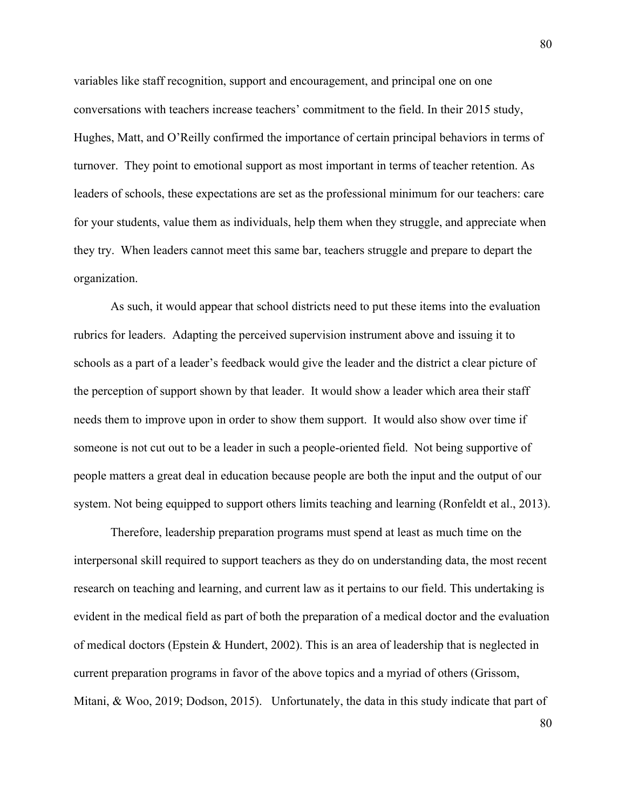variables like staff recognition, support and encouragement, and principal one on one conversations with teachers increase teachers' commitment to the field. In their 2015 study, Hughes, Matt, and O'Reilly confirmed the importance of certain principal behaviors in terms of turnover. They point to emotional support as most important in terms of teacher retention. As leaders of schools, these expectations are set as the professional minimum for our teachers: care for your students, value them as individuals, help them when they struggle, and appreciate when they try. When leaders cannot meet this same bar, teachers struggle and prepare to depart the organization.

As such, it would appear that school districts need to put these items into the evaluation rubrics for leaders. Adapting the perceived supervision instrument above and issuing it to schools as a part of a leader's feedback would give the leader and the district a clear picture of the perception of support shown by that leader. It would show a leader which area their staff needs them to improve upon in order to show them support. It would also show over time if someone is not cut out to be a leader in such a people-oriented field. Not being supportive of people matters a great deal in education because people are both the input and the output of our system. Not being equipped to support others limits teaching and learning (Ronfeldt et al., 2013).

Therefore, leadership preparation programs must spend at least as much time on the interpersonal skill required to support teachers as they do on understanding data, the most recent research on teaching and learning, and current law as it pertains to our field. This undertaking is evident in the medical field as part of both the preparation of a medical doctor and the evaluation of medical doctors (Epstein & Hundert, 2002). This is an area of leadership that is neglected in current preparation programs in favor of the above topics and a myriad of others (Grissom, Mitani, & Woo, 2019; Dodson, 2015). Unfortunately, the data in this study indicate that part of

80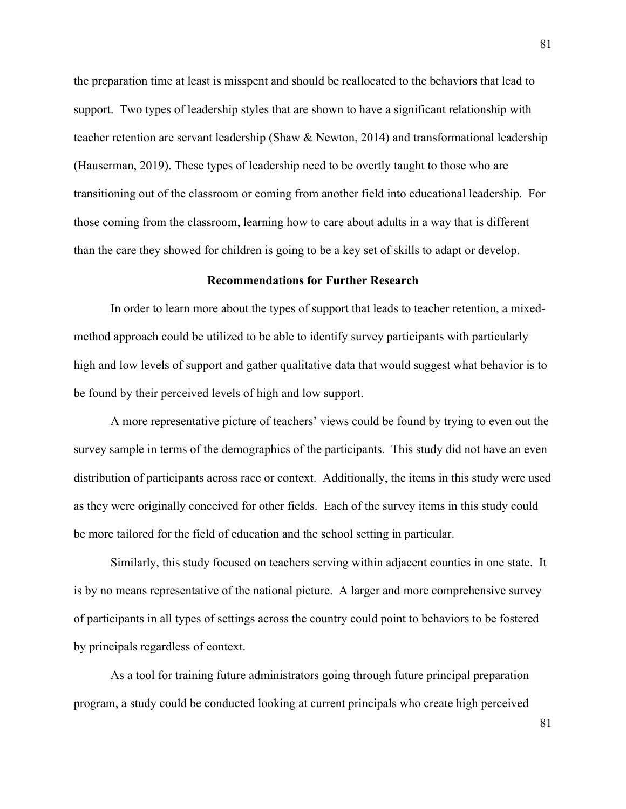the preparation time at least is misspent and should be reallocated to the behaviors that lead to support. Two types of leadership styles that are shown to have a significant relationship with teacher retention are servant leadership (Shaw & Newton, 2014) and transformational leadership (Hauserman, 2019). These types of leadership need to be overtly taught to those who are transitioning out of the classroom or coming from another field into educational leadership. For those coming from the classroom, learning how to care about adults in a way that is different than the care they showed for children is going to be a key set of skills to adapt or develop.

# **Recommendations for Further Research**

In order to learn more about the types of support that leads to teacher retention, a mixedmethod approach could be utilized to be able to identify survey participants with particularly high and low levels of support and gather qualitative data that would suggest what behavior is to be found by their perceived levels of high and low support.

A more representative picture of teachers' views could be found by trying to even out the survey sample in terms of the demographics of the participants. This study did not have an even distribution of participants across race or context. Additionally, the items in this study were used as they were originally conceived for other fields. Each of the survey items in this study could be more tailored for the field of education and the school setting in particular.

Similarly, this study focused on teachers serving within adjacent counties in one state. It is by no means representative of the national picture. A larger and more comprehensive survey of participants in all types of settings across the country could point to behaviors to be fostered by principals regardless of context.

As a tool for training future administrators going through future principal preparation program, a study could be conducted looking at current principals who create high perceived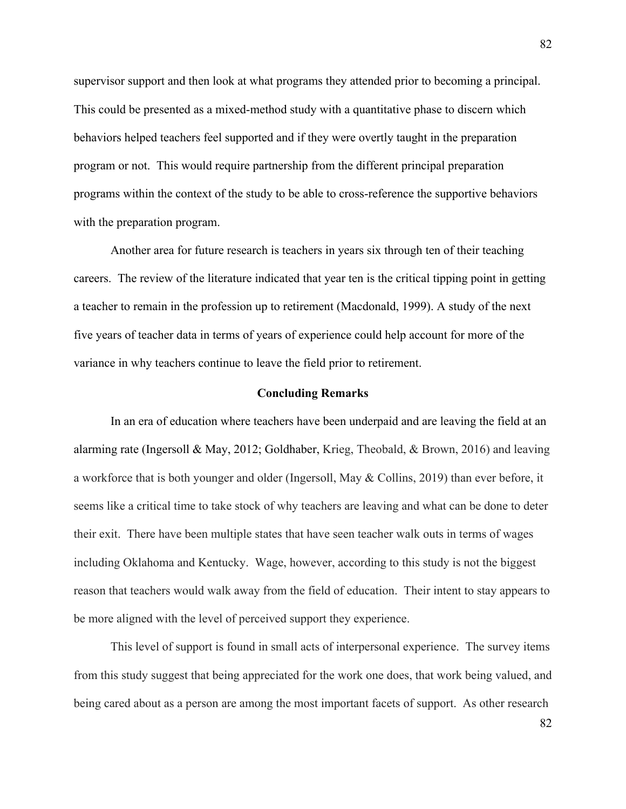supervisor support and then look at what programs they attended prior to becoming a principal. This could be presented as a mixed-method study with a quantitative phase to discern which behaviors helped teachers feel supported and if they were overtly taught in the preparation program or not. This would require partnership from the different principal preparation programs within the context of the study to be able to cross-reference the supportive behaviors with the preparation program.

Another area for future research is teachers in years six through ten of their teaching careers. The review of the literature indicated that year ten is the critical tipping point in getting a teacher to remain in the profession up to retirement (Macdonald, 1999). A study of the next five years of teacher data in terms of years of experience could help account for more of the variance in why teachers continue to leave the field prior to retirement.

### **Concluding Remarks**

In an era of education where teachers have been underpaid and are leaving the field at an alarming rate (Ingersoll & May, 2012; Goldhaber, Krieg, Theobald, & Brown, 2016) and leaving a workforce that is both younger and older (Ingersoll, May & Collins, 2019) than ever before, it seems like a critical time to take stock of why teachers are leaving and what can be done to deter their exit. There have been multiple states that have seen teacher walk outs in terms of wages including Oklahoma and Kentucky. Wage, however, according to this study is not the biggest reason that teachers would walk away from the field of education. Their intent to stay appears to be more aligned with the level of perceived support they experience.

This level of support is found in small acts of interpersonal experience. The survey items from this study suggest that being appreciated for the work one does, that work being valued, and being cared about as a person are among the most important facets of support. As other research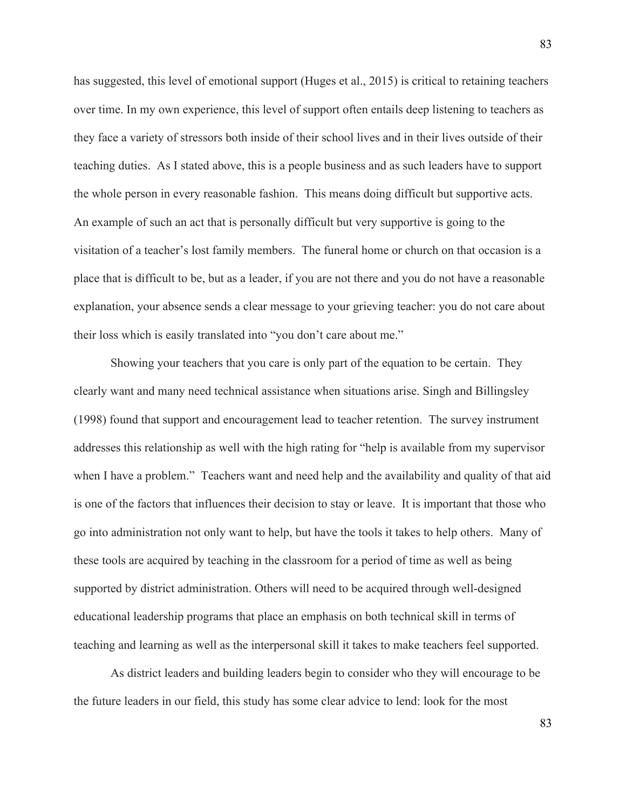has suggested, this level of emotional support (Huges et al., 2015) is critical to retaining teachers over time. In my own experience, this level of support often entails deep listening to teachers as they face a variety of stressors both inside of their school lives and in their lives outside of their teaching duties. As I stated above, this is a people business and as such leaders have to support the whole person in every reasonable fashion. This means doing difficult but supportive acts. An example of such an act that is personally difficult but very supportive is going to the visitation of a teacher's lost family members. The funeral home or church on that occasion is a place that is difficult to be, but as a leader, if you are not there and you do not have a reasonable explanation, your absence sends a clear message to your grieving teacher: you do not care about their loss which is easily translated into "you don't care about me."

Showing your teachers that you care is only part of the equation to be certain. They clearly want and many need technical assistance when situations arise. Singh and Billingsley (1998) found that support and encouragement lead to teacher retention. The survey instrument addresses this relationship as well with the high rating for "help is available from my supervisor when I have a problem." Teachers want and need help and the availability and quality of that aid is one of the factors that influences their decision to stay or leave. It is important that those who go into administration not only want to help, but have the tools it takes to help others. Many of these tools are acquired by teaching in the classroom for a period of time as well as being supported by district administration. Others will need to be acquired through well-designed educational leadership programs that place an emphasis on both technical skill in terms of teaching and learning as well as the interpersonal skill it takes to make teachers feel supported.

As district leaders and building leaders begin to consider who they will encourage to be the future leaders in our field, this study has some clear advice to lend: look for the most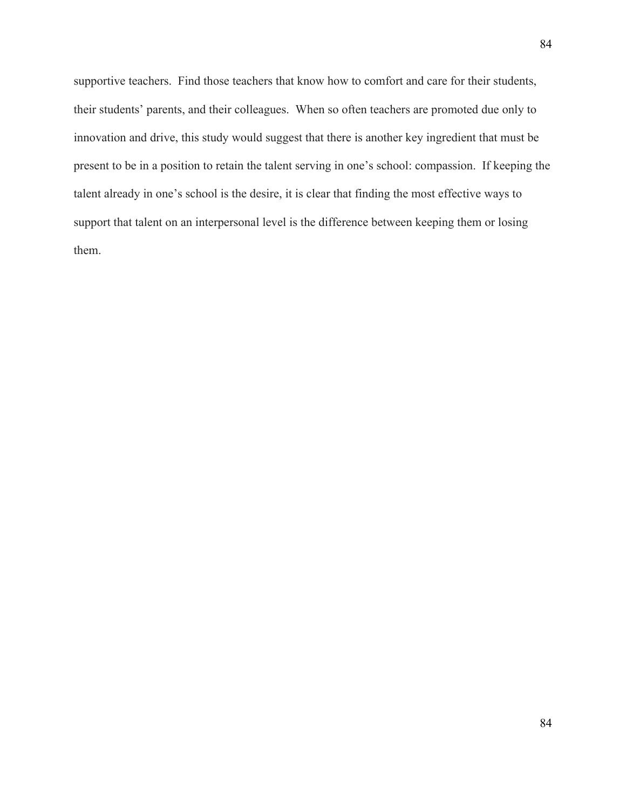supportive teachers. Find those teachers that know how to comfort and care for their students, their students' parents, and their colleagues. When so often teachers are promoted due only to innovation and drive, this study would suggest that there is another key ingredient that must be present to be in a position to retain the talent serving in one's school: compassion. If keeping the talent already in one's school is the desire, it is clear that finding the most effective ways to support that talent on an interpersonal level is the difference between keeping them or losing them.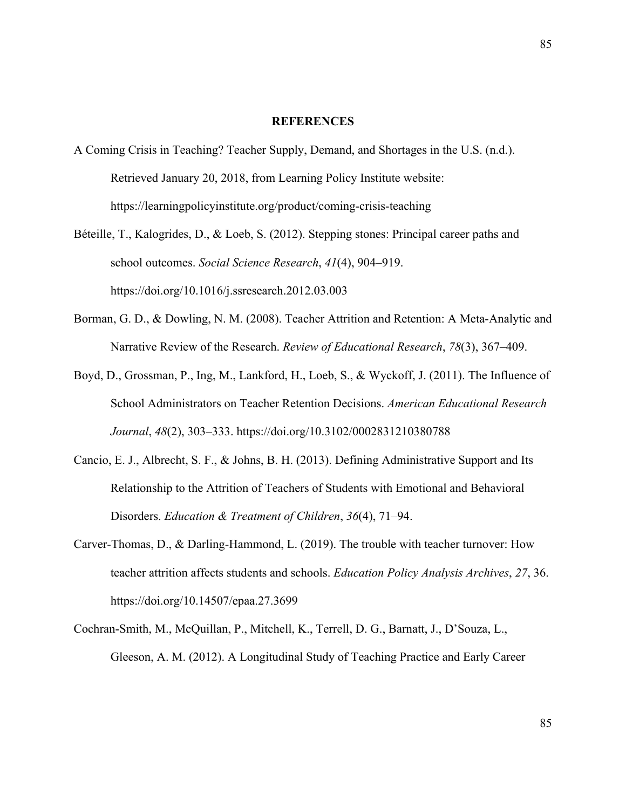#### **REFERENCES**

- A Coming Crisis in Teaching? Teacher Supply, Demand, and Shortages in the U.S. (n.d.). Retrieved January 20, 2018, from Learning Policy Institute website: https://learningpolicyinstitute.org/product/coming-crisis-teaching
- Béteille, T., Kalogrides, D., & Loeb, S. (2012). Stepping stones: Principal career paths and school outcomes. *Social Science Research*, *41*(4), 904–919. https://doi.org/10.1016/j.ssresearch.2012.03.003
- Borman, G. D., & Dowling, N. M. (2008). Teacher Attrition and Retention: A Meta-Analytic and Narrative Review of the Research. *Review of Educational Research*, *78*(3), 367–409.
- Boyd, D., Grossman, P., Ing, M., Lankford, H., Loeb, S., & Wyckoff, J. (2011). The Influence of School Administrators on Teacher Retention Decisions. *American Educational Research Journal*, *48*(2), 303–333. https://doi.org/10.3102/0002831210380788
- Cancio, E. J., Albrecht, S. F., & Johns, B. H. (2013). Defining Administrative Support and Its Relationship to the Attrition of Teachers of Students with Emotional and Behavioral Disorders. *Education & Treatment of Children*, *36*(4), 71–94.
- Carver-Thomas, D., & Darling-Hammond, L. (2019). The trouble with teacher turnover: How teacher attrition affects students and schools. *Education Policy Analysis Archives*, *27*, 36. https://doi.org/10.14507/epaa.27.3699
- Cochran-Smith, M., McQuillan, P., Mitchell, K., Terrell, D. G., Barnatt, J., D'Souza, L., Gleeson, A. M. (2012). A Longitudinal Study of Teaching Practice and Early Career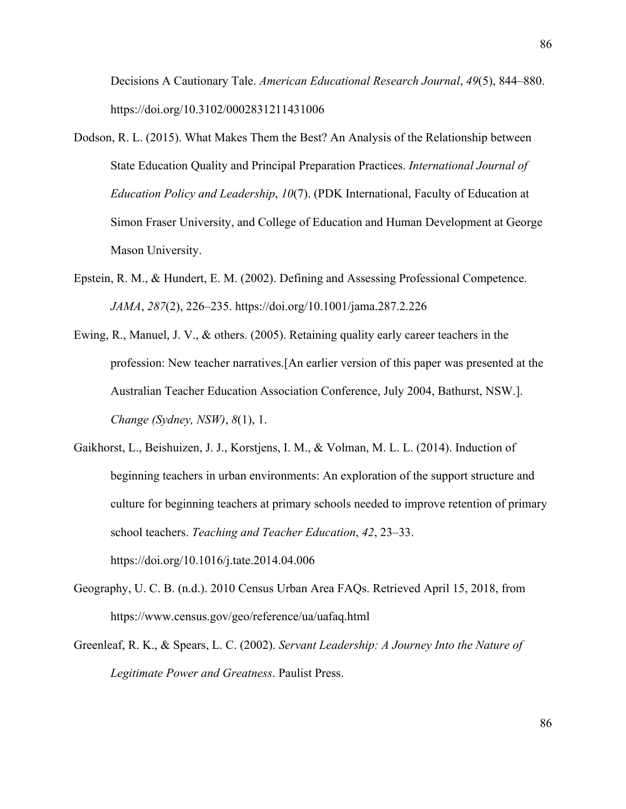Decisions A Cautionary Tale. *American Educational Research Journal*, *49*(5), 844–880. https://doi.org/10.3102/0002831211431006

- Dodson, R. L. (2015). What Makes Them the Best? An Analysis of the Relationship between State Education Quality and Principal Preparation Practices. *International Journal of Education Policy and Leadership*, *10*(7). (PDK International, Faculty of Education at Simon Fraser University, and College of Education and Human Development at George Mason University.
- Epstein, R. M., & Hundert, E. M. (2002). Defining and Assessing Professional Competence. *JAMA*, *287*(2), 226–235. https://doi.org/10.1001/jama.287.2.226
- Ewing, R., Manuel, J. V., & others. (2005). Retaining quality early career teachers in the profession: New teacher narratives.[An earlier version of this paper was presented at the Australian Teacher Education Association Conference, July 2004, Bathurst, NSW.]. *Change (Sydney, NSW)*, *8*(1), 1.
- Gaikhorst, L., Beishuizen, J. J., Korstjens, I. M., & Volman, M. L. L. (2014). Induction of beginning teachers in urban environments: An exploration of the support structure and culture for beginning teachers at primary schools needed to improve retention of primary school teachers. *Teaching and Teacher Education*, *42*, 23–33. https://doi.org/10.1016/j.tate.2014.04.006
- Geography, U. C. B. (n.d.). 2010 Census Urban Area FAQs. Retrieved April 15, 2018, from https://www.census.gov/geo/reference/ua/uafaq.html
- Greenleaf, R. K., & Spears, L. C. (2002). *Servant Leadership: A Journey Into the Nature of Legitimate Power and Greatness*. Paulist Press.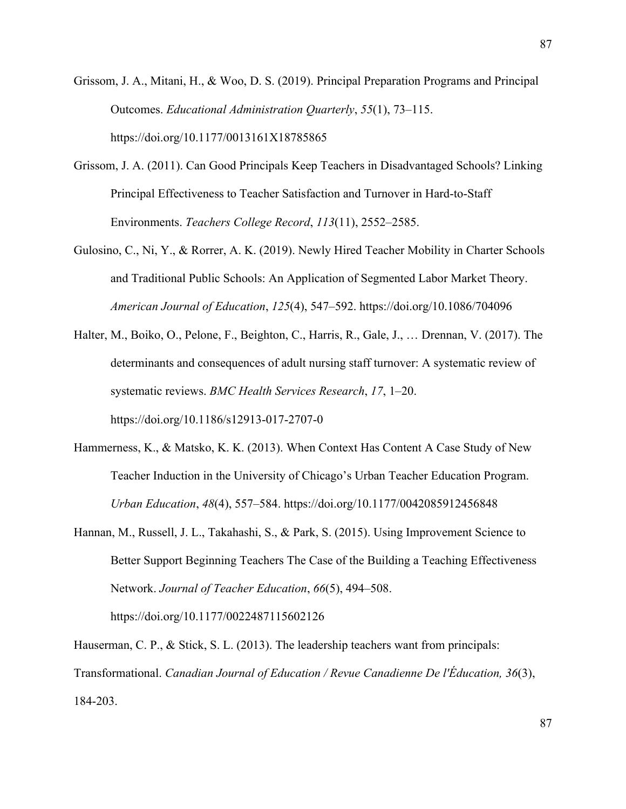- Grissom, J. A., Mitani, H., & Woo, D. S. (2019). Principal Preparation Programs and Principal Outcomes. *Educational Administration Quarterly*, *55*(1), 73–115. https://doi.org/10.1177/0013161X18785865
- Grissom, J. A. (2011). Can Good Principals Keep Teachers in Disadvantaged Schools? Linking Principal Effectiveness to Teacher Satisfaction and Turnover in Hard-to-Staff Environments. *Teachers College Record*, *113*(11), 2552–2585.
- Gulosino, C., Ni, Y., & Rorrer, A. K. (2019). Newly Hired Teacher Mobility in Charter Schools and Traditional Public Schools: An Application of Segmented Labor Market Theory. *American Journal of Education*, *125*(4), 547–592. https://doi.org/10.1086/704096
- Halter, M., Boiko, O., Pelone, F., Beighton, C., Harris, R., Gale, J., … Drennan, V. (2017). The determinants and consequences of adult nursing staff turnover: A systematic review of systematic reviews. *BMC Health Services Research*, *17*, 1–20. https://doi.org/10.1186/s12913-017-2707-0
- Hammerness, K., & Matsko, K. K. (2013). When Context Has Content A Case Study of New Teacher Induction in the University of Chicago's Urban Teacher Education Program. *Urban Education*, *48*(4), 557–584. https://doi.org/10.1177/0042085912456848
- Hannan, M., Russell, J. L., Takahashi, S., & Park, S. (2015). Using Improvement Science to Better Support Beginning Teachers The Case of the Building a Teaching Effectiveness Network. *Journal of Teacher Education*, *66*(5), 494–508. https://doi.org/10.1177/0022487115602126

Hauserman, C. P., & Stick, S. L. (2013). The leadership teachers want from principals: Transformational. *Canadian Journal of Education / Revue Canadienne De l'Éducation, 36*(3), 184-203.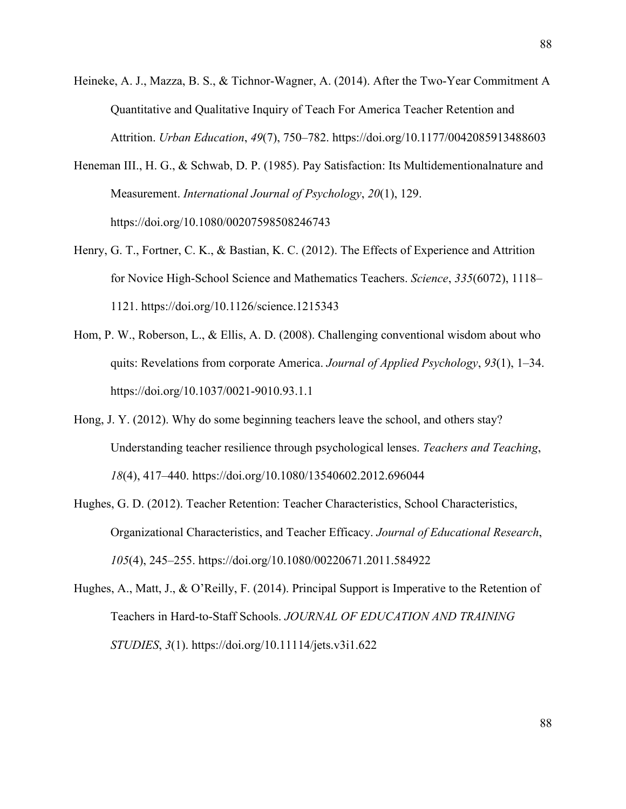- Heineke, A. J., Mazza, B. S., & Tichnor-Wagner, A. (2014). After the Two-Year Commitment A Quantitative and Qualitative Inquiry of Teach For America Teacher Retention and Attrition. *Urban Education*, *49*(7), 750–782. https://doi.org/10.1177/0042085913488603
- Heneman III., H. G., & Schwab, D. P. (1985). Pay Satisfaction: Its Multidementionalnature and Measurement. *International Journal of Psychology*, *20*(1), 129. https://doi.org/10.1080/00207598508246743
- Henry, G. T., Fortner, C. K., & Bastian, K. C. (2012). The Effects of Experience and Attrition for Novice High-School Science and Mathematics Teachers. *Science*, *335*(6072), 1118– 1121. https://doi.org/10.1126/science.1215343
- Hom, P. W., Roberson, L., & Ellis, A. D. (2008). Challenging conventional wisdom about who quits: Revelations from corporate America. *Journal of Applied Psychology*, *93*(1), 1–34. https://doi.org/10.1037/0021-9010.93.1.1
- Hong, J. Y. (2012). Why do some beginning teachers leave the school, and others stay? Understanding teacher resilience through psychological lenses. *Teachers and Teaching*, *18*(4), 417–440. https://doi.org/10.1080/13540602.2012.696044
- Hughes, G. D. (2012). Teacher Retention: Teacher Characteristics, School Characteristics, Organizational Characteristics, and Teacher Efficacy. *Journal of Educational Research*, *105*(4), 245–255. https://doi.org/10.1080/00220671.2011.584922
- Hughes, A., Matt, J., & O'Reilly, F. (2014). Principal Support is Imperative to the Retention of Teachers in Hard-to-Staff Schools. *JOURNAL OF EDUCATION AND TRAINING STUDIES*, *3*(1). https://doi.org/10.11114/jets.v3i1.622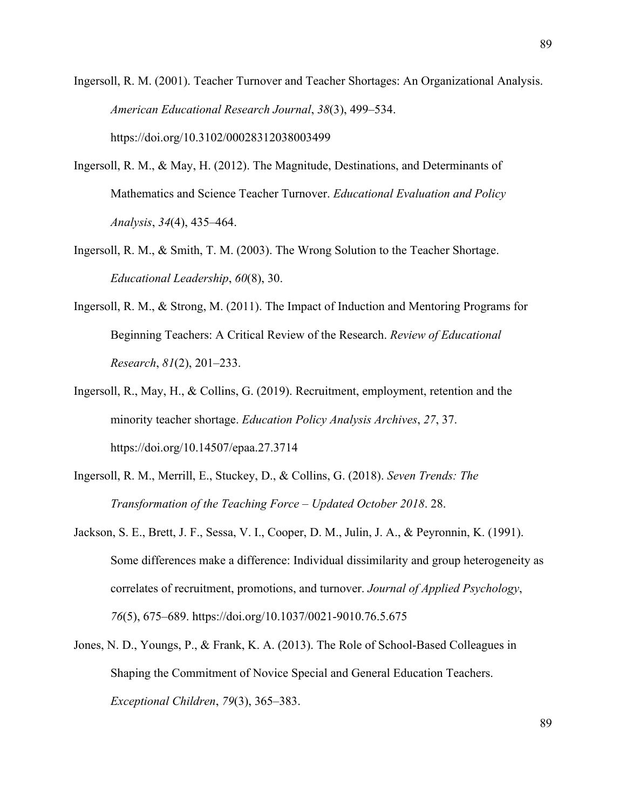Ingersoll, R. M. (2001). Teacher Turnover and Teacher Shortages: An Organizational Analysis. *American Educational Research Journal*, *38*(3), 499–534. https://doi.org/10.3102/00028312038003499

- Ingersoll, R. M., & May, H. (2012). The Magnitude, Destinations, and Determinants of Mathematics and Science Teacher Turnover. *Educational Evaluation and Policy Analysis*, *34*(4), 435–464.
- Ingersoll, R. M., & Smith, T. M. (2003). The Wrong Solution to the Teacher Shortage. *Educational Leadership*, *60*(8), 30.
- Ingersoll, R. M., & Strong, M. (2011). The Impact of Induction and Mentoring Programs for Beginning Teachers: A Critical Review of the Research. *Review of Educational Research*, *81*(2), 201–233.
- Ingersoll, R., May, H., & Collins, G. (2019). Recruitment, employment, retention and the minority teacher shortage. *Education Policy Analysis Archives*, *27*, 37. https://doi.org/10.14507/epaa.27.3714
- Ingersoll, R. M., Merrill, E., Stuckey, D., & Collins, G. (2018). *Seven Trends: The Transformation of the Teaching Force – Updated October 2018*. 28.
- Jackson, S. E., Brett, J. F., Sessa, V. I., Cooper, D. M., Julin, J. A., & Peyronnin, K. (1991). Some differences make a difference: Individual dissimilarity and group heterogeneity as correlates of recruitment, promotions, and turnover. *Journal of Applied Psychology*, *76*(5), 675–689. https://doi.org/10.1037/0021-9010.76.5.675
- Jones, N. D., Youngs, P., & Frank, K. A. (2013). The Role of School-Based Colleagues in Shaping the Commitment of Novice Special and General Education Teachers. *Exceptional Children*, *79*(3), 365–383.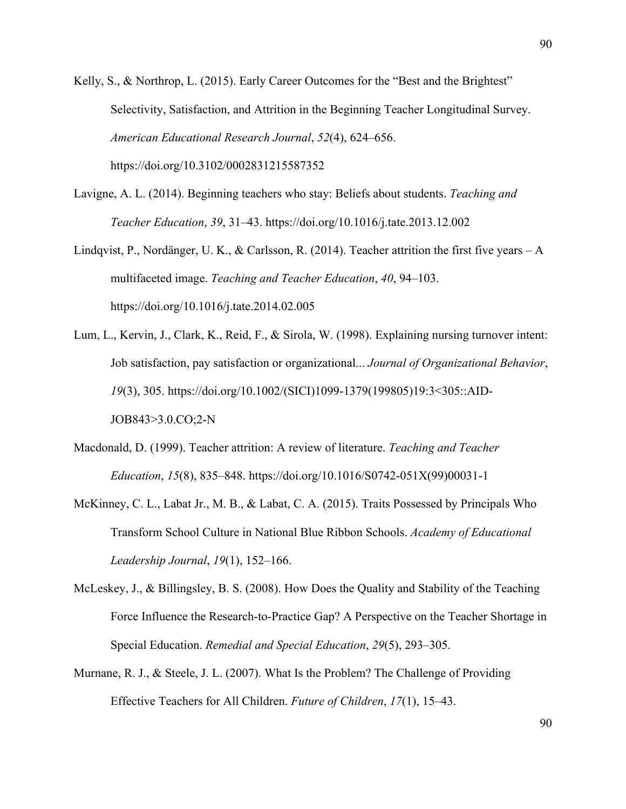Kelly, S., & Northrop, L. (2015). Early Career Outcomes for the "Best and the Brightest" Selectivity, Satisfaction, and Attrition in the Beginning Teacher Longitudinal Survey. *American Educational Research Journal*, *52*(4), 624–656.

https://doi.org/10.3102/0002831215587352

- Lavigne, A. L. (2014). Beginning teachers who stay: Beliefs about students. *Teaching and Teacher Education*, *39*, 31–43. https://doi.org/10.1016/j.tate.2013.12.002
- Lindqvist, P., Nordänger, U. K., & Carlsson, R. (2014). Teacher attrition the first five years A multifaceted image. *Teaching and Teacher Education*, *40*, 94–103. https://doi.org/10.1016/j.tate.2014.02.005
- Lum, L., Kervin, J., Clark, K., Reid, F., & Sirola, W. (1998). Explaining nursing turnover intent: Job satisfaction, pay satisfaction or organizational... *Journal of Organizational Behavior*, *19*(3), 305. https://doi.org/10.1002/(SICI)1099-1379(199805)19:3<305::AID-JOB843>3.0.CO;2-N
- Macdonald, D. (1999). Teacher attrition: A review of literature. *Teaching and Teacher Education*, *15*(8), 835–848. https://doi.org/10.1016/S0742-051X(99)00031-1
- McKinney, C. L., Labat Jr., M. B., & Labat, C. A. (2015). Traits Possessed by Principals Who Transform School Culture in National Blue Ribbon Schools. *Academy of Educational Leadership Journal*, *19*(1), 152–166.
- McLeskey, J., & Billingsley, B. S. (2008). How Does the Quality and Stability of the Teaching Force Influence the Research-to-Practice Gap? A Perspective on the Teacher Shortage in Special Education. *Remedial and Special Education*, *29*(5), 293–305.
- Murnane, R. J., & Steele, J. L. (2007). What Is the Problem? The Challenge of Providing Effective Teachers for All Children. *Future of Children*, *17*(1), 15–43.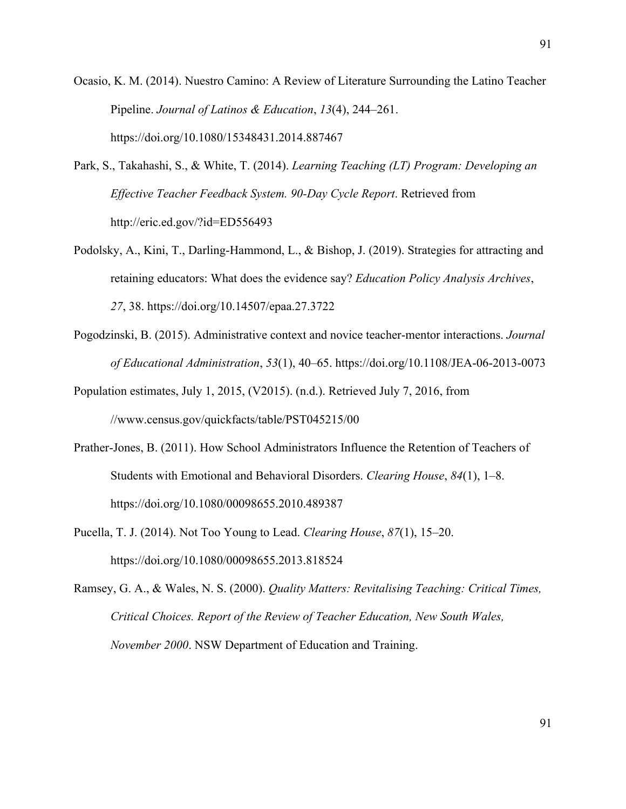Ocasio, K. M. (2014). Nuestro Camino: A Review of Literature Surrounding the Latino Teacher Pipeline. *Journal of Latinos & Education*, *13*(4), 244–261. https://doi.org/10.1080/15348431.2014.887467

- Park, S., Takahashi, S., & White, T. (2014). *Learning Teaching (LT) Program: Developing an Effective Teacher Feedback System. 90-Day Cycle Report*. Retrieved from http://eric.ed.gov/?id=ED556493
- Podolsky, A., Kini, T., Darling-Hammond, L., & Bishop, J. (2019). Strategies for attracting and retaining educators: What does the evidence say? *Education Policy Analysis Archives*, *27*, 38. https://doi.org/10.14507/epaa.27.3722
- Pogodzinski, B. (2015). Administrative context and novice teacher-mentor interactions. *Journal of Educational Administration*, *53*(1), 40–65. https://doi.org/10.1108/JEA-06-2013-0073

Population estimates, July 1, 2015, (V2015). (n.d.). Retrieved July 7, 2016, from //www.census.gov/quickfacts/table/PST045215/00

- Prather-Jones, B. (2011). How School Administrators Influence the Retention of Teachers of Students with Emotional and Behavioral Disorders. *Clearing House*, *84*(1), 1–8. https://doi.org/10.1080/00098655.2010.489387
- Pucella, T. J. (2014). Not Too Young to Lead. *Clearing House*, *87*(1), 15–20. https://doi.org/10.1080/00098655.2013.818524
- Ramsey, G. A., & Wales, N. S. (2000). *Quality Matters: Revitalising Teaching: Critical Times, Critical Choices. Report of the Review of Teacher Education, New South Wales, November 2000*. NSW Department of Education and Training.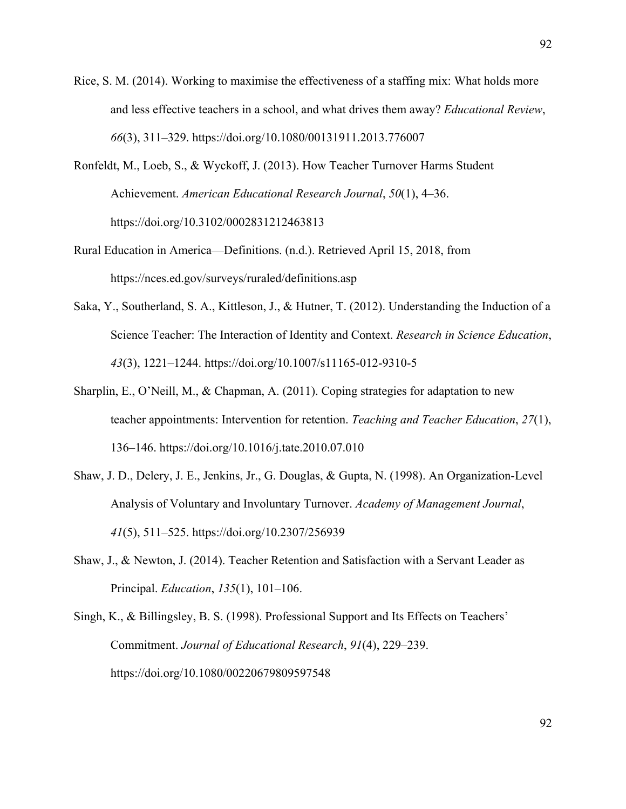- Rice, S. M. (2014). Working to maximise the effectiveness of a staffing mix: What holds more and less effective teachers in a school, and what drives them away? *Educational Review*, *66*(3), 311–329. https://doi.org/10.1080/00131911.2013.776007
- Ronfeldt, M., Loeb, S., & Wyckoff, J. (2013). How Teacher Turnover Harms Student Achievement. *American Educational Research Journal*, *50*(1), 4–36. https://doi.org/10.3102/0002831212463813
- Rural Education in America—Definitions. (n.d.). Retrieved April 15, 2018, from https://nces.ed.gov/surveys/ruraled/definitions.asp
- Saka, Y., Southerland, S. A., Kittleson, J., & Hutner, T. (2012). Understanding the Induction of a Science Teacher: The Interaction of Identity and Context. *Research in Science Education*, *43*(3), 1221–1244. https://doi.org/10.1007/s11165-012-9310-5
- Sharplin, E., O'Neill, M., & Chapman, A. (2011). Coping strategies for adaptation to new teacher appointments: Intervention for retention. *Teaching and Teacher Education*, *27*(1), 136–146. https://doi.org/10.1016/j.tate.2010.07.010
- Shaw, J. D., Delery, J. E., Jenkins, Jr., G. Douglas, & Gupta, N. (1998). An Organization-Level Analysis of Voluntary and Involuntary Turnover. *Academy of Management Journal*, *41*(5), 511–525. https://doi.org/10.2307/256939
- Shaw, J., & Newton, J. (2014). Teacher Retention and Satisfaction with a Servant Leader as Principal. *Education*, *135*(1), 101–106.

Singh, K., & Billingsley, B. S. (1998). Professional Support and Its Effects on Teachers' Commitment. *Journal of Educational Research*, *91*(4), 229–239. https://doi.org/10.1080/00220679809597548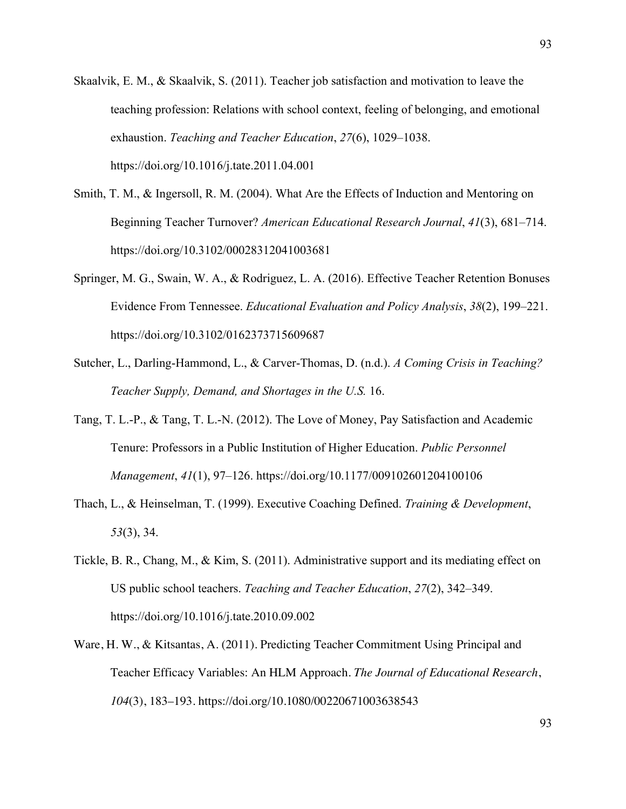- Skaalvik, E. M., & Skaalvik, S. (2011). Teacher job satisfaction and motivation to leave the teaching profession: Relations with school context, feeling of belonging, and emotional exhaustion. *Teaching and Teacher Education*, *27*(6), 1029–1038. https://doi.org/10.1016/j.tate.2011.04.001
- Smith, T. M., & Ingersoll, R. M. (2004). What Are the Effects of Induction and Mentoring on Beginning Teacher Turnover? *American Educational Research Journal*, *41*(3), 681–714. https://doi.org/10.3102/00028312041003681
- Springer, M. G., Swain, W. A., & Rodriguez, L. A. (2016). Effective Teacher Retention Bonuses Evidence From Tennessee. *Educational Evaluation and Policy Analysis*, *38*(2), 199–221. https://doi.org/10.3102/0162373715609687
- Sutcher, L., Darling-Hammond, L., & Carver-Thomas, D. (n.d.). *A Coming Crisis in Teaching? Teacher Supply, Demand, and Shortages in the U.S.* 16.
- Tang, T. L.-P., & Tang, T. L.-N. (2012). The Love of Money, Pay Satisfaction and Academic Tenure: Professors in a Public Institution of Higher Education. *Public Personnel Management*, *41*(1), 97–126. https://doi.org/10.1177/009102601204100106
- Thach, L., & Heinselman, T. (1999). Executive Coaching Defined. *Training & Development*, *53*(3), 34.
- Tickle, B. R., Chang, M., & Kim, S. (2011). Administrative support and its mediating effect on US public school teachers. *Teaching and Teacher Education*, *27*(2), 342–349. https://doi.org/10.1016/j.tate.2010.09.002
- Ware, H. W., & Kitsantas, A. (2011). Predicting Teacher Commitment Using Principal and Teacher Efficacy Variables: An HLM Approach. *The Journal of Educational Research*, *104*(3), 183–193. https://doi.org/10.1080/00220671003638543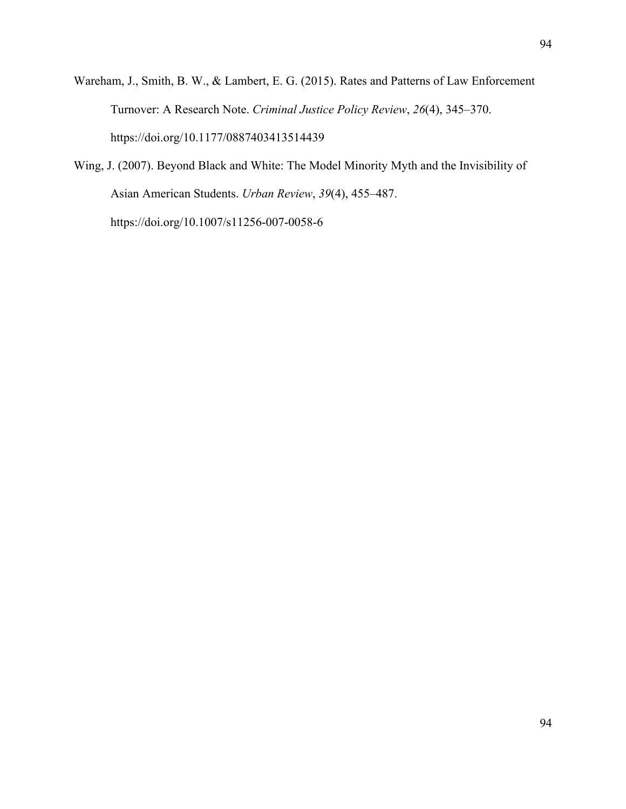- Wareham, J., Smith, B. W., & Lambert, E. G. (2015). Rates and Patterns of Law Enforcement Turnover: A Research Note. *Criminal Justice Policy Review*, *26*(4), 345–370. https://doi.org/10.1177/0887403413514439
- Wing, J. (2007). Beyond Black and White: The Model Minority Myth and the Invisibility of Asian American Students. *Urban Review*, *39*(4), 455–487. https://doi.org/10.1007/s11256-007-0058-6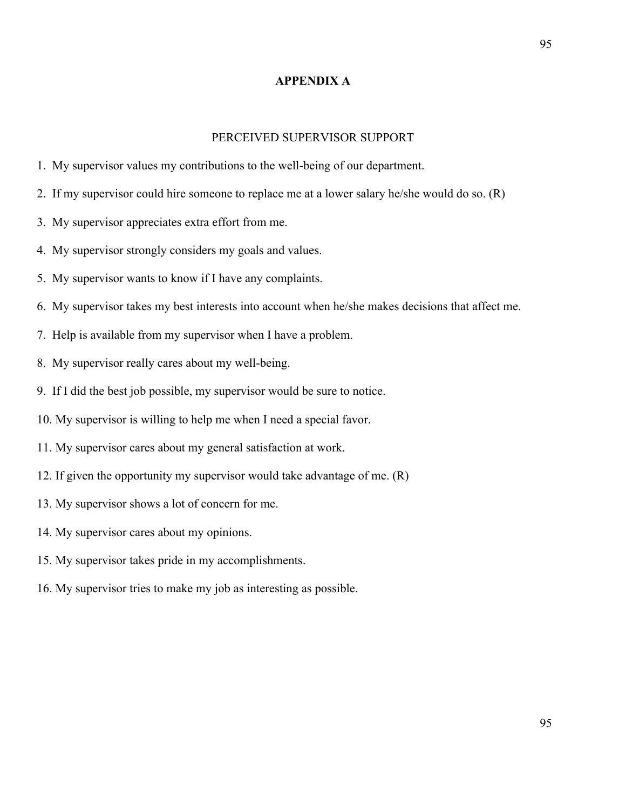# **APPENDIX A**

### PERCEIVED SUPERVISOR SUPPORT

- 1. My supervisor values my contributions to the well-being of our department.
- 2. If my supervisor could hire someone to replace me at a lower salary he/she would do so. (R)
- 3. My supervisor appreciates extra effort from me.
- 4. My supervisor strongly considers my goals and values.
- 5. My supervisor wants to know if I have any complaints.
- 6. My supervisor takes my best interests into account when he/she makes decisions that affect me.
- 7. Help is available from my supervisor when I have a problem.
- 8. My supervisor really cares about my well-being.
- 9. If I did the best job possible, my supervisor would be sure to notice.
- 10. My supervisor is willing to help me when I need a special favor.
- 11. My supervisor cares about my general satisfaction at work.
- 12. If given the opportunity my supervisor would take advantage of me. (R)
- 13. My supervisor shows a lot of concern for me.
- 14. My supervisor cares about my opinions.
- 15. My supervisor takes pride in my accomplishments.
- 16. My supervisor tries to make my job as interesting as possible.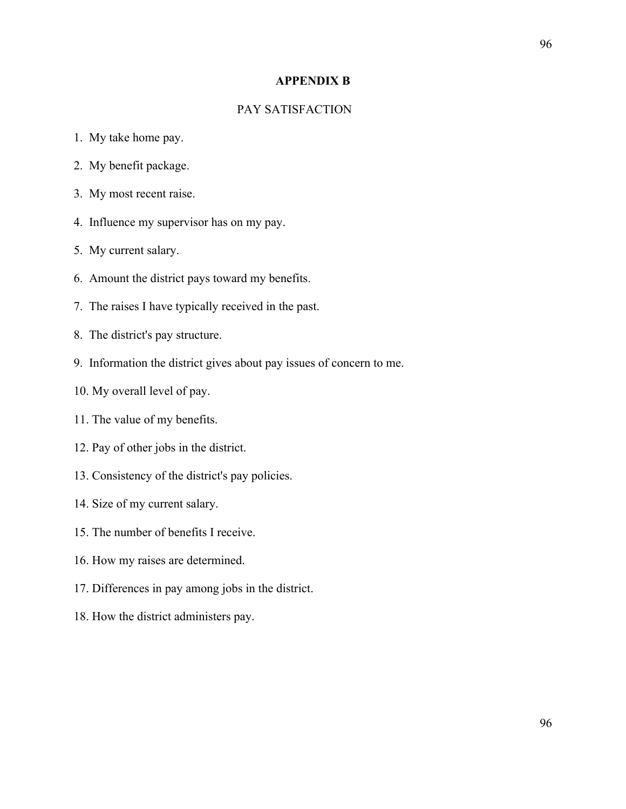# **APPENDIX B**

# PAY SATISFACTION

- 1. My take home pay.
- 2. My benefit package.
- 3. My most recent raise.
- 4. Influence my supervisor has on my pay.
- 5. My current salary.
- 6. Amount the district pays toward my benefits.
- 7. The raises I have typically received in the past.
- 8. The district's pay structure.
- 9. Information the district gives about pay issues of concern to me.
- 10. My overall level of pay.
- 11. The value of my benefits.
- 12. Pay of other jobs in the district.
- 13. Consistency of the district's pay policies.
- 14. Size of my current salary.
- 15. The number of benefits I receive.
- 16. How my raises are determined.
- 17. Differences in pay among jobs in the district.
- 18. How the district administers pay.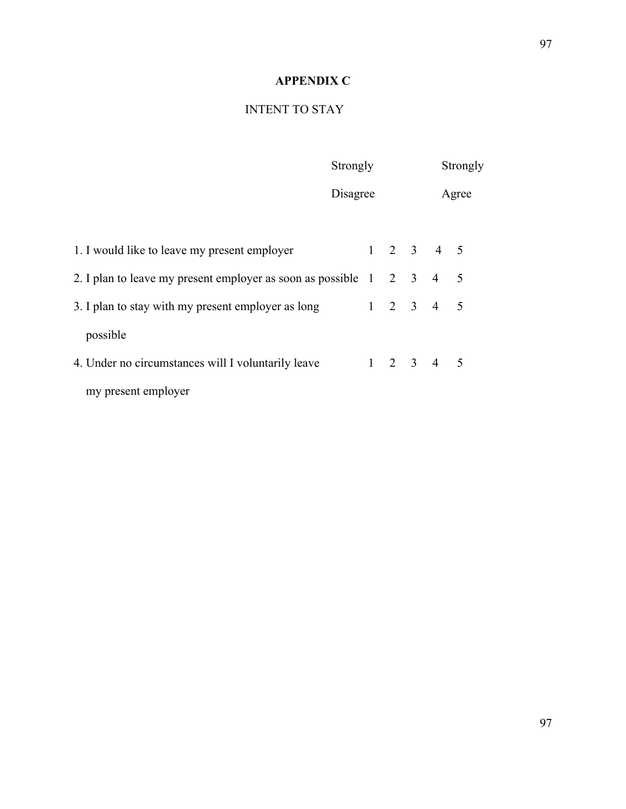# **APPENDIX C**

# INTENT TO STAY

| Strongly                                                                                       | Strongly |  |  |                     |       |  |
|------------------------------------------------------------------------------------------------|----------|--|--|---------------------|-------|--|
|                                                                                                | Disagree |  |  |                     | Agree |  |
| 1. I would like to leave my present employer                                                   |          |  |  | $1 \t2 \t3 \t4 \t5$ |       |  |
| 2. I plan to leave my present employer as soon as possible $1 \quad 2 \quad 3 \quad 4 \quad 5$ |          |  |  |                     |       |  |
| 3. I plan to stay with my present employer as long                                             |          |  |  | $1 \t2 \t3 \t4 \t5$ |       |  |
| possible                                                                                       |          |  |  |                     |       |  |
| 4. Under no circumstances will I voluntarily leave                                             |          |  |  | $1 \t2 \t3 \t4 \t5$ |       |  |
| my present employer                                                                            |          |  |  |                     |       |  |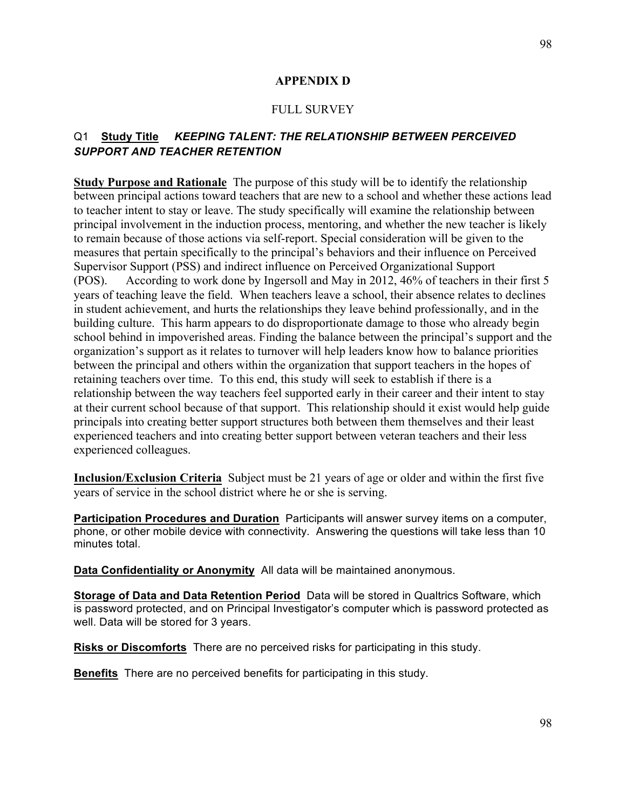# **APPENDIX D**

## FULL SURVEY

# Q1 **Study Title** *KEEPING TALENT: THE RELATIONSHIP BETWEEN PERCEIVED SUPPORT AND TEACHER RETENTION*

**Study Purpose and Rationale** The purpose of this study will be to identify the relationship between principal actions toward teachers that are new to a school and whether these actions lead to teacher intent to stay or leave. The study specifically will examine the relationship between principal involvement in the induction process, mentoring, and whether the new teacher is likely to remain because of those actions via self-report. Special consideration will be given to the measures that pertain specifically to the principal's behaviors and their influence on Perceived Supervisor Support (PSS) and indirect influence on Perceived Organizational Support (POS). According to work done by Ingersoll and May in 2012, 46% of teachers in their first 5 years of teaching leave the field. When teachers leave a school, their absence relates to declines in student achievement, and hurts the relationships they leave behind professionally, and in the building culture. This harm appears to do disproportionate damage to those who already begin school behind in impoverished areas. Finding the balance between the principal's support and the organization's support as it relates to turnover will help leaders know how to balance priorities between the principal and others within the organization that support teachers in the hopes of retaining teachers over time. To this end, this study will seek to establish if there is a relationship between the way teachers feel supported early in their career and their intent to stay at their current school because of that support. This relationship should it exist would help guide principals into creating better support structures both between them themselves and their least experienced teachers and into creating better support between veteran teachers and their less experienced colleagues.

**Inclusion/Exclusion Criteria** Subject must be 21 years of age or older and within the first five years of service in the school district where he or she is serving.

**Participation Procedures and Duration** Participants will answer survey items on a computer, phone, or other mobile device with connectivity*.* Answering the questions will take less than 10 minutes total.

**Data Confidentiality or Anonymity** All data will be maintained anonymous.

**Storage of Data and Data Retention Period** Data will be stored in Qualtrics Software, which is password protected, and on Principal Investigator's computer which is password protected as well. Data will be stored for 3 years.

**Risks or Discomforts** There are no perceived risks for participating in this study.

**Benefits** There are no perceived benefits for participating in this study.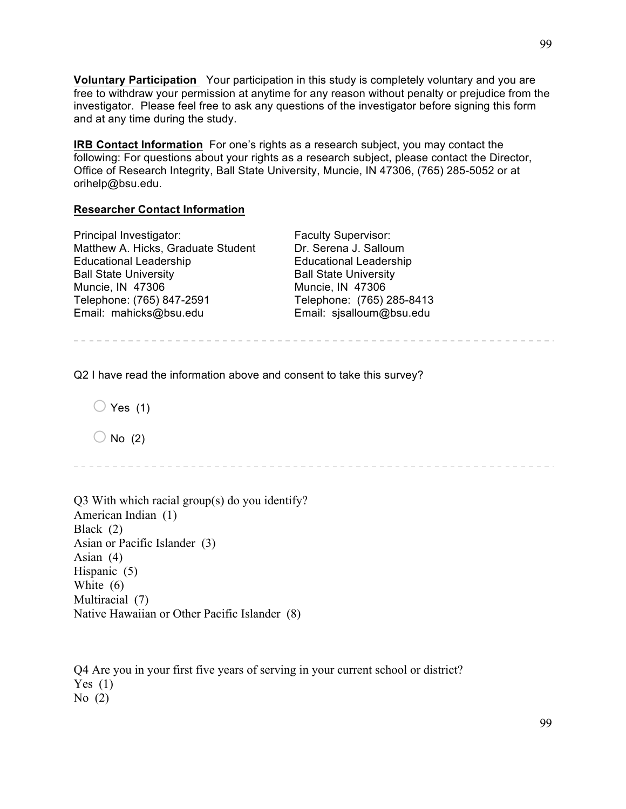**Voluntary Participation** Your participation in this study is completely voluntary and you are free to withdraw your permission at anytime for any reason without penalty or prejudice from the investigator. Please feel free to ask any questions of the investigator before signing this form and at any time during the study.

**IRB Contact Information** For one's rights as a research subject, you may contact the following: For questions about your rights as a research subject, please contact the Director, Office of Research Integrity, Ball State University, Muncie, IN 47306, (765) 285-5052 or at orihelp@bsu.edu.

## **Researcher Contact Information**

| Principal Investigator:            | <b>Faculty Supervisor:</b>    |
|------------------------------------|-------------------------------|
| Matthew A. Hicks, Graduate Student | Dr. Serena J. Salloum         |
| <b>Educational Leadership</b>      | <b>Educational Leadership</b> |
| <b>Ball State University</b>       | <b>Ball State University</b>  |
| Muncie, IN 47306                   | Muncie, IN 47306              |
| Telephone: (765) 847-2591          | Telephone: (765) 285-8413     |
| Email: mahicks@bsu.edu             | Email: sjsalloum@bsu.edu      |

Q2 I have read the information above and consent to take this survey?

 $\bigcirc$  Yes (1)

 $\bigcirc$  No (2)

Q3 With which racial group(s) do you identify? American Indian (1) Black (2) Asian or Pacific Islander (3) Asian (4) Hispanic (5) White (6) Multiracial (7) Native Hawaiian or Other Pacific Islander (8)

Q4 Are you in your first five years of serving in your current school or district? Yes  $(1)$ No  $(2)$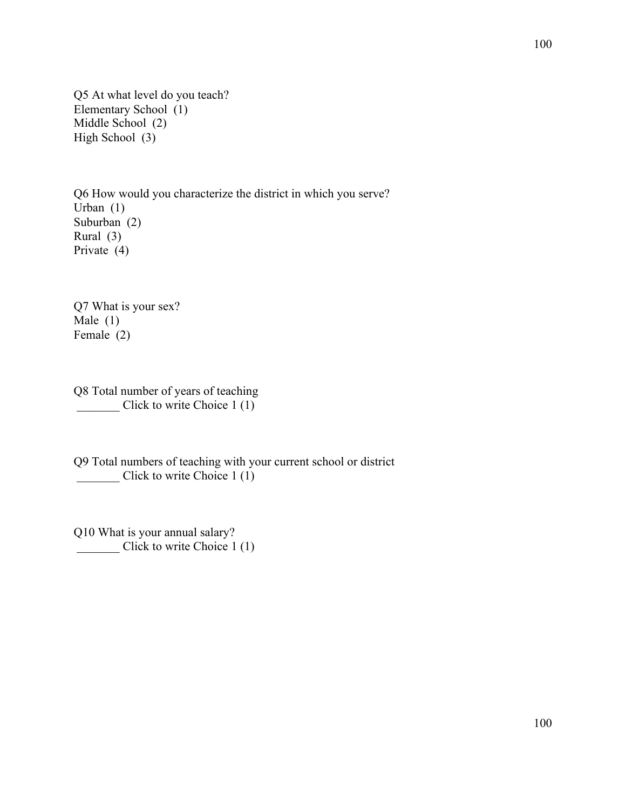Q5 At what level do you teach? Elementary School (1) Middle School (2) High School (3)

Q6 How would you characterize the district in which you serve? Urban (1) Suburban (2) Rural (3) Private (4)

Q7 What is your sex? Male (1) Female (2)

Q8 Total number of years of teaching Click to write Choice 1 (1)

Q9 Total numbers of teaching with your current school or district Click to write Choice 1 (1)

Q10 What is your annual salary? \_\_\_\_\_\_\_ Click to write Choice 1 (1)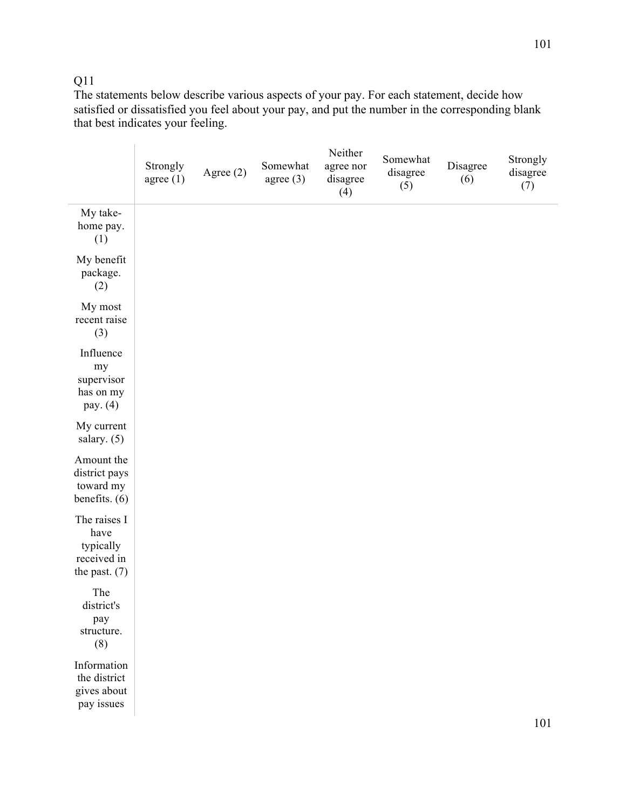# Q11

The statements below describe various aspects of your pay. For each statement, decide how satisfied or dissatisfied you feel about your pay, and put the number in the corresponding blank that best indicates your feeling.

|                                                                     | Strongly<br>agree $(1)$ | Agree (2) | Somewhat<br>agree $(3)$ | Neither<br>agree nor<br>disagree<br>(4) | Somewhat<br>disagree<br>(5) | Disagree<br>(6) | Strongly<br>disagree<br>(7) |
|---------------------------------------------------------------------|-------------------------|-----------|-------------------------|-----------------------------------------|-----------------------------|-----------------|-----------------------------|
| My take-<br>home pay.<br>(1)                                        |                         |           |                         |                                         |                             |                 |                             |
| My benefit<br>package.<br>(2)                                       |                         |           |                         |                                         |                             |                 |                             |
| My most<br>recent raise<br>(3)                                      |                         |           |                         |                                         |                             |                 |                             |
| Influence<br>my<br>supervisor<br>has on my<br>pay. (4)              |                         |           |                         |                                         |                             |                 |                             |
| My current<br>salary. $(5)$                                         |                         |           |                         |                                         |                             |                 |                             |
| Amount the<br>district pays<br>toward my<br>benefits. (6)           |                         |           |                         |                                         |                             |                 |                             |
| The raises I<br>have<br>typically<br>received in<br>the past. $(7)$ |                         |           |                         |                                         |                             |                 |                             |
| The<br>district's<br>pay<br>structure.<br>(8)                       |                         |           |                         |                                         |                             |                 |                             |
| Information<br>the district<br>gives about<br>pay issues            |                         |           |                         |                                         |                             |                 | 1 <sub>0</sub> 1            |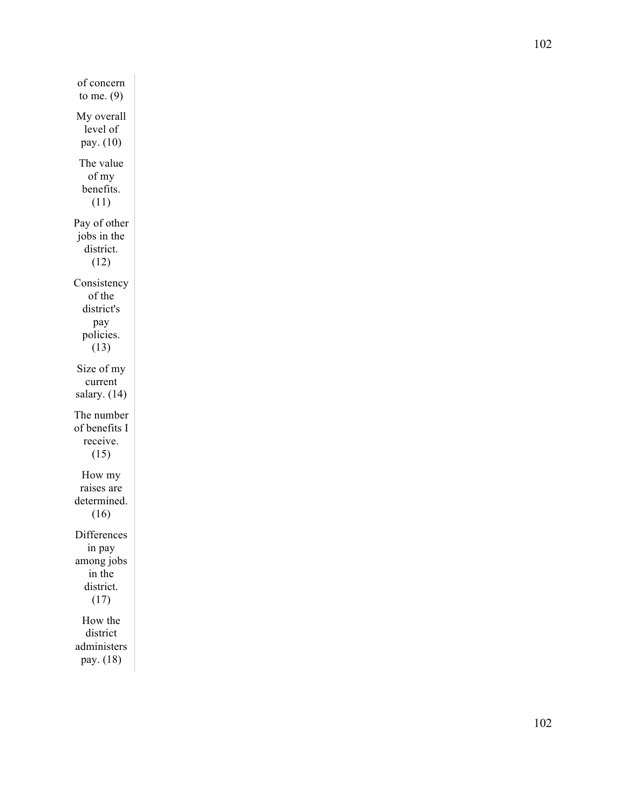of concern to me. (9) My overall level of pay. (10) The value of my benefits. (11) Pay of other jobs in the district. (12) Consistency of the district's pay policies. (13) Size of my current salary. (14) The number of benefits I receive. (15) How my raises are determined. (16) Differences in pay among jobs in the district. (17) How the district administers pay. (18)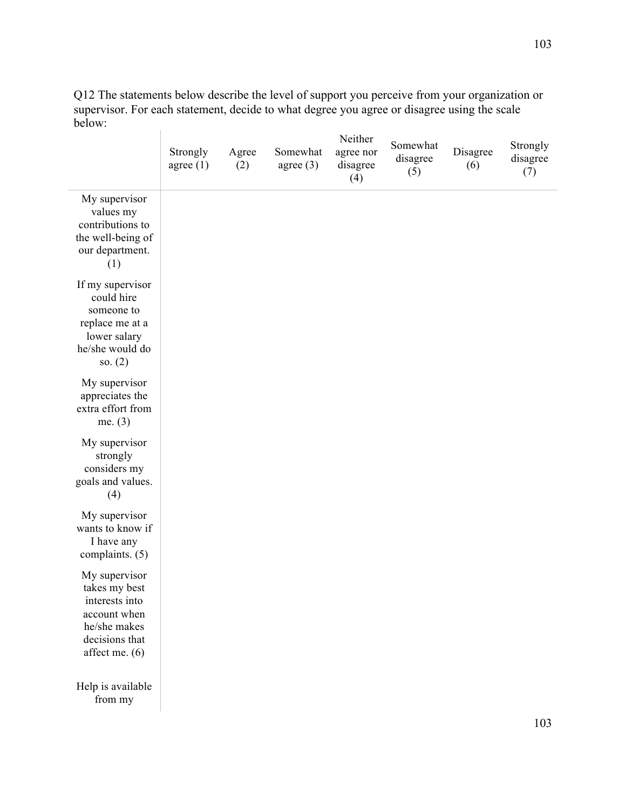Q12 The statements below describe the level of support you perceive from your organization or supervisor. For each statement, decide to what degree you agree or disagree using the scale below:  $\overline{1}$ 

|                                                                                                                      | Strongly<br>agree $(1)$ | Agree<br>(2) | Somewhat<br>agree $(3)$ | Neither<br>agree nor<br>disagree<br>(4) | Somewhat<br>disagree<br>(5) | Disagree<br>(6) | Strongly<br>disagree<br>(7) |
|----------------------------------------------------------------------------------------------------------------------|-------------------------|--------------|-------------------------|-----------------------------------------|-----------------------------|-----------------|-----------------------------|
| My supervisor<br>values my<br>contributions to<br>the well-being of<br>our department.<br>(1)                        |                         |              |                         |                                         |                             |                 |                             |
| If my supervisor<br>could hire<br>someone to<br>replace me at a<br>lower salary<br>he/she would do<br>so. $(2)$      |                         |              |                         |                                         |                             |                 |                             |
| My supervisor<br>appreciates the<br>extra effort from<br>me. $(3)$                                                   |                         |              |                         |                                         |                             |                 |                             |
| My supervisor<br>strongly<br>considers my<br>goals and values.<br>(4)                                                |                         |              |                         |                                         |                             |                 |                             |
| My supervisor<br>wants to know if<br>I have any<br>complaints. (5)                                                   |                         |              |                         |                                         |                             |                 |                             |
| My supervisor<br>takes my best<br>interests into<br>account when<br>he/she makes<br>decisions that<br>affect me. (6) |                         |              |                         |                                         |                             |                 |                             |
| Help is available<br>from my                                                                                         |                         |              |                         |                                         |                             |                 |                             |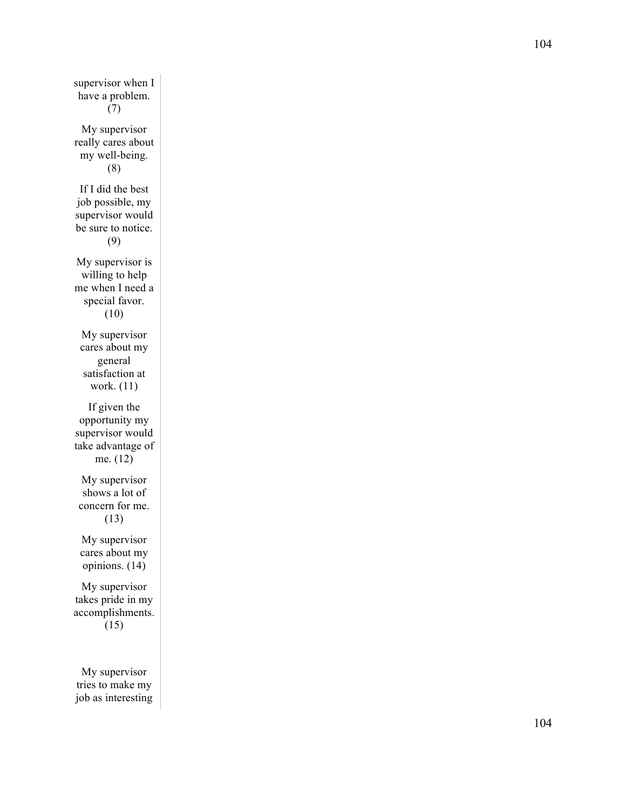supervisor when I have a problem. (7) My supervisor really cares about my well -being. (8) If I did the best job possible, my supervisor would be sure to notice. (9) My supervisor is willing to help me when I need a special favor. (10) My supervisor cares about my general satisfaction at work. (11) If given the opportunity my supervisor would take advantage of me. (12) My supervisor shows a lot of concern for me. (13) My supervisor cares about my opinions. (14) My supervisor takes pride in my accomplishments. (15) My supervisor tries to make my job as interesting